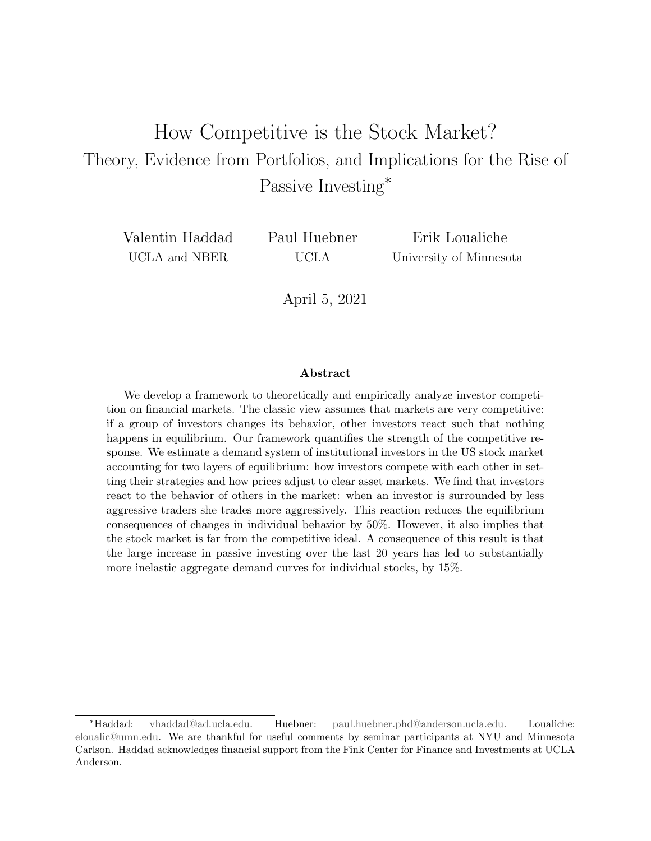## How Competitive is the Stock Market? Theory, Evidence from Portfolios, and Implications for the Rise of Passive Investing<sup>∗</sup>

Valentin Haddad UCLA and NBER

Paul Huebner UCLA

Erik Loualiche University of Minnesota

April 5, 2021

#### Abstract

We develop a framework to theoretically and empirically analyze investor competition on financial markets. The classic view assumes that markets are very competitive: if a group of investors changes its behavior, other investors react such that nothing happens in equilibrium. Our framework quantifies the strength of the competitive response. We estimate a demand system of institutional investors in the US stock market accounting for two layers of equilibrium: how investors compete with each other in setting their strategies and how prices adjust to clear asset markets. We find that investors react to the behavior of others in the market: when an investor is surrounded by less aggressive traders she trades more aggressively. This reaction reduces the equilibrium consequences of changes in individual behavior by 50%. However, it also implies that the stock market is far from the competitive ideal. A consequence of this result is that the large increase in passive investing over the last 20 years has led to substantially more inelastic aggregate demand curves for individual stocks, by 15%.

<sup>∗</sup>Haddad: [vhaddad@ad.ucla.edu.](mailto:vhaddad@ad.ucla.edu) Huebner: [paul.huebner.phd@anderson.ucla.edu.](mailto:paul.huebner.phd@anderson.ucla.edu) Loualiche: [eloualic@umn.edu.](mailto:eloualic@umn.edu) We are thankful for useful comments by seminar participants at NYU and Minnesota Carlson. Haddad acknowledges financial support from the Fink Center for Finance and Investments at UCLA Anderson.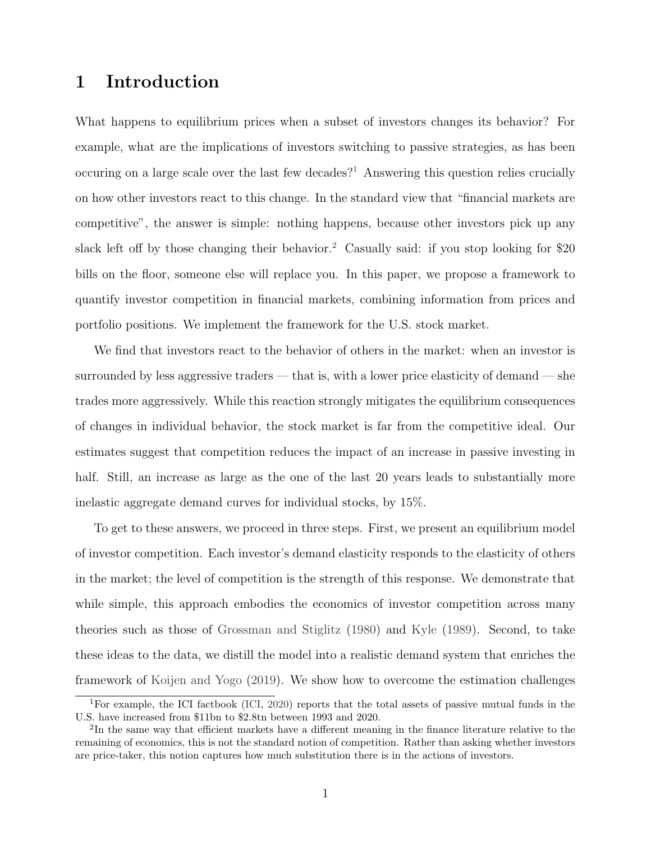### 1 Introduction

What happens to equilibrium prices when a subset of investors changes its behavior? For example, what are the implications of investors switching to passive strategies, as has been occuring on a large scale over the last few decades?<sup>[1](#page-1-0)</sup> Answering this question relies crucially on how other investors react to this change. In the standard view that "financial markets are competitive", the answer is simple: nothing happens, because other investors pick up any slack left off by those changing their behavior.<sup>[2](#page-1-1)</sup> Casually said: if you stop looking for \$20 bills on the floor, someone else will replace you. In this paper, we propose a framework to quantify investor competition in financial markets, combining information from prices and portfolio positions. We implement the framework for the U.S. stock market.

We find that investors react to the behavior of others in the market: when an investor is surrounded by less aggressive traders — that is, with a lower price elasticity of demand — she trades more aggressively. While this reaction strongly mitigates the equilibrium consequences of changes in individual behavior, the stock market is far from the competitive ideal. Our estimates suggest that competition reduces the impact of an increase in passive investing in half. Still, an increase as large as the one of the last 20 years leads to substantially more inelastic aggregate demand curves for individual stocks, by 15%.

To get to these answers, we proceed in three steps. First, we present an equilibrium model of investor competition. Each investor's demand elasticity responds to the elasticity of others in the market; the level of competition is the strength of this response. We demonstrate that while simple, this approach embodies the economics of investor competition across many theories such as those of [Grossman and Stiglitz](#page-43-0) [\(1980\)](#page-43-0) and [Kyle](#page-44-0) [\(1989\)](#page-44-0). Second, to take these ideas to the data, we distill the model into a realistic demand system that enriches the framework of [Koijen and Yogo](#page-43-1) [\(2019\)](#page-43-1). We show how to overcome the estimation challenges

<span id="page-1-0"></span><sup>&</sup>lt;sup>1</sup>For example, the ICI factbook [\(ICI,](#page-42-0) [2020\)](#page-42-0) reports that the total assets of passive mutual funds in the U.S. have increased from \$11bn to \$2.8tn between 1993 and 2020.

<span id="page-1-1"></span><sup>&</sup>lt;sup>2</sup>In the same way that efficient markets have a different meaning in the finance literature relative to the remaining of economics, this is not the standard notion of competition. Rather than asking whether investors are price-taker, this notion captures how much substitution there is in the actions of investors.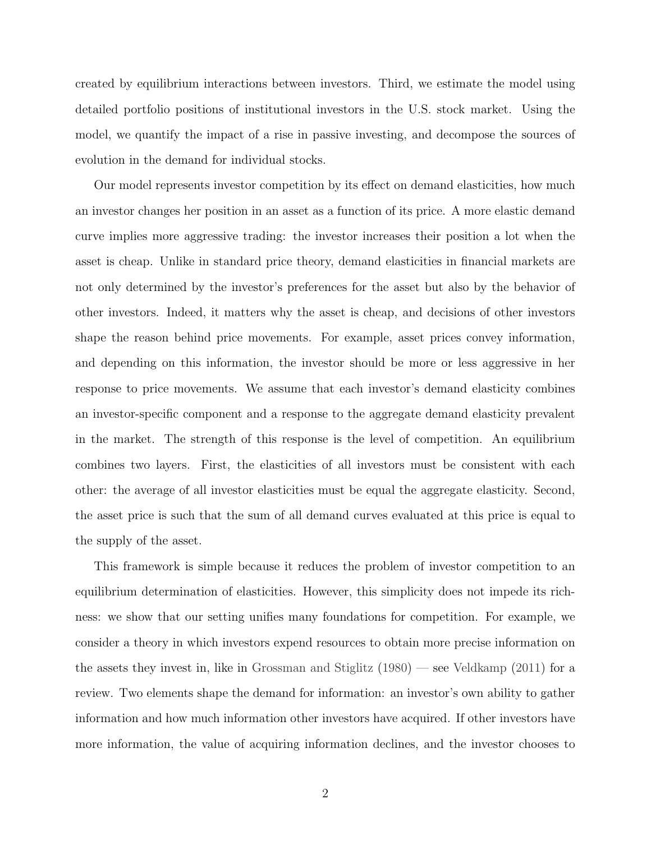created by equilibrium interactions between investors. Third, we estimate the model using detailed portfolio positions of institutional investors in the U.S. stock market. Using the model, we quantify the impact of a rise in passive investing, and decompose the sources of evolution in the demand for individual stocks.

Our model represents investor competition by its effect on demand elasticities, how much an investor changes her position in an asset as a function of its price. A more elastic demand curve implies more aggressive trading: the investor increases their position a lot when the asset is cheap. Unlike in standard price theory, demand elasticities in financial markets are not only determined by the investor's preferences for the asset but also by the behavior of other investors. Indeed, it matters why the asset is cheap, and decisions of other investors shape the reason behind price movements. For example, asset prices convey information, and depending on this information, the investor should be more or less aggressive in her response to price movements. We assume that each investor's demand elasticity combines an investor-specific component and a response to the aggregate demand elasticity prevalent in the market. The strength of this response is the level of competition. An equilibrium combines two layers. First, the elasticities of all investors must be consistent with each other: the average of all investor elasticities must be equal the aggregate elasticity. Second, the asset price is such that the sum of all demand curves evaluated at this price is equal to the supply of the asset.

This framework is simple because it reduces the problem of investor competition to an equilibrium determination of elasticities. However, this simplicity does not impede its richness: we show that our setting unifies many foundations for competition. For example, we consider a theory in which investors expend resources to obtain more precise information on the assets they invest in, like in [Grossman and Stiglitz](#page-43-0) [\(1980\)](#page-43-0) — see [Veldkamp](#page-44-1) [\(2011\)](#page-44-1) for a review. Two elements shape the demand for information: an investor's own ability to gather information and how much information other investors have acquired. If other investors have more information, the value of acquiring information declines, and the investor chooses to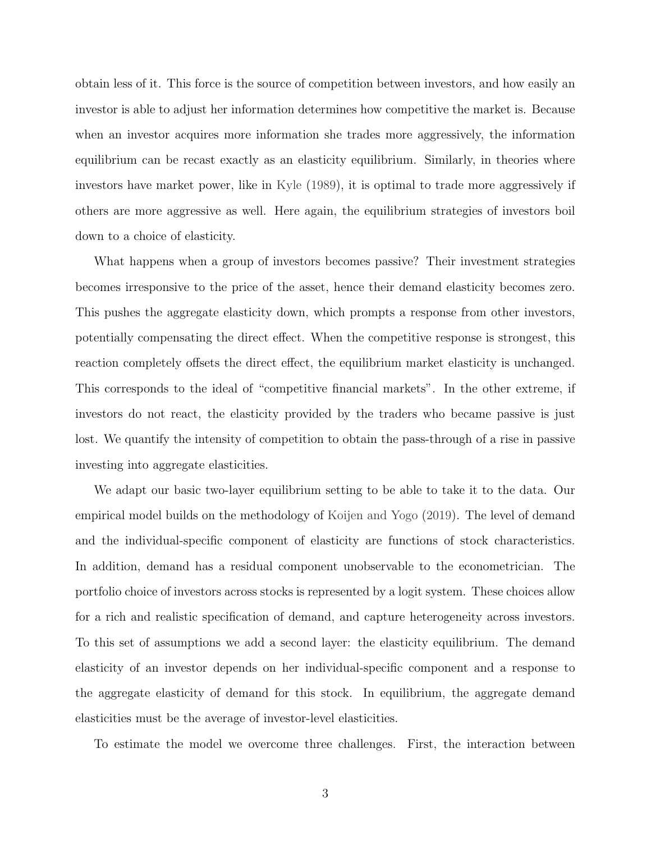obtain less of it. This force is the source of competition between investors, and how easily an investor is able to adjust her information determines how competitive the market is. Because when an investor acquires more information she trades more aggressively, the information equilibrium can be recast exactly as an elasticity equilibrium. Similarly, in theories where investors have market power, like in [Kyle](#page-44-0) [\(1989\)](#page-44-0), it is optimal to trade more aggressively if others are more aggressive as well. Here again, the equilibrium strategies of investors boil down to a choice of elasticity.

What happens when a group of investors becomes passive? Their investment strategies becomes irresponsive to the price of the asset, hence their demand elasticity becomes zero. This pushes the aggregate elasticity down, which prompts a response from other investors, potentially compensating the direct effect. When the competitive response is strongest, this reaction completely offsets the direct effect, the equilibrium market elasticity is unchanged. This corresponds to the ideal of "competitive financial markets". In the other extreme, if investors do not react, the elasticity provided by the traders who became passive is just lost. We quantify the intensity of competition to obtain the pass-through of a rise in passive investing into aggregate elasticities.

We adapt our basic two-layer equilibrium setting to be able to take it to the data. Our empirical model builds on the methodology of [Koijen and Yogo](#page-43-1) [\(2019\)](#page-43-1). The level of demand and the individual-specific component of elasticity are functions of stock characteristics. In addition, demand has a residual component unobservable to the econometrician. The portfolio choice of investors across stocks is represented by a logit system. These choices allow for a rich and realistic specification of demand, and capture heterogeneity across investors. To this set of assumptions we add a second layer: the elasticity equilibrium. The demand elasticity of an investor depends on her individual-specific component and a response to the aggregate elasticity of demand for this stock. In equilibrium, the aggregate demand elasticities must be the average of investor-level elasticities.

To estimate the model we overcome three challenges. First, the interaction between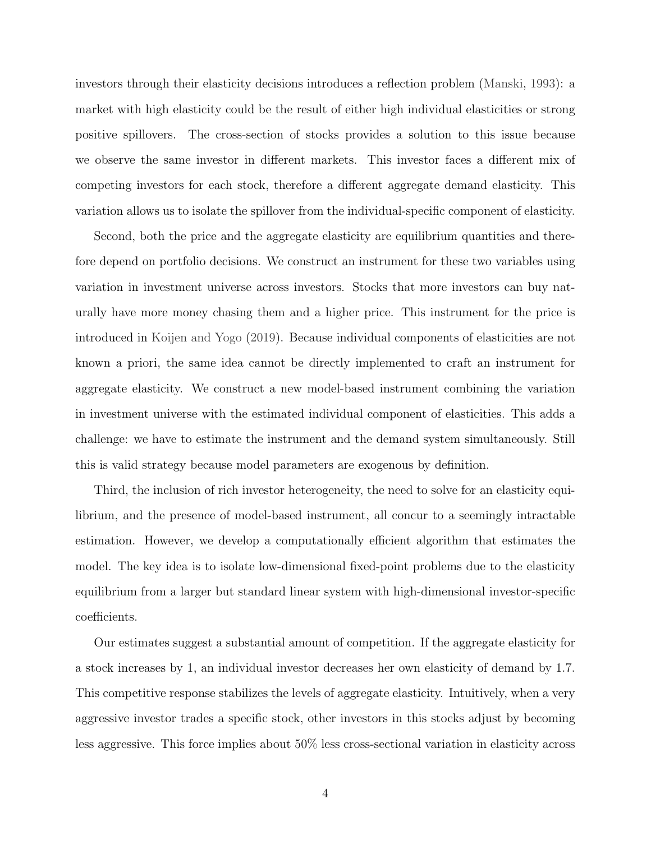investors through their elasticity decisions introduces a reflection problem [\(Manski,](#page-44-2) [1993\)](#page-44-2): a market with high elasticity could be the result of either high individual elasticities or strong positive spillovers. The cross-section of stocks provides a solution to this issue because we observe the same investor in different markets. This investor faces a different mix of competing investors for each stock, therefore a different aggregate demand elasticity. This variation allows us to isolate the spillover from the individual-specific component of elasticity.

Second, both the price and the aggregate elasticity are equilibrium quantities and therefore depend on portfolio decisions. We construct an instrument for these two variables using variation in investment universe across investors. Stocks that more investors can buy naturally have more money chasing them and a higher price. This instrument for the price is introduced in [Koijen and Yogo](#page-43-1) [\(2019\)](#page-43-1). Because individual components of elasticities are not known a priori, the same idea cannot be directly implemented to craft an instrument for aggregate elasticity. We construct a new model-based instrument combining the variation in investment universe with the estimated individual component of elasticities. This adds a challenge: we have to estimate the instrument and the demand system simultaneously. Still this is valid strategy because model parameters are exogenous by definition.

Third, the inclusion of rich investor heterogeneity, the need to solve for an elasticity equilibrium, and the presence of model-based instrument, all concur to a seemingly intractable estimation. However, we develop a computationally efficient algorithm that estimates the model. The key idea is to isolate low-dimensional fixed-point problems due to the elasticity equilibrium from a larger but standard linear system with high-dimensional investor-specific coefficients.

Our estimates suggest a substantial amount of competition. If the aggregate elasticity for a stock increases by 1, an individual investor decreases her own elasticity of demand by 1.7. This competitive response stabilizes the levels of aggregate elasticity. Intuitively, when a very aggressive investor trades a specific stock, other investors in this stocks adjust by becoming less aggressive. This force implies about 50% less cross-sectional variation in elasticity across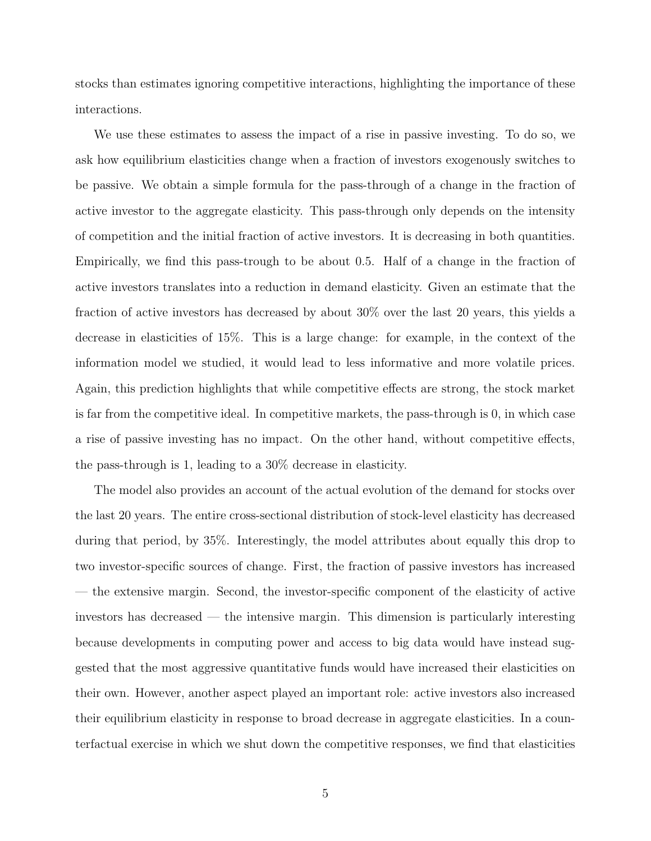stocks than estimates ignoring competitive interactions, highlighting the importance of these interactions.

We use these estimates to assess the impact of a rise in passive investing. To do so, we ask how equilibrium elasticities change when a fraction of investors exogenously switches to be passive. We obtain a simple formula for the pass-through of a change in the fraction of active investor to the aggregate elasticity. This pass-through only depends on the intensity of competition and the initial fraction of active investors. It is decreasing in both quantities. Empirically, we find this pass-trough to be about 0.5. Half of a change in the fraction of active investors translates into a reduction in demand elasticity. Given an estimate that the fraction of active investors has decreased by about 30% over the last 20 years, this yields a decrease in elasticities of 15%. This is a large change: for example, in the context of the information model we studied, it would lead to less informative and more volatile prices. Again, this prediction highlights that while competitive effects are strong, the stock market is far from the competitive ideal. In competitive markets, the pass-through is 0, in which case a rise of passive investing has no impact. On the other hand, without competitive effects, the pass-through is 1, leading to a 30% decrease in elasticity.

The model also provides an account of the actual evolution of the demand for stocks over the last 20 years. The entire cross-sectional distribution of stock-level elasticity has decreased during that period, by 35%. Interestingly, the model attributes about equally this drop to two investor-specific sources of change. First, the fraction of passive investors has increased — the extensive margin. Second, the investor-specific component of the elasticity of active investors has decreased — the intensive margin. This dimension is particularly interesting because developments in computing power and access to big data would have instead suggested that the most aggressive quantitative funds would have increased their elasticities on their own. However, another aspect played an important role: active investors also increased their equilibrium elasticity in response to broad decrease in aggregate elasticities. In a counterfactual exercise in which we shut down the competitive responses, we find that elasticities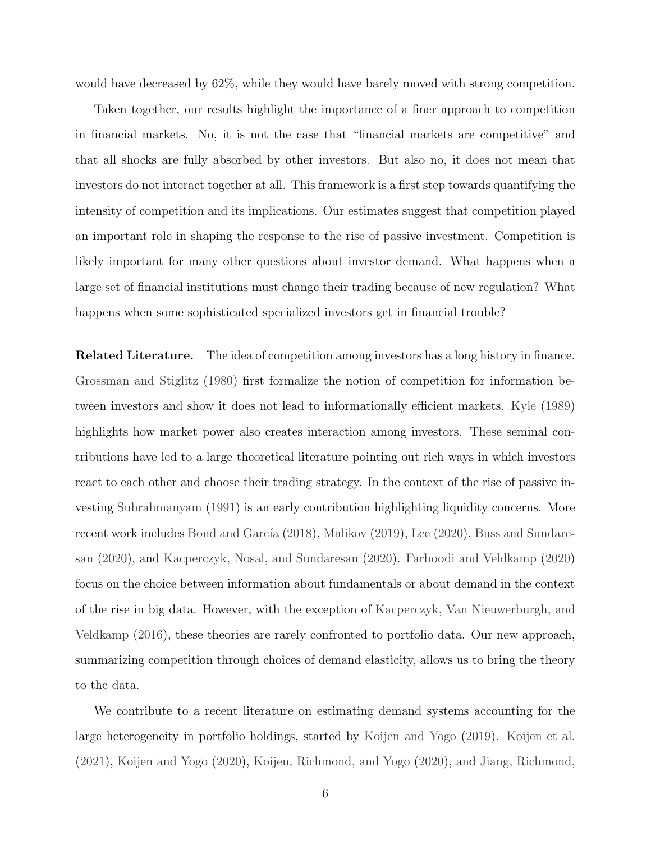would have decreased by 62%, while they would have barely moved with strong competition.

Taken together, our results highlight the importance of a finer approach to competition in financial markets. No, it is not the case that "financial markets are competitive" and that all shocks are fully absorbed by other investors. But also no, it does not mean that investors do not interact together at all. This framework is a first step towards quantifying the intensity of competition and its implications. Our estimates suggest that competition played an important role in shaping the response to the rise of passive investment. Competition is likely important for many other questions about investor demand. What happens when a large set of financial institutions must change their trading because of new regulation? What happens when some sophisticated specialized investors get in financial trouble?

Related Literature. The idea of competition among investors has a long history in finance. [Grossman and Stiglitz](#page-43-0) [\(1980\)](#page-43-0) first formalize the notion of competition for information between investors and show it does not lead to informationally efficient markets. [Kyle](#page-44-0) [\(1989\)](#page-44-0) highlights how market power also creates interaction among investors. These seminal contributions have led to a large theoretical literature pointing out rich ways in which investors react to each other and choose their trading strategy. In the context of the rise of passive investing [Subrahmanyam](#page-44-3) [\(1991\)](#page-44-3) is an early contribution highlighting liquidity concerns. More recent work includes Bond and García  $(2018)$ , [Malikov](#page-44-4)  $(2019)$ , [Lee](#page-44-5)  $(2020)$ , [Buss and Sundare](#page-42-2)[san](#page-42-2) [\(2020\)](#page-42-2), and [Kacperczyk, Nosal, and Sundaresan](#page-43-2) [\(2020\)](#page-43-2). [Farboodi and Veldkamp](#page-42-3) [\(2020\)](#page-42-3) focus on the choice between information about fundamentals or about demand in the context of the rise in big data. However, with the exception of [Kacperczyk, Van Nieuwerburgh, and](#page-43-3) [Veldkamp](#page-43-3) [\(2016\)](#page-43-3), these theories are rarely confronted to portfolio data. Our new approach, summarizing competition through choices of demand elasticity, allows us to bring the theory to the data.

We contribute to a recent literature on estimating demand systems accounting for the large heterogeneity in portfolio holdings, started by [Koijen and Yogo](#page-43-1) [\(2019\)](#page-43-1). [Koijen et al.](#page-43-4) [\(2021\)](#page-43-4), [Koijen and Yogo](#page-44-6) [\(2020\)](#page-44-6), [Koijen, Richmond, and Yogo](#page-44-7) [\(2020\)](#page-44-7), and [Jiang, Richmond,](#page-43-5)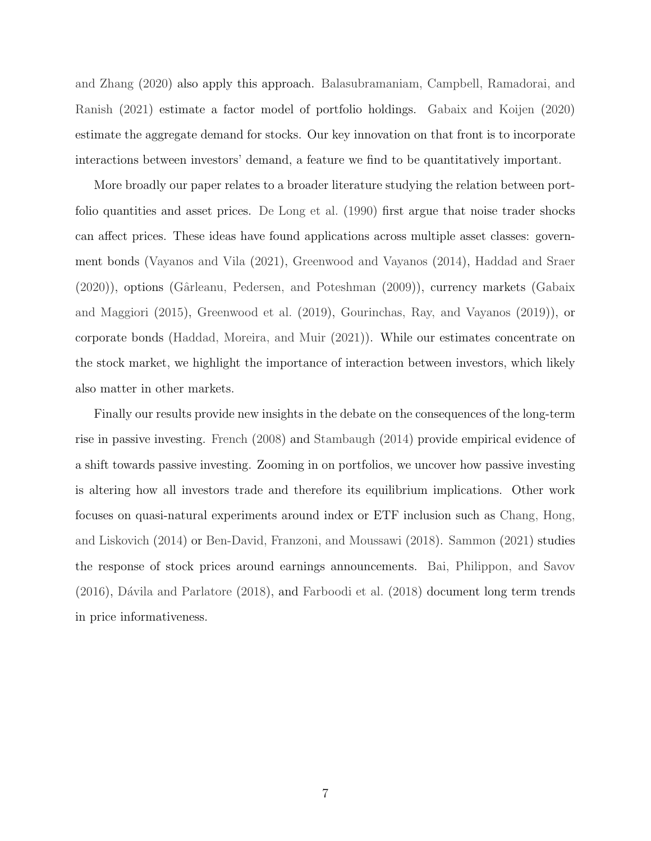[and Zhang](#page-43-5) [\(2020\)](#page-43-5) also apply this approach. [Balasubramaniam, Campbell, Ramadorai, and](#page-42-4) [Ranish](#page-42-4) [\(2021\)](#page-42-4) estimate a factor model of portfolio holdings. [Gabaix and Koijen](#page-42-5) [\(2020\)](#page-42-5) estimate the aggregate demand for stocks. Our key innovation on that front is to incorporate interactions between investors' demand, a feature we find to be quantitatively important.

More broadly our paper relates to a broader literature studying the relation between portfolio quantities and asset prices. [De Long et al.](#page-42-6) [\(1990\)](#page-42-6) first argue that noise trader shocks can affect prices. These ideas have found applications across multiple asset classes: government bonds [\(Vayanos and Vila](#page-44-8) [\(2021\)](#page-44-8), [Greenwood and Vayanos](#page-43-6) [\(2014\)](#page-43-6), [Haddad and Sraer](#page-43-7) [\(2020\)](#page-43-7)), options [\(Gˆarleanu, Pedersen, and Poteshman](#page-43-8) [\(2009\)](#page-43-8)), currency markets [\(Gabaix](#page-43-9) [and Maggiori](#page-43-9) [\(2015\)](#page-43-9), [Greenwood et al.](#page-43-10) [\(2019\)](#page-43-10), [Gourinchas, Ray, and Vayanos](#page-43-11) [\(2019\)](#page-43-11)), or corporate bonds [\(Haddad, Moreira, and Muir](#page-43-12) [\(2021\)](#page-43-12)). While our estimates concentrate on the stock market, we highlight the importance of interaction between investors, which likely also matter in other markets.

Finally our results provide new insights in the debate on the consequences of the long-term rise in passive investing. [French](#page-42-7) [\(2008\)](#page-42-7) and [Stambaugh](#page-44-9) [\(2014\)](#page-44-9) provide empirical evidence of a shift towards passive investing. Zooming in on portfolios, we uncover how passive investing is altering how all investors trade and therefore its equilibrium implications. Other work focuses on quasi-natural experiments around index or ETF inclusion such as [Chang, Hong,](#page-42-8) [and Liskovich](#page-42-8) [\(2014\)](#page-42-8) or [Ben-David, Franzoni, and Moussawi](#page-42-9) [\(2018\)](#page-42-9). [Sammon](#page-44-10) [\(2021\)](#page-44-10) studies the response of stock prices around earnings announcements. [Bai, Philippon, and Savov](#page-42-10)  $(2016)$ , Dávila and Parlatore  $(2018)$ , and [Farboodi et al.](#page-42-12)  $(2018)$  document long term trends in price informativeness.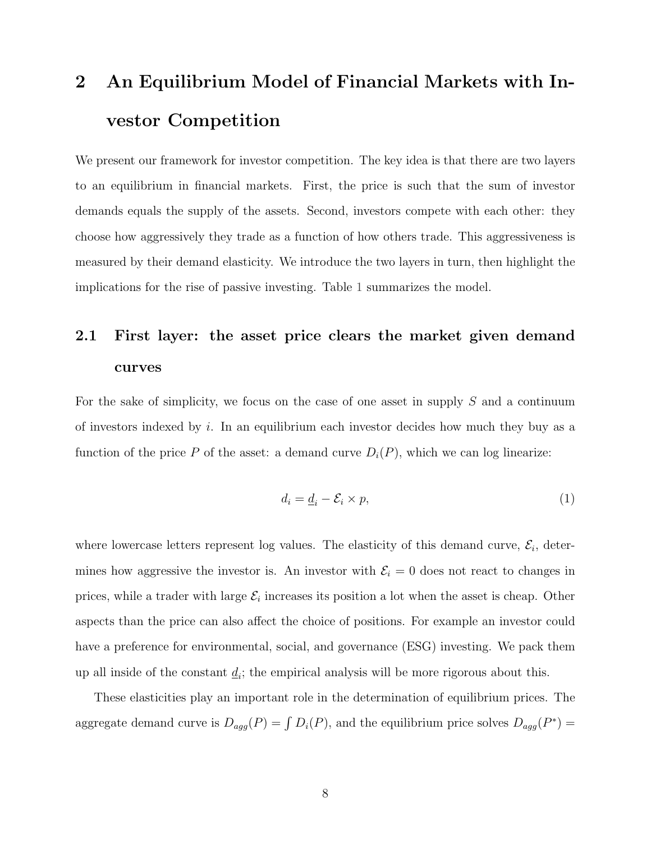# <span id="page-8-0"></span>2 An Equilibrium Model of Financial Markets with Investor Competition

We present our framework for investor competition. The key idea is that there are two layers to an equilibrium in financial markets. First, the price is such that the sum of investor demands equals the supply of the assets. Second, investors compete with each other: they choose how aggressively they trade as a function of how others trade. This aggressiveness is measured by their demand elasticity. We introduce the two layers in turn, then highlight the implications for the rise of passive investing. Table [1](#page-9-0) summarizes the model.

## 2.1 First layer: the asset price clears the market given demand curves

For the sake of simplicity, we focus on the case of one asset in supply  $S$  and a continuum of investors indexed by i. In an equilibrium each investor decides how much they buy as a function of the price P of the asset: a demand curve  $D_i(P)$ , which we can log linearize:

<span id="page-8-1"></span>
$$
d_i = \underline{d}_i - \mathcal{E}_i \times p,\tag{1}
$$

where lowercase letters represent log values. The elasticity of this demand curve,  $\mathcal{E}_i$ , determines how aggressive the investor is. An investor with  $\mathcal{E}_i = 0$  does not react to changes in prices, while a trader with large  $\mathcal{E}_i$  increases its position a lot when the asset is cheap. Other aspects than the price can also affect the choice of positions. For example an investor could have a preference for environmental, social, and governance (ESG) investing. We pack them up all inside of the constant  $\underline{d}_i$ ; the empirical analysis will be more rigorous about this.

These elasticities play an important role in the determination of equilibrium prices. The aggregate demand curve is  $D_{agg}(P) = \int D_i(P)$ , and the equilibrium price solves  $D_{agg}(P^*)$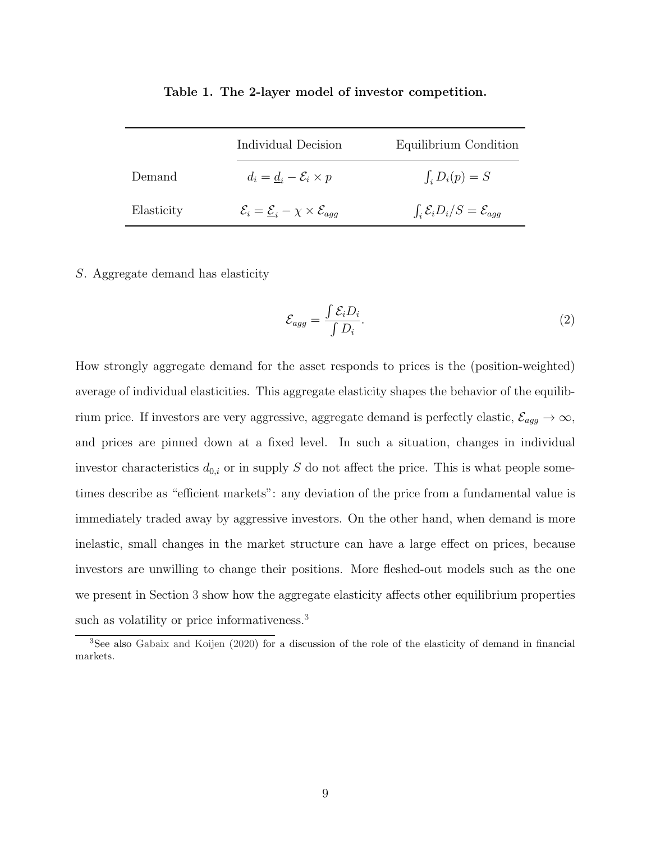<span id="page-9-0"></span>

|            | Individual Decision                                                         | Equilibrium Condition                            |
|------------|-----------------------------------------------------------------------------|--------------------------------------------------|
| Demand     | $d_i = d_i - \mathcal{E}_i \times p$                                        | $\int_i D_i(p) = S$                              |
| Elasticity | $\mathcal{E}_i = \underline{\mathcal{E}}_i - \chi \times \mathcal{E}_{aqq}$ | $\int_i \mathcal{E}_i D_i/S = \mathcal{E}_{agg}$ |

Table 1. The 2-layer model of investor competition.

#### S. Aggregate demand has elasticity

<span id="page-9-2"></span>
$$
\mathcal{E}_{agg} = \frac{\int \mathcal{E}_i D_i}{\int D_i}.\tag{2}
$$

How strongly aggregate demand for the asset responds to prices is the (position-weighted) average of individual elasticities. This aggregate elasticity shapes the behavior of the equilibrium price. If investors are very aggressive, aggregate demand is perfectly elastic,  $\mathcal{E}_{agg} \to \infty$ , and prices are pinned down at a fixed level. In such a situation, changes in individual investor characteristics  $d_{0,i}$  or in supply S do not affect the price. This is what people sometimes describe as "efficient markets": any deviation of the price from a fundamental value is immediately traded away by aggressive investors. On the other hand, when demand is more inelastic, small changes in the market structure can have a large effect on prices, because investors are unwilling to change their positions. More fleshed-out models such as the one we present in Section [3](#page-13-0) show how the aggregate elasticity affects other equilibrium properties such as volatility or price informativeness.<sup>[3](#page-9-1)</sup>

<span id="page-9-1"></span><sup>3</sup>See also [Gabaix and Koijen](#page-42-5) [\(2020\)](#page-42-5) for a discussion of the role of the elasticity of demand in financial markets.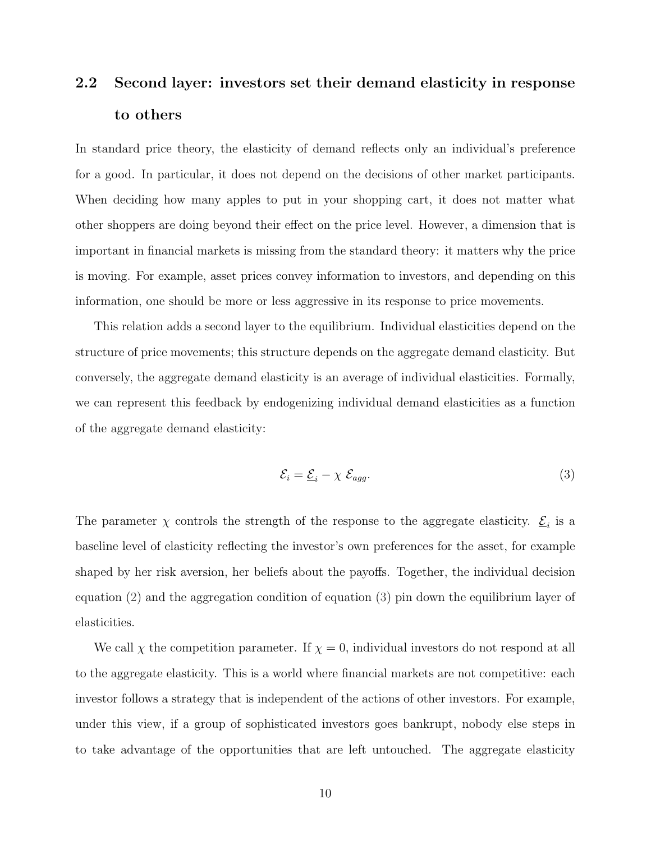## 2.2 Second layer: investors set their demand elasticity in response to others

In standard price theory, the elasticity of demand reflects only an individual's preference for a good. In particular, it does not depend on the decisions of other market participants. When deciding how many apples to put in your shopping cart, it does not matter what other shoppers are doing beyond their effect on the price level. However, a dimension that is important in financial markets is missing from the standard theory: it matters why the price is moving. For example, asset prices convey information to investors, and depending on this information, one should be more or less aggressive in its response to price movements.

This relation adds a second layer to the equilibrium. Individual elasticities depend on the structure of price movements; this structure depends on the aggregate demand elasticity. But conversely, the aggregate demand elasticity is an average of individual elasticities. Formally, we can represent this feedback by endogenizing individual demand elasticities as a function of the aggregate demand elasticity:

<span id="page-10-0"></span>
$$
\mathcal{E}_i = \underline{\mathcal{E}}_i - \chi \ \mathcal{E}_{agg}.\tag{3}
$$

The parameter  $\chi$  controls the strength of the response to the aggregate elasticity.  $\underline{\mathcal{E}}_i$  is a baseline level of elasticity reflecting the investor's own preferences for the asset, for example shaped by her risk aversion, her beliefs about the payoffs. Together, the individual decision equation [\(2\)](#page-9-2) and the aggregation condition of equation [\(3\)](#page-10-0) pin down the equilibrium layer of elasticities.

We call  $\chi$  the competition parameter. If  $\chi = 0$ , individual investors do not respond at all to the aggregate elasticity. This is a world where financial markets are not competitive: each investor follows a strategy that is independent of the actions of other investors. For example, under this view, if a group of sophisticated investors goes bankrupt, nobody else steps in to take advantage of the opportunities that are left untouched. The aggregate elasticity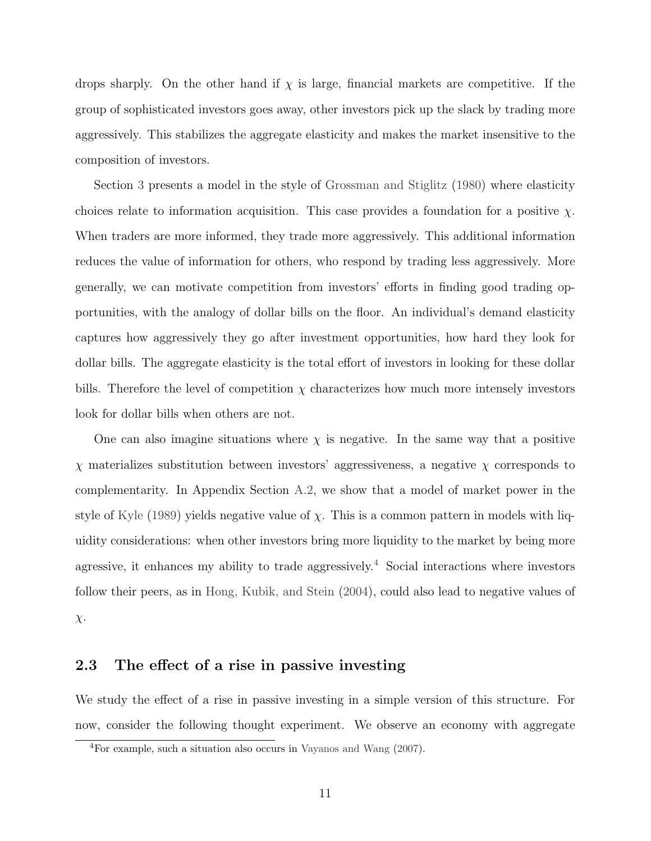drops sharply. On the other hand if  $\chi$  is large, financial markets are competitive. If the group of sophisticated investors goes away, other investors pick up the slack by trading more aggressively. This stabilizes the aggregate elasticity and makes the market insensitive to the composition of investors.

Section [3](#page-13-0) presents a model in the style of [Grossman and Stiglitz](#page-43-0) [\(1980\)](#page-43-0) where elasticity choices relate to information acquisition. This case provides a foundation for a positive  $\chi$ . When traders are more informed, they trade more aggressively. This additional information reduces the value of information for others, who respond by trading less aggressively. More generally, we can motivate competition from investors' efforts in finding good trading opportunities, with the analogy of dollar bills on the floor. An individual's demand elasticity captures how aggressively they go after investment opportunities, how hard they look for dollar bills. The aggregate elasticity is the total effort of investors in looking for these dollar bills. Therefore the level of competition  $\chi$  characterizes how much more intensely investors look for dollar bills when others are not.

One can also imagine situations where  $\chi$  is negative. In the same way that a positive  $\chi$  materializes substitution between investors' aggressiveness, a negative  $\chi$  corresponds to complementarity. In Appendix Section [A.2,](#page-52-0) we show that a model of market power in the style of [Kyle](#page-44-0) [\(1989\)](#page-44-0) yields negative value of  $\chi$ . This is a common pattern in models with liquidity considerations: when other investors bring more liquidity to the market by being more agressive, it enhances my ability to trade aggressively.<sup>[4](#page-11-0)</sup> Social interactions where investors follow their peers, as in [Hong, Kubik, and Stein](#page-43-13) [\(2004\)](#page-43-13), could also lead to negative values of  $\chi$ .

#### 2.3 The effect of a rise in passive investing

We study the effect of a rise in passive investing in a simple version of this structure. For now, consider the following thought experiment. We observe an economy with aggregate

<span id="page-11-0"></span><sup>4</sup>For example, such a situation also occurs in [Vayanos and Wang](#page-44-11) [\(2007\)](#page-44-11).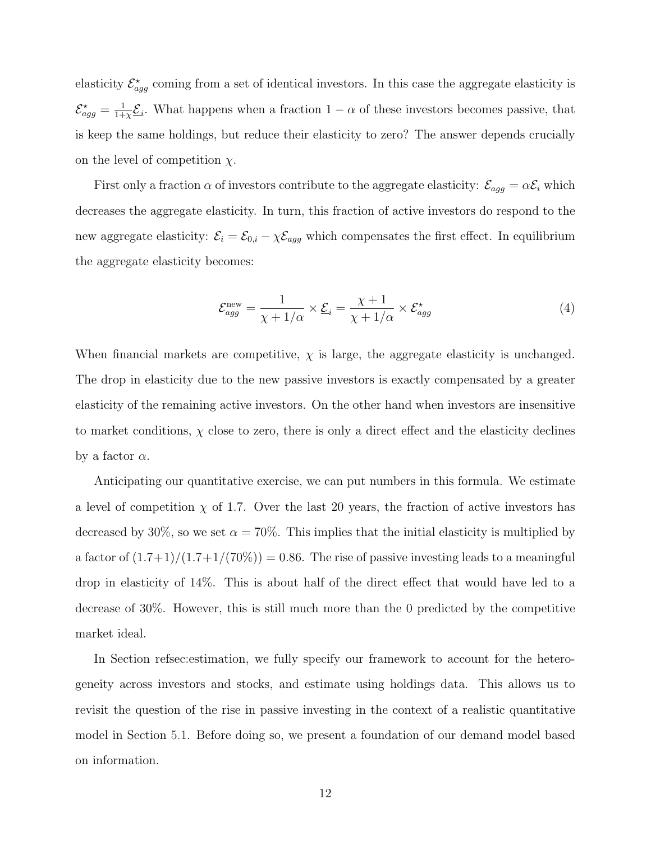elasticity  $\mathcal{E}^{\star}_{agg}$  coming from a set of identical investors. In this case the aggregate elasticity is  $\mathcal{E}^\star_{agg} = \frac{1}{1+}$  $\frac{1}{1+\chi}\mathcal{E}_i$ . What happens when a fraction  $1-\alpha$  of these investors becomes passive, that is keep the same holdings, but reduce their elasticity to zero? The answer depends crucially on the level of competition  $\chi$ .

First only a fraction  $\alpha$  of investors contribute to the aggregate elasticity:  $\mathcal{E}_{agg} = \alpha \mathcal{E}_i$  which decreases the aggregate elasticity. In turn, this fraction of active investors do respond to the new aggregate elasticity:  $\mathcal{E}_i = \mathcal{E}_{0,i} - \chi \mathcal{E}_{agg}$  which compensates the first effect. In equilibrium the aggregate elasticity becomes:

<span id="page-12-0"></span>
$$
\mathcal{E}_{agg}^{\text{new}} = \frac{1}{\chi + 1/\alpha} \times \underline{\mathcal{E}}_i = \frac{\chi + 1}{\chi + 1/\alpha} \times \mathcal{E}_{agg}^{\star}
$$
(4)

When financial markets are competitive,  $\chi$  is large, the aggregate elasticity is unchanged. The drop in elasticity due to the new passive investors is exactly compensated by a greater elasticity of the remaining active investors. On the other hand when investors are insensitive to market conditions,  $\chi$  close to zero, there is only a direct effect and the elasticity declines by a factor  $\alpha$ .

Anticipating our quantitative exercise, we can put numbers in this formula. We estimate a level of competition  $\chi$  of 1.7. Over the last 20 years, the fraction of active investors has decreased by 30%, so we set  $\alpha = 70\%$ . This implies that the initial elasticity is multiplied by a factor of  $(1.7+1)/(1.7+1/(70\%)) = 0.86$ . The rise of passive investing leads to a meaningful drop in elasticity of 14%. This is about half of the direct effect that would have led to a decrease of 30%. However, this is still much more than the 0 predicted by the competitive market ideal.

In Section refsec:estimation, we fully specify our framework to account for the heterogeneity across investors and stocks, and estimate using holdings data. This allows us to revisit the question of the rise in passive investing in the context of a realistic quantitative model in Section [5.1.](#page-30-0) Before doing so, we present a foundation of our demand model based on information.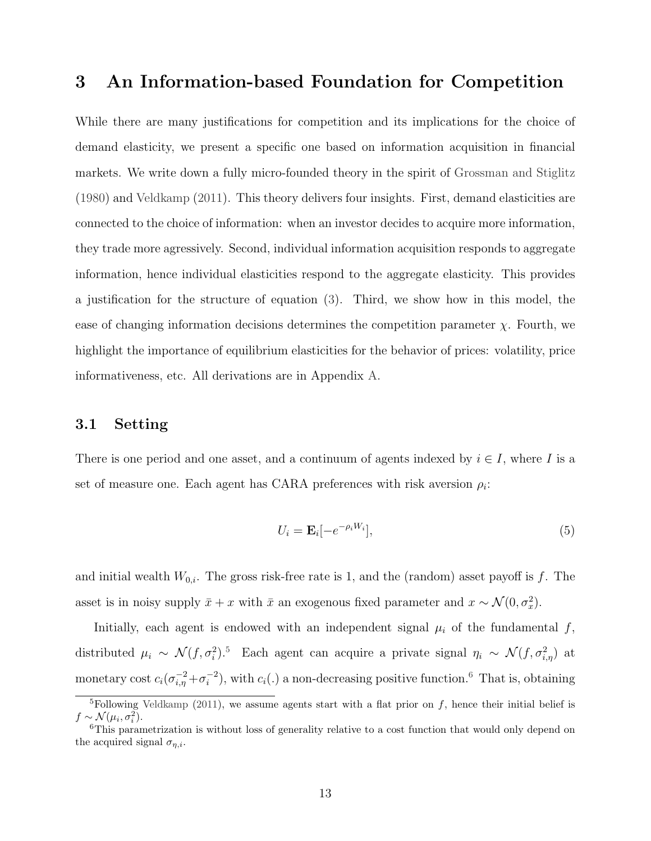### <span id="page-13-0"></span>3 An Information-based Foundation for Competition

While there are many justifications for competition and its implications for the choice of demand elasticity, we present a specific one based on information acquisition in financial markets. We write down a fully micro-founded theory in the spirit of [Grossman and Stiglitz](#page-43-0) [\(1980\)](#page-43-0) and [Veldkamp](#page-44-1) [\(2011\)](#page-44-1). This theory delivers four insights. First, demand elasticities are connected to the choice of information: when an investor decides to acquire more information, they trade more agressively. Second, individual information acquisition responds to aggregate information, hence individual elasticities respond to the aggregate elasticity. This provides a justification for the structure of equation [\(3\)](#page-10-0). Third, we show how in this model, the ease of changing information decisions determines the competition parameter  $\chi$ . Fourth, we highlight the importance of equilibrium elasticities for the behavior of prices: volatility, price informativeness, etc. All derivations are in Appendix [A.](#page-45-0)

#### 3.1 Setting

There is one period and one asset, and a continuum of agents indexed by  $i \in I$ , where I is a set of measure one. Each agent has CARA preferences with risk aversion  $\rho_i$ :

$$
U_i = \mathbf{E}_i[-e^{-\rho_i W_i}],\tag{5}
$$

and initial wealth  $W_{0,i}$ . The gross risk-free rate is 1, and the (random) asset payoff is f. The asset is in noisy supply  $\bar{x} + x$  with  $\bar{x}$  an exogenous fixed parameter and  $x \sim \mathcal{N}(0, \sigma_x^2)$ .

Initially, each agent is endowed with an independent signal  $\mu_i$  of the fundamental f, distributed  $\mu_i \sim \mathcal{N}(f, \sigma_i^2)^{5}$  $\mu_i \sim \mathcal{N}(f, \sigma_i^2)^{5}$  $\mu_i \sim \mathcal{N}(f, \sigma_i^2)^{5}$  Each agent can acquire a private signal  $\eta_i \sim \mathcal{N}(f, \sigma_{i,\eta}^2)$  at monetary cost  $c_i(\sigma_{i,\eta}^{-2} + \sigma_i^{-2})$  $i^{(-2)}$ , with  $c_i(.)$  a non-decreasing positive function.<sup>[6](#page-13-2)</sup> That is, obtaining

<span id="page-13-1"></span><sup>&</sup>lt;sup>5</sup>Following [Veldkamp](#page-44-1) [\(2011\)](#page-44-1), we assume agents start with a flat prior on f, hence their initial belief is  $f \sim \mathcal{N}(\mu_i, \sigma_i^2).$ 

<span id="page-13-2"></span><sup>&</sup>lt;sup>6</sup>This parametrization is without loss of generality relative to a cost function that would only depend on the acquired signal  $\sigma_{n,i}$ .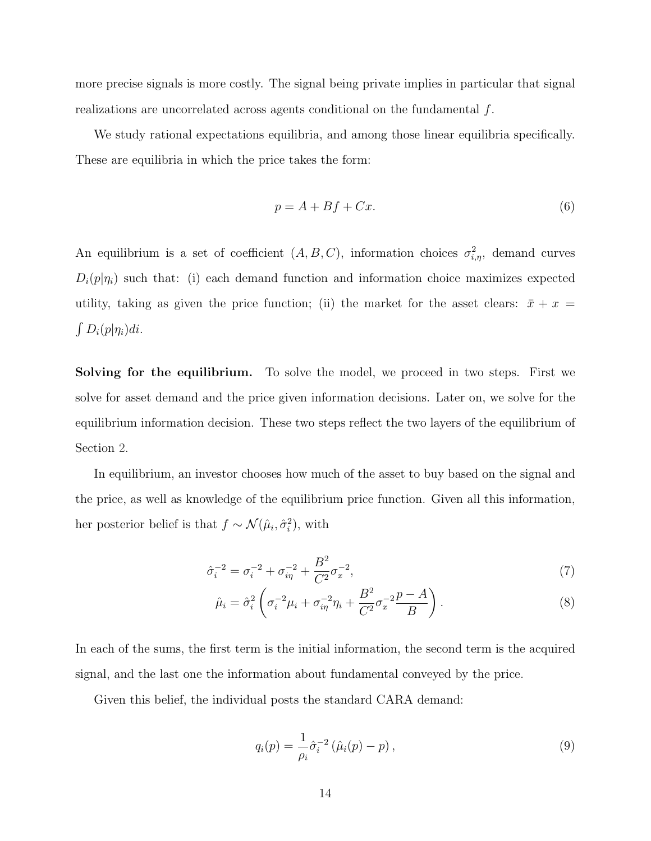more precise signals is more costly. The signal being private implies in particular that signal realizations are uncorrelated across agents conditional on the fundamental f.

We study rational expectations equilibria, and among those linear equilibria specifically. These are equilibria in which the price takes the form:

$$
p = A + Bf + Cx.\tag{6}
$$

An equilibrium is a set of coefficient  $(A, B, C)$ , information choices  $\sigma_{i,\eta}^2$ , demand curves  $D_i(p|\eta_i)$  such that: (i) each demand function and information choice maximizes expected utility, taking as given the price function; (ii) the market for the asset clears:  $\bar{x} + x =$  $\int D_i(p|\eta_i)di$ .

Solving for the equilibrium. To solve the model, we proceed in two steps. First we solve for asset demand and the price given information decisions. Later on, we solve for the equilibrium information decision. These two steps reflect the two layers of the equilibrium of Section [2.](#page-8-0)

In equilibrium, an investor chooses how much of the asset to buy based on the signal and the price, as well as knowledge of the equilibrium price function. Given all this information, her posterior belief is that  $f \sim \mathcal{N}(\hat{\mu}_i, \hat{\sigma}_i^2)$ , with

$$
\hat{\sigma}_i^{-2} = \sigma_i^{-2} + \sigma_{i\eta}^{-2} + \frac{B^2}{C^2} \sigma_x^{-2},\tag{7}
$$

$$
\hat{\mu}_i = \hat{\sigma}_i^2 \left( \sigma_i^{-2} \mu_i + \sigma_{i\eta}^{-2} \eta_i + \frac{B^2}{C^2} \sigma_x^{-2} \frac{p - A}{B} \right). \tag{8}
$$

In each of the sums, the first term is the initial information, the second term is the acquired signal, and the last one the information about fundamental conveyed by the price.

Given this belief, the individual posts the standard CARA demand:

$$
q_i(p) = \frac{1}{\rho_i} \hat{\sigma}_i^{-2} (\hat{\mu}_i(p) - p), \qquad (9)
$$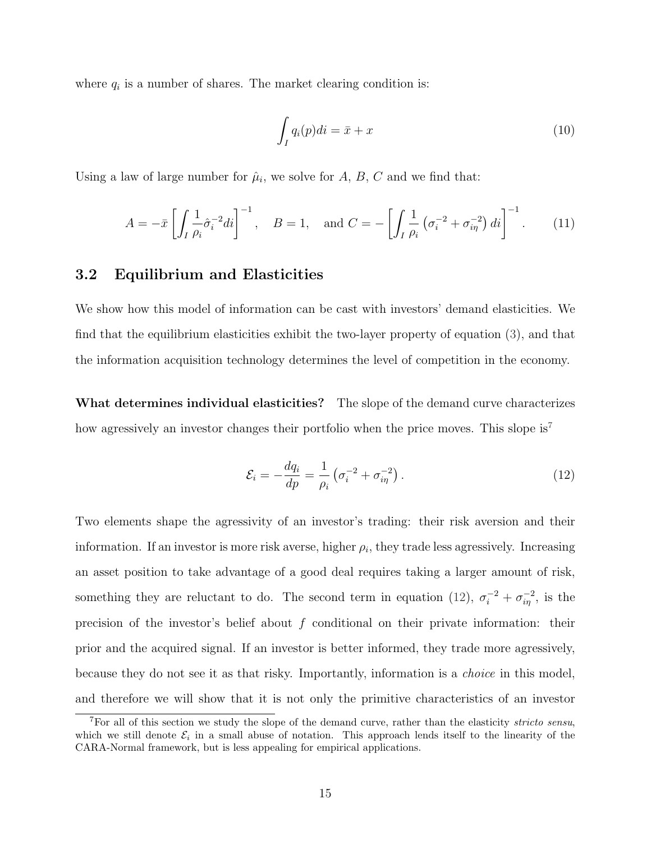where  $q_i$  is a number of shares. The market clearing condition is:

<span id="page-15-2"></span>
$$
\int_{I} q_i(p)di = \bar{x} + x \tag{10}
$$

Using a law of large number for  $\hat{\mu}_i$ , we solve for A, B, C and we find that:

$$
A = -\bar{x} \left[ \int_I \frac{1}{\rho_i} \hat{\sigma}_i^{-2} di \right]^{-1}, \quad B = 1, \text{ and } C = - \left[ \int_I \frac{1}{\rho_i} \left( \sigma_i^{-2} + \sigma_{i\eta}^{-2} \right) di \right]^{-1}.
$$
 (11)

#### 3.2 Equilibrium and Elasticities

We show how this model of information can be cast with investors' demand elasticities. We find that the equilibrium elasticities exhibit the two-layer property of equation [\(3\)](#page-10-0), and that the information acquisition technology determines the level of competition in the economy.

What determines individual elasticities? The slope of the demand curve characterizes how agressively an investor changes their portfolio when the price moves. This slope is<sup>[7](#page-15-0)</sup>

<span id="page-15-1"></span>
$$
\mathcal{E}_{i} = -\frac{dq_{i}}{dp} = \frac{1}{\rho_{i}} \left( \sigma_{i}^{-2} + \sigma_{i\eta}^{-2} \right). \tag{12}
$$

Two elements shape the agressivity of an investor's trading: their risk aversion and their information. If an investor is more risk averse, higher  $\rho_i$ , they trade less agressively. Increasing an asset position to take advantage of a good deal requires taking a larger amount of risk, something they are reluctant to do. The second term in equation [\(12\)](#page-15-1),  $\sigma_i^{-2} + \sigma_{i\eta}^{-2}$ , is the precision of the investor's belief about  $f$  conditional on their private information: their prior and the acquired signal. If an investor is better informed, they trade more agressively, because they do not see it as that risky. Importantly, information is a choice in this model, and therefore we will show that it is not only the primitive characteristics of an investor

<span id="page-15-0"></span><sup>&</sup>lt;sup>7</sup>For all of this section we study the slope of the demand curve, rather than the elasticity *stricto sensu*, which we still denote  $\mathcal{E}_i$  in a small abuse of notation. This approach lends itself to the linearity of the CARA-Normal framework, but is less appealing for empirical applications.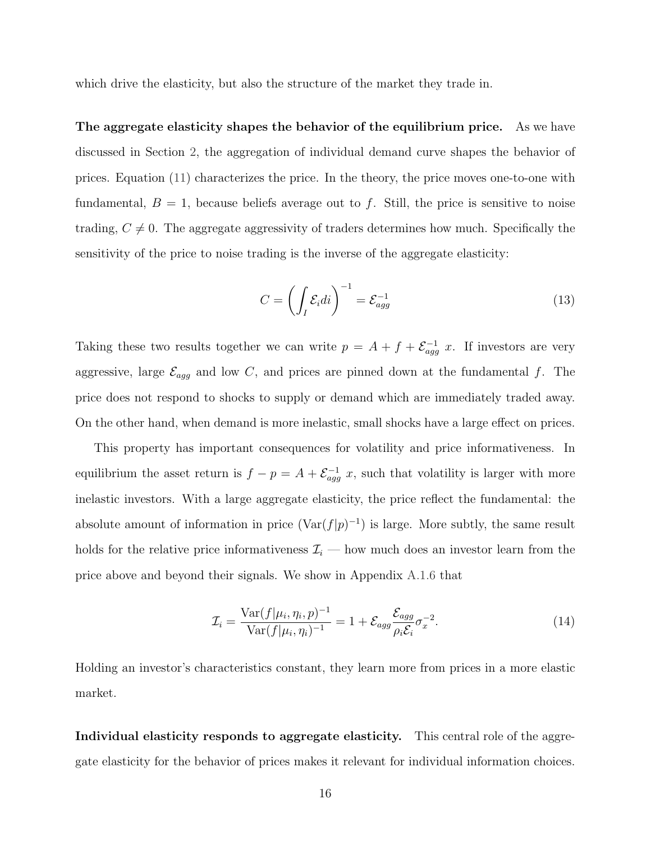which drive the elasticity, but also the structure of the market they trade in.

The aggregate elasticity shapes the behavior of the equilibrium price. As we have discussed in Section [2,](#page-8-0) the aggregation of individual demand curve shapes the behavior of prices. Equation [\(11\)](#page-15-2) characterizes the price. In the theory, the price moves one-to-one with fundamental,  $B = 1$ , because beliefs average out to f. Still, the price is sensitive to noise trading,  $C \neq 0$ . The aggregate aggressivity of traders determines how much. Specifically the sensitivity of the price to noise trading is the inverse of the aggregate elasticity:

$$
C = \left(\int_{I} \mathcal{E}_i di\right)^{-1} = \mathcal{E}_{agg}^{-1} \tag{13}
$$

Taking these two results together we can write  $p = A + f + \mathcal{E}_{agg}^{-1} x$ . If investors are very aggressive, large  $\mathcal{E}_{agg}$  and low C, and prices are pinned down at the fundamental f. The price does not respond to shocks to supply or demand which are immediately traded away. On the other hand, when demand is more inelastic, small shocks have a large effect on prices.

This property has important consequences for volatility and price informativeness. In equilibrium the asset return is  $f - p = A + \mathcal{E}_{agg}^{-1} x$ , such that volatility is larger with more inelastic investors. With a large aggregate elasticity, the price reflect the fundamental: the absolute amount of information in price  $(\text{Var}(f|p)^{-1})$  is large. More subtly, the same result holds for the relative price informativeness  $\mathcal{I}_i$  — how much does an investor learn from the price above and beyond their signals. We show in Appendix [A.1.6](#page-52-1) that

$$
\mathcal{I}_i = \frac{\text{Var}(f|\mu_i, \eta_i, p)^{-1}}{\text{Var}(f|\mu_i, \eta_i)^{-1}} = 1 + \mathcal{E}_{agg} \frac{\mathcal{E}_{agg}}{\rho_i \mathcal{E}_i} \sigma_x^{-2}.
$$
\n(14)

Holding an investor's characteristics constant, they learn more from prices in a more elastic market.

Individual elasticity responds to aggregate elasticity. This central role of the aggregate elasticity for the behavior of prices makes it relevant for individual information choices.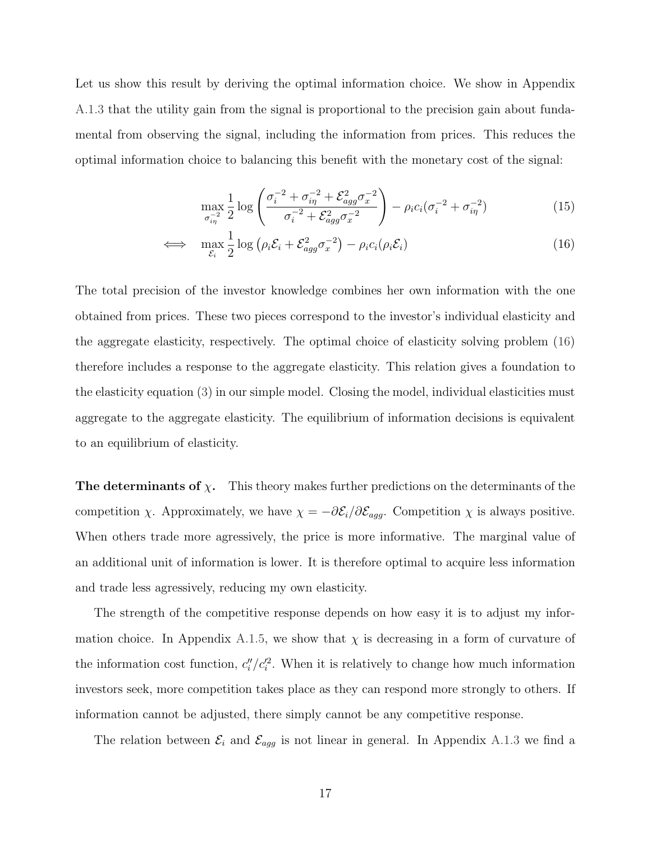Let us show this result by deriving the optimal information choice. We show in Appendix [A.1.3](#page-47-0) that the utility gain from the signal is proportional to the precision gain about fundamental from observing the signal, including the information from prices. This reduces the optimal information choice to balancing this benefit with the monetary cost of the signal:

<span id="page-17-0"></span>
$$
\max_{\sigma_{i\eta}^{-2}} \frac{1}{2} \log \left( \frac{\sigma_i^{-2} + \sigma_{i\eta}^{-2} + \mathcal{E}_{agg}^2 \sigma_x^{-2}}{\sigma_i^{-2} + \mathcal{E}_{agg}^2 \sigma_x^{-2}} \right) - \rho_i c_i (\sigma_i^{-2} + \sigma_{i\eta}^{-2})
$$
(15)

$$
\iff \max_{\mathcal{E}_i} \frac{1}{2} \log \left( \rho_i \mathcal{E}_i + \mathcal{E}_{agg}^2 \sigma_x^{-2} \right) - \rho_i c_i(\rho_i \mathcal{E}_i) \tag{16}
$$

The total precision of the investor knowledge combines her own information with the one obtained from prices. These two pieces correspond to the investor's individual elasticity and the aggregate elasticity, respectively. The optimal choice of elasticity solving problem [\(16\)](#page-17-0) therefore includes a response to the aggregate elasticity. This relation gives a foundation to the elasticity equation [\(3\)](#page-10-0) in our simple model. Closing the model, individual elasticities must aggregate to the aggregate elasticity. The equilibrium of information decisions is equivalent to an equilibrium of elasticity.

**The determinants of**  $\chi$ . This theory makes further predictions on the determinants of the competition  $\chi$ . Approximately, we have  $\chi = -\partial \mathcal{E}_i/\partial \mathcal{E}_{agg}$ . Competition  $\chi$  is always positive. When others trade more agressively, the price is more informative. The marginal value of an additional unit of information is lower. It is therefore optimal to acquire less information and trade less agressively, reducing my own elasticity.

The strength of the competitive response depends on how easy it is to adjust my infor-mation choice. In Appendix [A.1.5,](#page-51-0) we show that  $\chi$  is decreasing in a form of curvature of the information cost function,  $c''_i/c_i^2$ . When it is relatively to change how much information investors seek, more competition takes place as they can respond more strongly to others. If information cannot be adjusted, there simply cannot be any competitive response.

The relation between  $\mathcal{E}_i$  and  $\mathcal{E}_{agg}$  is not linear in general. In Appendix [A.1.3](#page-47-0) we find a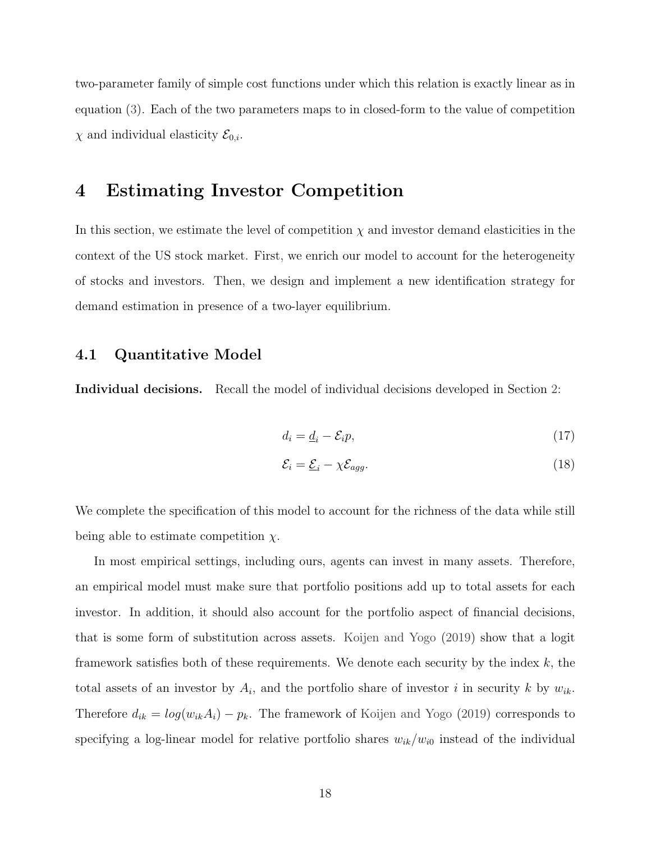two-parameter family of simple cost functions under which this relation is exactly linear as in equation [\(3\)](#page-10-0). Each of the two parameters maps to in closed-form to the value of competition  $\chi$  and individual elasticity  $\mathcal{E}_{0,i}$ .

## <span id="page-18-0"></span>4 Estimating Investor Competition

In this section, we estimate the level of competition  $\chi$  and investor demand elasticities in the context of the US stock market. First, we enrich our model to account for the heterogeneity of stocks and investors. Then, we design and implement a new identification strategy for demand estimation in presence of a two-layer equilibrium.

#### 4.1 Quantitative Model

Individual decisions. Recall the model of individual decisions developed in Section [2:](#page-8-0)

$$
d_i = \underline{d}_i - \mathcal{E}_i p,\tag{17}
$$

$$
\mathcal{E}_i = \underline{\mathcal{E}}_i - \chi \mathcal{E}_{agg}.
$$
\n(18)

We complete the specification of this model to account for the richness of the data while still being able to estimate competition  $\chi$ .

In most empirical settings, including ours, agents can invest in many assets. Therefore, an empirical model must make sure that portfolio positions add up to total assets for each investor. In addition, it should also account for the portfolio aspect of financial decisions, that is some form of substitution across assets. [Koijen and Yogo](#page-43-1) [\(2019\)](#page-43-1) show that a logit framework satisfies both of these requirements. We denote each security by the index  $k$ , the total assets of an investor by  $A_i$ , and the portfolio share of investor i in security k by  $w_{ik}$ . Therefore  $d_{ik} = log(w_{ik}A_i) - p_k$ . The framework of [Koijen and Yogo](#page-43-1) [\(2019\)](#page-43-1) corresponds to specifying a log-linear model for relative portfolio shares  $w_{ik}/w_{i0}$  instead of the individual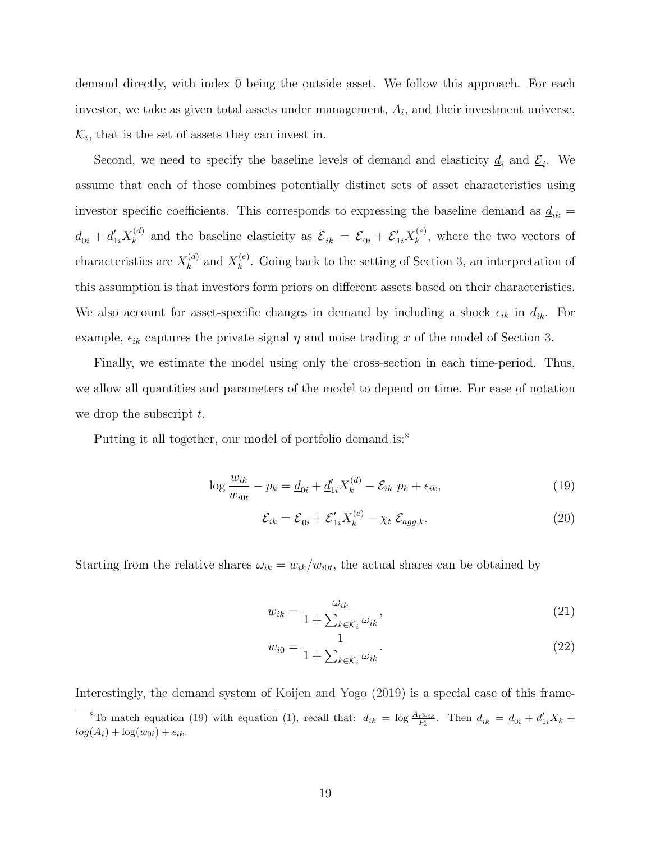demand directly, with index 0 being the outside asset. We follow this approach. For each investor, we take as given total assets under management,  $A_i$ , and their investment universe,  $\mathcal{K}_i$ , that is the set of assets they can invest in.

Second, we need to specify the baseline levels of demand and elasticity  $\underline{d}_i$  and  $\underline{\mathcal{E}}_i$ . We assume that each of those combines potentially distinct sets of asset characteristics using investor specific coefficients. This corresponds to expressing the baseline demand as  $\underline{d}_{ik}$  =  $\underline{d}_{0i} + \underline{d}_{1i}'X_k^{(d)}$  $\mathcal{L}_{k}^{(d)}$  and the baseline elasticity as  $\underline{\mathcal{E}}_{ik} = \underline{\mathcal{E}}_{0i} + \underline{\mathcal{E}}'_{1i} X_{k}^{(e)}$  $\mathbf{k}^{(e)}$ , where the two vectors of characteristics are  $X_k^{(d)}$  $\chi_k^{(d)}$  and  $X_k^{(e)}$  $\kappa^{(e)}$ . Going back to the setting of Section [3,](#page-13-0) an interpretation of this assumption is that investors form priors on different assets based on their characteristics. We also account for asset-specific changes in demand by including a shock  $\epsilon_{ik}$  in  $\underline{d}_{ik}$ . For example,  $\epsilon_{ik}$  captures the private signal  $\eta$  and noise trading x of the model of Section [3.](#page-13-0)

Finally, we estimate the model using only the cross-section in each time-period. Thus, we allow all quantities and parameters of the model to depend on time. For ease of notation we drop the subscript  $t$ .

Putting it all together, our model of portfolio demand is:<sup>[8](#page-19-0)</sup>

$$
\log \frac{w_{ik}}{w_{i0t}} - p_k = \underline{d}_{0i} + \underline{d}'_{1i} X_k^{(d)} - \mathcal{E}_{ik} \ p_k + \epsilon_{ik}, \tag{19}
$$

<span id="page-19-2"></span><span id="page-19-1"></span>
$$
\mathcal{E}_{ik} = \underline{\mathcal{E}}_{0i} + \underline{\mathcal{E}}'_{1i} X_k^{(e)} - \chi_t \ \mathcal{E}_{agg,k}.\tag{20}
$$

Starting from the relative shares  $\omega_{ik} = w_{ik}/w_{i0t}$ , the actual shares can be obtained by

$$
w_{ik} = \frac{\omega_{ik}}{1 + \sum_{k \in \mathcal{K}_i} \omega_{ik}},\tag{21}
$$

$$
w_{i0} = \frac{1}{1 + \sum_{k \in \mathcal{K}_i} \omega_{ik}}.\tag{22}
$$

Interestingly, the demand system of [Koijen and Yogo](#page-43-1) [\(2019\)](#page-43-1) is a special case of this frame-

<span id="page-19-0"></span><sup>&</sup>lt;sup>8</sup>To match equation [\(19\)](#page-19-1) with equation [\(1\)](#page-8-1), recall that:  $d_{ik} = \log \frac{A_i w_{ik}}{P_k}$ . Then  $\underline{d}_{ik} = \underline{d}_{0i} + \underline{d}'_{1i} X_k$  +  $log(A_i) + log(w_{0i}) + \epsilon_{ik}.$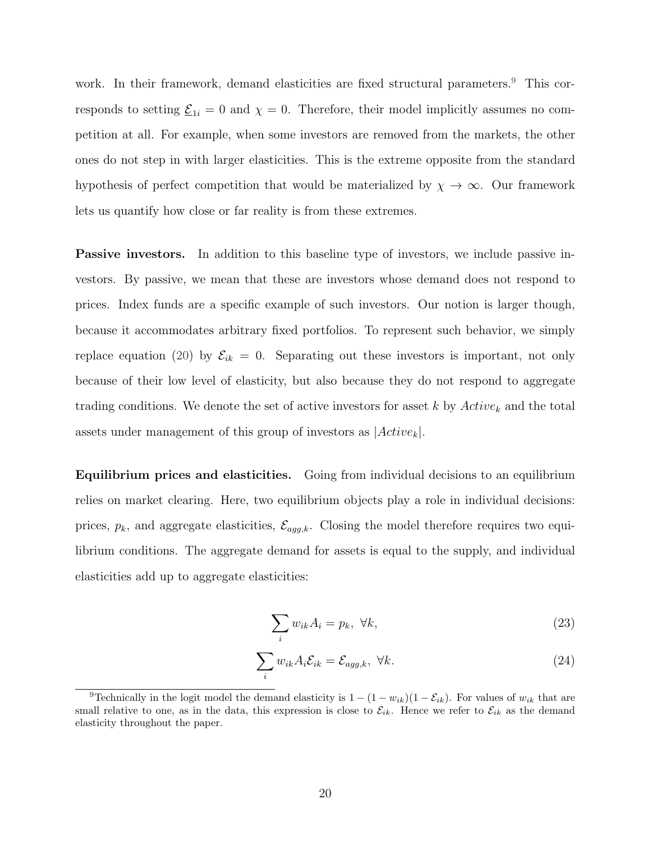work. In their framework, demand elasticities are fixed structural parameters.<sup>[9](#page-20-0)</sup> This corresponds to setting  $\underline{\mathcal{E}}_{1i} = 0$  and  $\chi = 0$ . Therefore, their model implicitly assumes no competition at all. For example, when some investors are removed from the markets, the other ones do not step in with larger elasticities. This is the extreme opposite from the standard hypothesis of perfect competition that would be materialized by  $\chi \to \infty$ . Our framework lets us quantify how close or far reality is from these extremes.

**Passive investors.** In addition to this baseline type of investors, we include passive investors. By passive, we mean that these are investors whose demand does not respond to prices. Index funds are a specific example of such investors. Our notion is larger though, because it accommodates arbitrary fixed portfolios. To represent such behavior, we simply replace equation [\(20\)](#page-19-2) by  $\mathcal{E}_{ik} = 0$ . Separating out these investors is important, not only because of their low level of elasticity, but also because they do not respond to aggregate trading conditions. We denote the set of active investors for asset k by  $Active_k$  and the total assets under management of this group of investors as  $|Active_k|.$ 

Equilibrium prices and elasticities. Going from individual decisions to an equilibrium relies on market clearing. Here, two equilibrium objects play a role in individual decisions: prices,  $p_k$ , and aggregate elasticities,  $\mathcal{E}_{agg,k}$ . Closing the model therefore requires two equilibrium conditions. The aggregate demand for assets is equal to the supply, and individual elasticities add up to aggregate elasticities:

<span id="page-20-2"></span><span id="page-20-1"></span>
$$
\sum_{i} w_{ik} A_i = p_k, \ \forall k,
$$
\n(23)

$$
\sum_{i} w_{ik} A_i \mathcal{E}_{ik} = \mathcal{E}_{agg,k}, \ \forall k. \tag{24}
$$

<span id="page-20-0"></span><sup>&</sup>lt;sup>9</sup>Technically in the logit model the demand elasticity is  $1 - (1 - w_{ik})(1 - \mathcal{E}_{ik})$ . For values of  $w_{ik}$  that are small relative to one, as in the data, this expression is close to  $\mathcal{E}_{ik}$ . Hence we refer to  $\mathcal{E}_{ik}$  as the demand elasticity throughout the paper.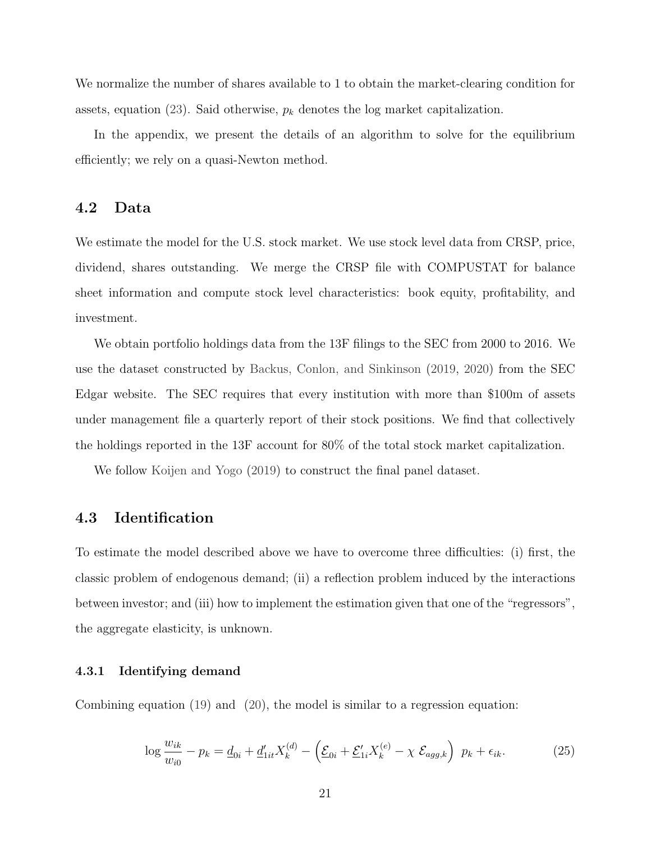We normalize the number of shares available to 1 to obtain the market-clearing condition for assets, equation [\(23\)](#page-20-1). Said otherwise,  $p_k$  denotes the log market capitalization.

In the appendix, we present the details of an algorithm to solve for the equilibrium efficiently; we rely on a quasi-Newton method.

#### 4.2 Data

We estimate the model for the U.S. stock market. We use stock level data from CRSP, price, dividend, shares outstanding. We merge the CRSP file with COMPUSTAT for balance sheet information and compute stock level characteristics: book equity, profitability, and investment.

We obtain portfolio holdings data from the 13F filings to the SEC from 2000 to 2016. We use the dataset constructed by [Backus, Conlon, and Sinkinson](#page-42-13) [\(2019,](#page-42-13) [2020\)](#page-42-14) from the SEC Edgar website. The SEC requires that every institution with more than \$100m of assets under management file a quarterly report of their stock positions. We find that collectively the holdings reported in the 13F account for 80% of the total stock market capitalization.

We follow [Koijen and Yogo](#page-43-1) [\(2019\)](#page-43-1) to construct the final panel dataset.

#### 4.3 Identification

To estimate the model described above we have to overcome three difficulties: (i) first, the classic problem of endogenous demand; (ii) a reflection problem induced by the interactions between investor; and (iii) how to implement the estimation given that one of the "regressors", the aggregate elasticity, is unknown.

#### 4.3.1 Identifying demand

Combining equation [\(19\)](#page-19-1) and [\(20\)](#page-19-2), the model is similar to a regression equation:

<span id="page-21-0"></span>
$$
\log \frac{w_{ik}}{w_{i0}} - p_k = \underline{d}_{0i} + \underline{d}'_{1it} X_k^{(d)} - \left(\underline{\mathcal{E}}_{0i} + \underline{\mathcal{E}}'_{1i} X_k^{(e)} - \chi \ \underline{\mathcal{E}}_{agg,k}\right) \ p_k + \epsilon_{ik}.
$$
 (25)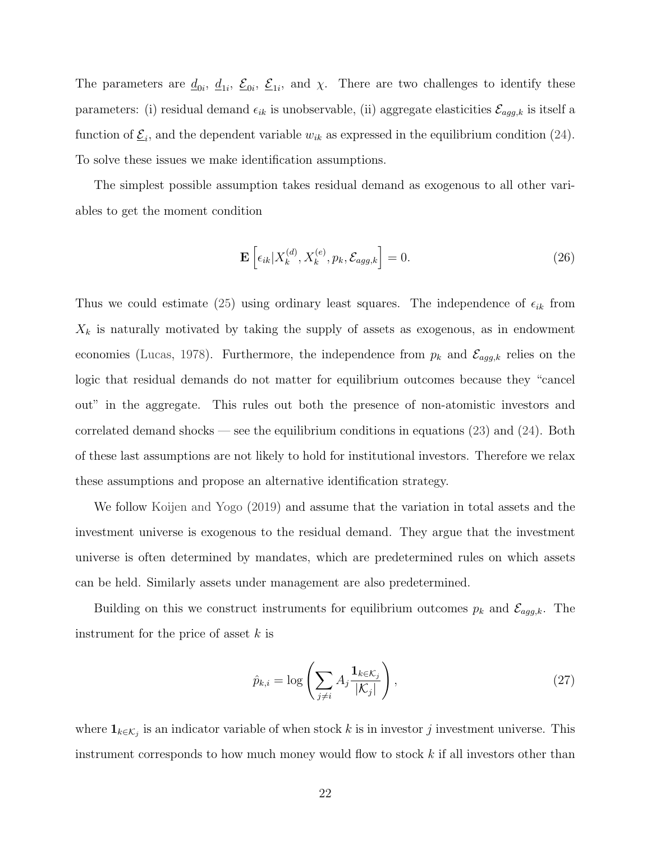The parameters are  $\underline{d}_{0i}$ ,  $\underline{d}_{1i}$ ,  $\underline{\mathcal{E}}_{0i}$ ,  $\underline{\mathcal{E}}_{1i}$ , and  $\chi$ . There are two challenges to identify these parameters: (i) residual demand  $\epsilon_{ik}$  is unobservable, (ii) aggregate elasticities  $\mathcal{E}_{agg,k}$  is itself a function of  $\underline{\mathcal{E}}_i$ , and the dependent variable  $w_{ik}$  as expressed in the equilibrium condition [\(24\)](#page-20-2). To solve these issues we make identification assumptions.

The simplest possible assumption takes residual demand as exogenous to all other variables to get the moment condition

<span id="page-22-0"></span>
$$
\mathbf{E}\left[\epsilon_{ik}|X_k^{(d)}, X_k^{(e)}, p_k, \mathcal{E}_{agg,k}\right] = 0. \tag{26}
$$

Thus we could estimate [\(25\)](#page-21-0) using ordinary least squares. The independence of  $\epsilon_{ik}$  from  $X_k$  is naturally motivated by taking the supply of assets as exogenous, as in endowment economies [\(Lucas,](#page-44-12) [1978\)](#page-44-12). Furthermore, the independence from  $p_k$  and  $\mathcal{E}_{agg,k}$  relies on the logic that residual demands do not matter for equilibrium outcomes because they "cancel out" in the aggregate. This rules out both the presence of non-atomistic investors and correlated demand shocks — see the equilibrium conditions in equations [\(23\)](#page-20-1) and [\(24\)](#page-20-2). Both of these last assumptions are not likely to hold for institutional investors. Therefore we relax these assumptions and propose an alternative identification strategy.

We follow [Koijen and Yogo](#page-43-1) [\(2019\)](#page-43-1) and assume that the variation in total assets and the investment universe is exogenous to the residual demand. They argue that the investment universe is often determined by mandates, which are predetermined rules on which assets can be held. Similarly assets under management are also predetermined.

Building on this we construct instruments for equilibrium outcomes  $p_k$  and  $\mathcal{E}_{agg,k}$ . The instrument for the price of asset  $k$  is

$$
\hat{p}_{k,i} = \log \left( \sum_{j \neq i} A_j \frac{\mathbf{1}_{k \in \mathcal{K}_j}}{|\mathcal{K}_j|} \right),\tag{27}
$$

where  $\mathbf{1}_{k \in \mathcal{K}_j}$  is an indicator variable of when stock k is in investor j investment universe. This instrument corresponds to how much money would flow to stock  $k$  if all investors other than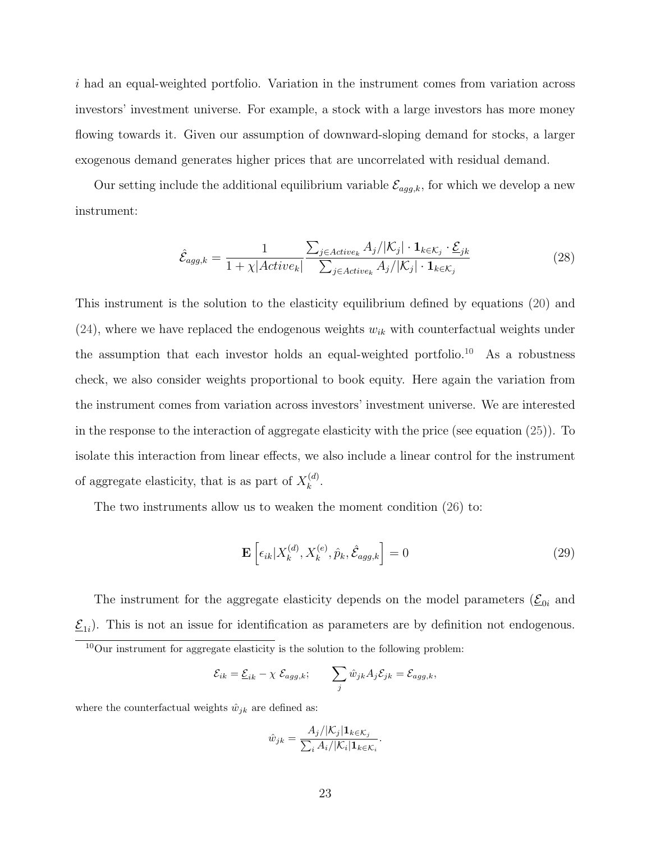i had an equal-weighted portfolio. Variation in the instrument comes from variation across investors' investment universe. For example, a stock with a large investors has more money flowing towards it. Given our assumption of downward-sloping demand for stocks, a larger exogenous demand generates higher prices that are uncorrelated with residual demand.

Our setting include the additional equilibrium variable  $\mathcal{E}_{agg,k}$ , for which we develop a new instrument:

$$
\hat{\mathcal{E}}_{agg,k} = \frac{1}{1 + \chi |Active_k|} \frac{\sum_{j \in Active_k} A_j / |\mathcal{K}_j| \cdot \mathbf{1}_{k \in \mathcal{K}_j} \cdot \underline{\mathcal{E}}_{jk}}{\sum_{j \in Active_k} A_j / |\mathcal{K}_j| \cdot \mathbf{1}_{k \in \mathcal{K}_j}} \tag{28}
$$

This instrument is the solution to the elasticity equilibrium defined by equations [\(20\)](#page-19-2) and  $(24)$ , where we have replaced the endogenous weights  $w_{ik}$  with counterfactual weights under the assumption that each investor holds an equal-weighted portfolio.<sup>[10](#page-23-0)</sup> As a robustness check, we also consider weights proportional to book equity. Here again the variation from the instrument comes from variation across investors' investment universe. We are interested in the response to the interaction of aggregate elasticity with the price (see equation [\(25\)](#page-21-0)). To isolate this interaction from linear effects, we also include a linear control for the instrument of aggregate elasticity, that is as part of  $X_k^{(d)}$  $\frac{(a)}{k}$ .

The two instruments allow us to weaken the moment condition [\(26\)](#page-22-0) to:

$$
\mathbf{E}\left[\epsilon_{ik}|X_k^{(d)}, X_k^{(e)}, \hat{p}_k, \hat{\mathcal{E}}_{agg,k}\right] = 0
$$
\n(29)

The instrument for the aggregate elasticity depends on the model parameters  $(\underline{\mathcal{E}}_{0i})$  and  $\underline{\mathcal{E}}_{1i}$ . This is not an issue for identification as parameters are by definition not endogenous.

$$
\mathcal{E}_{ik} = \underline{\mathcal{E}}_{ik} - \chi \ \mathcal{E}_{agg,k}; \qquad \sum_j \hat{w}_{jk} A_j \mathcal{E}_{jk} = \mathcal{E}_{agg,k},
$$

where the counterfactual weights  $\hat{w}_{jk}$  are defined as:

$$
\hat{w}_{jk} = \frac{A_j/|\mathcal{K}_j| \mathbf{1}_{k \in \mathcal{K}_j}}{\sum_i A_i/|\mathcal{K}_i| \mathbf{1}_{k \in \mathcal{K}_i}}.
$$

<span id="page-23-0"></span><sup>10</sup>Our instrument for aggregate elasticity is the solution to the following problem: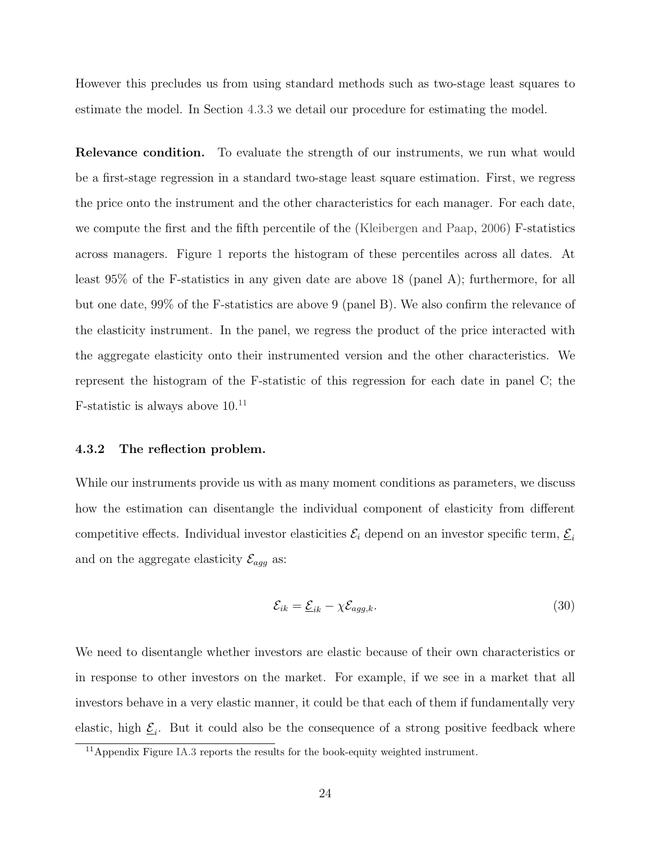However this precludes us from using standard methods such as two-stage least squares to estimate the model. In Section [4.3.3](#page-26-0) we detail our procedure for estimating the model.

Relevance condition. To evaluate the strength of our instruments, we run what would be a first-stage regression in a standard two-stage least square estimation. First, we regress the price onto the instrument and the other characteristics for each manager. For each date, we compute the first and the fifth percentile of the [\(Kleibergen and Paap,](#page-43-14) [2006\)](#page-43-14) F-statistics across managers. Figure [1](#page-25-0) reports the histogram of these percentiles across all dates. At least 95% of the F-statistics in any given date are above 18 (panel A); furthermore, for all but one date, 99% of the F-statistics are above 9 (panel B). We also confirm the relevance of the elasticity instrument. In the panel, we regress the product of the price interacted with the aggregate elasticity onto their instrumented version and the other characteristics. We represent the histogram of the F-statistic of this regression for each date in panel C; the F-statistic is always above  $10^{11}$  $10^{11}$  $10^{11}$ 

#### 4.3.2 The reflection problem.

While our instruments provide us with as many moment conditions as parameters, we discuss how the estimation can disentangle the individual component of elasticity from different competitive effects. Individual investor elasticities  $\mathcal{E}_i$  depend on an investor specific term,  $\underline{\mathcal{E}}_i$ and on the aggregate elasticity  $\mathcal{E}_{agg}$  as:

<span id="page-24-1"></span>
$$
\mathcal{E}_{ik} = \underline{\mathcal{E}}_{ik} - \chi \mathcal{E}_{agg,k}.\tag{30}
$$

We need to disentangle whether investors are elastic because of their own characteristics or in response to other investors on the market. For example, if we see in a market that all investors behave in a very elastic manner, it could be that each of them if fundamentally very elastic, high  $\underline{\mathcal{E}}_i$ . But it could also be the consequence of a strong positive feedback where

<span id="page-24-0"></span><sup>11</sup>Appendix Figure [IA.3](#page-57-0) reports the results for the book-equity weighted instrument.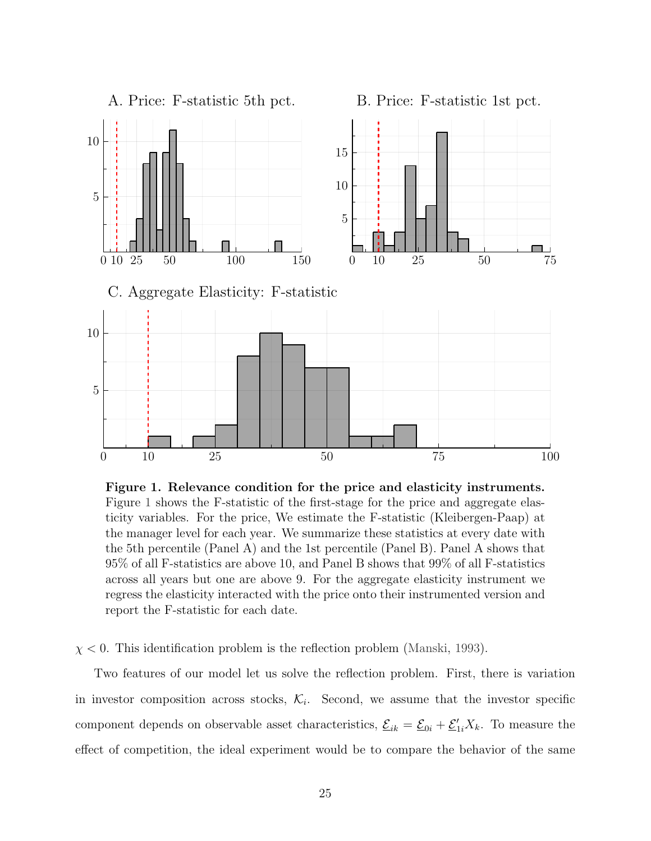<span id="page-25-0"></span>

Figure 1. Relevance condition for the price and elasticity instruments. Figure [1](#page-25-0) shows the F-statistic of the first-stage for the price and aggregate elasticity variables. For the price, We estimate the F-statistic (Kleibergen-Paap) at the manager level for each year. We summarize these statistics at every date with the 5th percentile (Panel A) and the 1st percentile (Panel B). Panel A shows that 95% of all F-statistics are above 10, and Panel B shows that 99% of all F-statistics across all years but one are above 9. For the aggregate elasticity instrument we regress the elasticity interacted with the price onto their instrumented version and report the F-statistic for each date.

 $\chi$  < 0. This identification problem is the reflection problem [\(Manski,](#page-44-2) [1993\)](#page-44-2).

Two features of our model let us solve the reflection problem. First, there is variation in investor composition across stocks,  $\mathcal{K}_i$ . Second, we assume that the investor specific component depends on observable asset characteristics,  $\mathcal{L}_{ik} = \mathcal{L}_{0i} + \mathcal{L}'_{1i}X_k$ . To measure the effect of competition, the ideal experiment would be to compare the behavior of the same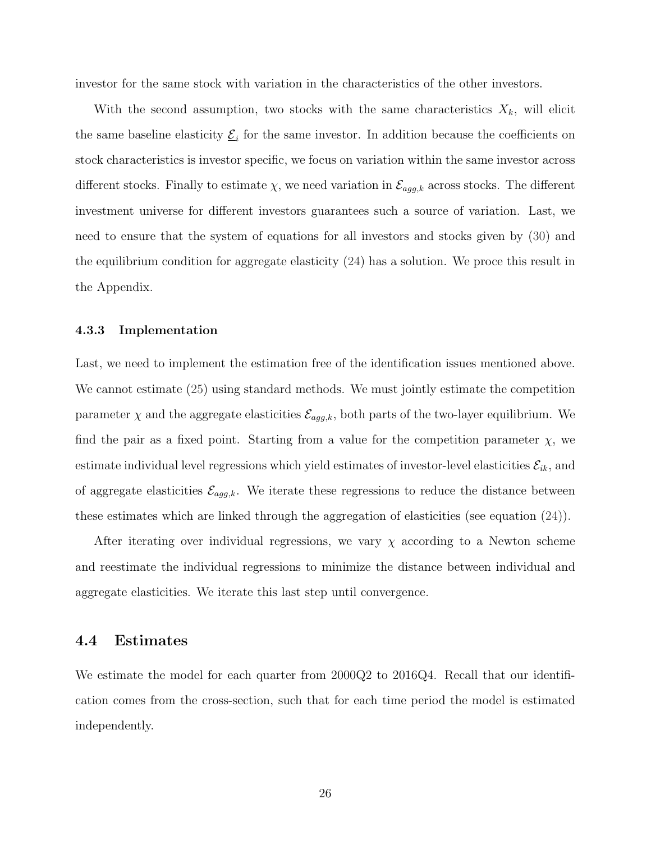investor for the same stock with variation in the characteristics of the other investors.

With the second assumption, two stocks with the same characteristics  $X_k$ , will elicit the same baseline elasticity  $\underline{\mathcal{E}}_i$  for the same investor. In addition because the coefficients on stock characteristics is investor specific, we focus on variation within the same investor across different stocks. Finally to estimate  $\chi$ , we need variation in  $\mathcal{E}_{agg,k}$  across stocks. The different investment universe for different investors guarantees such a source of variation. Last, we need to ensure that the system of equations for all investors and stocks given by [\(30\)](#page-24-1) and the equilibrium condition for aggregate elasticity [\(24\)](#page-20-2) has a solution. We proce this result in the Appendix.

#### <span id="page-26-0"></span>4.3.3 Implementation

Last, we need to implement the estimation free of the identification issues mentioned above. We cannot estimate [\(25\)](#page-21-0) using standard methods. We must jointly estimate the competition parameter  $\chi$  and the aggregate elasticities  $\mathcal{E}_{agg,k}$ , both parts of the two-layer equilibrium. We find the pair as a fixed point. Starting from a value for the competition parameter  $\chi$ , we estimate individual level regressions which yield estimates of investor-level elasticities  $\mathcal{E}_{ik}$ , and of aggregate elasticities  $\mathcal{E}_{agg,k}$ . We iterate these regressions to reduce the distance between these estimates which are linked through the aggregation of elasticities (see equation [\(24\)](#page-20-2)).

After iterating over individual regressions, we vary  $\chi$  according to a Newton scheme and reestimate the individual regressions to minimize the distance between individual and aggregate elasticities. We iterate this last step until convergence.

#### 4.4 Estimates

We estimate the model for each quarter from 2000Q2 to 2016Q4. Recall that our identification comes from the cross-section, such that for each time period the model is estimated independently.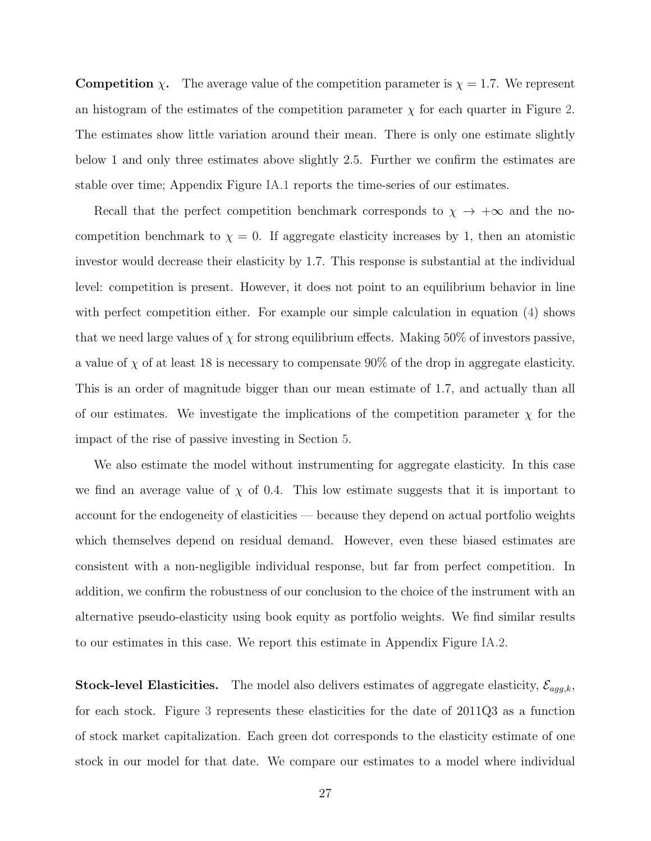**Competition**  $\chi$ . The average value of the competition parameter is  $\chi = 1.7$ . We represent an histogram of the estimates of the competition parameter  $\chi$  for each quarter in Figure [2.](#page-28-0) The estimates show little variation around their mean. There is only one estimate slightly below 1 and only three estimates above slightly 2.5. Further we confirm the estimates are stable over time; Appendix Figure [IA.1](#page-56-0) reports the time-series of our estimates.

Recall that the perfect competition benchmark corresponds to  $\chi \rightarrow +\infty$  and the nocompetition benchmark to  $\chi = 0$ . If aggregate elasticity increases by 1, then an atomistic investor would decrease their elasticity by 1.7. This response is substantial at the individual level: competition is present. However, it does not point to an equilibrium behavior in line with perfect competition either. For example our simple calculation in equation [\(4\)](#page-12-0) shows that we need large values of  $\chi$  for strong equilibrium effects. Making 50% of investors passive, a value of  $\chi$  of at least 18 is necessary to compensate 90% of the drop in aggregate elasticity. This is an order of magnitude bigger than our mean estimate of 1.7, and actually than all of our estimates. We investigate the implications of the competition parameter  $\chi$  for the impact of the rise of passive investing in Section [5.](#page-30-1)

We also estimate the model without instrumenting for aggregate elasticity. In this case we find an average value of  $\chi$  of 0.4. This low estimate suggests that it is important to account for the endogeneity of elasticities — because they depend on actual portfolio weights which themselves depend on residual demand. However, even these biased estimates are consistent with a non-negligible individual response, but far from perfect competition. In addition, we confirm the robustness of our conclusion to the choice of the instrument with an alternative pseudo-elasticity using book equity as portfolio weights. We find similar results to our estimates in this case. We report this estimate in Appendix Figure [IA.2.](#page-57-1)

**Stock-level Elasticities.** The model also delivers estimates of aggregate elasticity,  $\mathcal{E}_{agg,k}$ , for each stock. Figure [3](#page-29-0) represents these elasticities for the date of 2011Q3 as a function of stock market capitalization. Each green dot corresponds to the elasticity estimate of one stock in our model for that date. We compare our estimates to a model where individual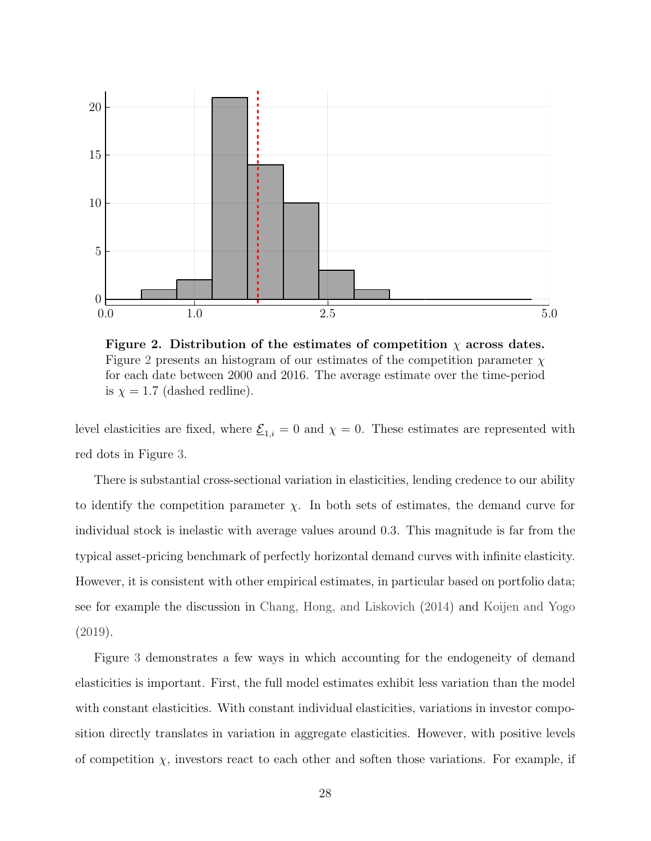<span id="page-28-0"></span>

Figure 2. Distribution of the estimates of competition  $\chi$  across dates. Figure [2](#page-28-0) presents an histogram of our estimates of the competition parameter  $\chi$ for each date between 2000 and 2016. The average estimate over the time-period is  $\chi = 1.7$  (dashed redline).

level elasticities are fixed, where  $\underline{\mathcal{E}}_{1,i} = 0$  and  $\chi = 0$ . These estimates are represented with red dots in Figure [3.](#page-29-0)

There is substantial cross-sectional variation in elasticities, lending credence to our ability to identify the competition parameter  $\chi$ . In both sets of estimates, the demand curve for individual stock is inelastic with average values around 0.3. This magnitude is far from the typical asset-pricing benchmark of perfectly horizontal demand curves with infinite elasticity. However, it is consistent with other empirical estimates, in particular based on portfolio data; see for example the discussion in [Chang, Hong, and Liskovich](#page-42-8) [\(2014\)](#page-42-8) and [Koijen and Yogo](#page-43-1) [\(2019\)](#page-43-1).

Figure [3](#page-29-0) demonstrates a few ways in which accounting for the endogeneity of demand elasticities is important. First, the full model estimates exhibit less variation than the model with constant elasticities. With constant individual elasticities, variations in investor composition directly translates in variation in aggregate elasticities. However, with positive levels of competition  $\chi$ , investors react to each other and soften those variations. For example, if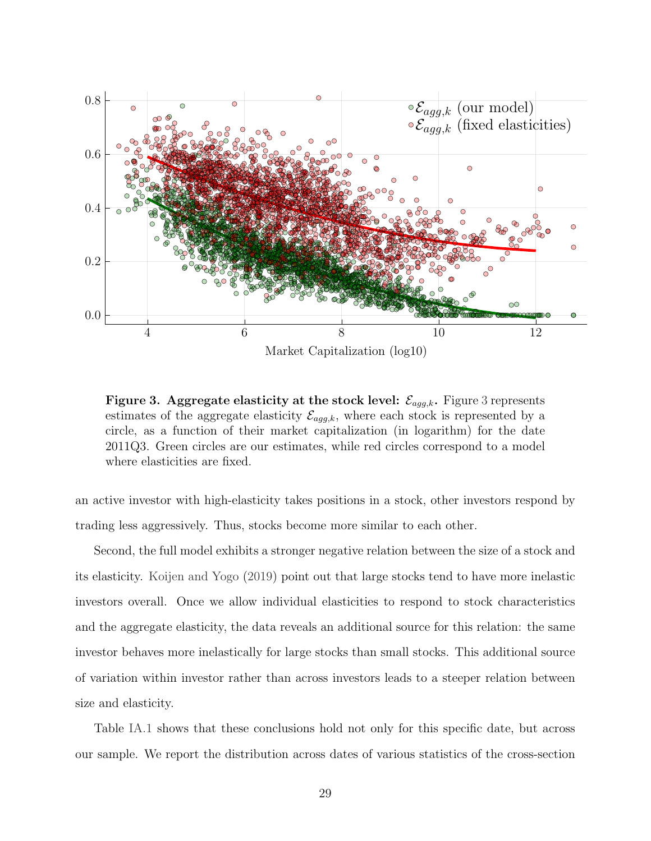<span id="page-29-0"></span>

Figure [3](#page-29-0). Aggregate elasticity at the stock level:  $\mathcal{E}_{agg,k}$ . Figure 3 represents estimates of the aggregate elasticity  $\mathcal{E}_{agg,k}$ , where each stock is represented by a circle, as a function of their market capitalization (in logarithm) for the date 2011Q3. Green circles are our estimates, while red circles correspond to a model where elasticities are fixed.

an active investor with high-elasticity takes positions in a stock, other investors respond by trading less aggressively. Thus, stocks become more similar to each other.

Second, the full model exhibits a stronger negative relation between the size of a stock and its elasticity. [Koijen and Yogo](#page-43-1) [\(2019\)](#page-43-1) point out that large stocks tend to have more inelastic investors overall. Once we allow individual elasticities to respond to stock characteristics and the aggregate elasticity, the data reveals an additional source for this relation: the same investor behaves more inelastically for large stocks than small stocks. This additional source of variation within investor rather than across investors leads to a steeper relation between size and elasticity.

Table [IA.1](#page-55-0) shows that these conclusions hold not only for this specific date, but across our sample. We report the distribution across dates of various statistics of the cross-section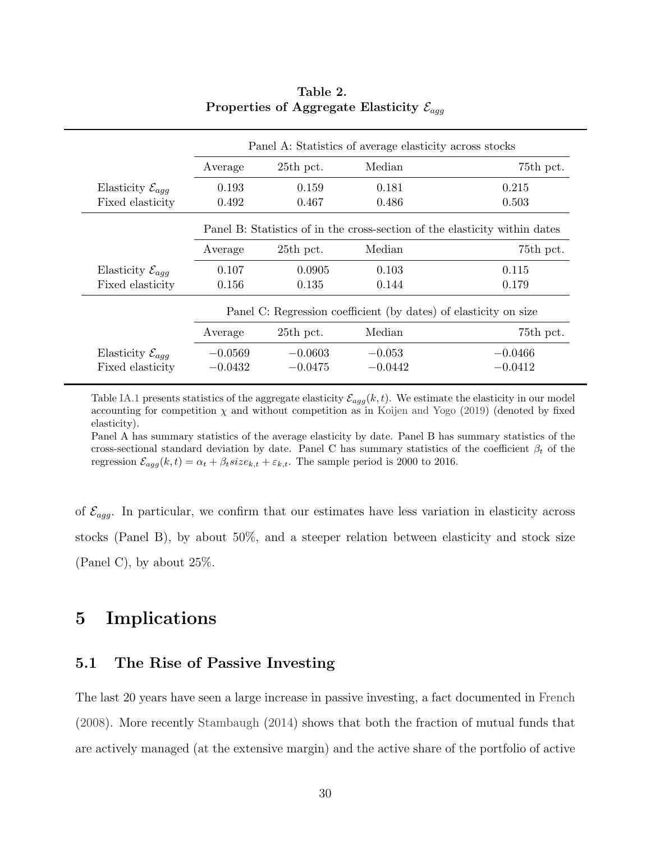|                                    | Average   | 25th pct.   | Median                                                           | 75th pct.                                                                  |
|------------------------------------|-----------|-------------|------------------------------------------------------------------|----------------------------------------------------------------------------|
| Elasticity $\mathcal{E}_{agg}$     | 0.193     | 0.159       | 0.181                                                            | 0.215                                                                      |
| Fixed elasticity                   | 0.492     | 0.467       | 0.486                                                            | 0.503                                                                      |
|                                    |           |             |                                                                  | Panel B: Statistics of in the cross-section of the elasticity within dates |
|                                    | Average   | $25th$ pct. | Median                                                           | 75th pct.                                                                  |
| Elasticity $\mathcal{E}_{a\alpha}$ | 0.107     | 0.0905      | 0.103                                                            | 0.115                                                                      |
| Fixed elasticity                   | 0.156     | 0.135       | 0.144                                                            | 0.179                                                                      |
|                                    |           |             | Panel C: Regression coefficient (by dates) of elasticity on size |                                                                            |
|                                    | Average   | 25th pct.   | Median                                                           | 75th pct.                                                                  |
| Elasticity $\mathcal{E}_{aqq}$     | $-0.0569$ | $-0.0603$   | $-0.053$                                                         | $-0.0466$                                                                  |
| Fixed elasticity                   | $-0.0432$ | $-0.0475$   | $-0.0442$                                                        | $-0.0412$                                                                  |

#### Table 2. Properties of Aggregate Elasticity  $\mathcal{E}_{\text{a}qq}$

Table [IA.1](#page-55-0) presents statistics of the aggregate elasticity  $\mathcal{E}_{agg}(k, t)$ . We estimate the elasticity in our model accounting for competition  $\chi$  and without competition as in [Koijen and Yogo](#page-43-1) [\(2019\)](#page-43-1) (denoted by fixed elasticity).

Panel A has summary statistics of the average elasticity by date. Panel B has summary statistics of the cross-sectional standard deviation by date. Panel C has summary statistics of the coefficient  $\beta_t$  of the regression  $\mathcal{E}_{agg}(k, t) = \alpha_t + \beta_t size_{k,t} + \varepsilon_{k,t}$ . The sample period is 2000 to 2016.

of  $\mathcal{E}_{agg}$ . In particular, we confirm that our estimates have less variation in elasticity across stocks (Panel B), by about 50%, and a steeper relation between elasticity and stock size (Panel C), by about 25%.

## <span id="page-30-1"></span>5 Implications

#### <span id="page-30-0"></span>5.1 The Rise of Passive Investing

The last 20 years have seen a large increase in passive investing, a fact documented in [French](#page-42-7) [\(2008\)](#page-42-7). More recently [Stambaugh](#page-44-9) [\(2014\)](#page-44-9) shows that both the fraction of mutual funds that are actively managed (at the extensive margin) and the active share of the portfolio of active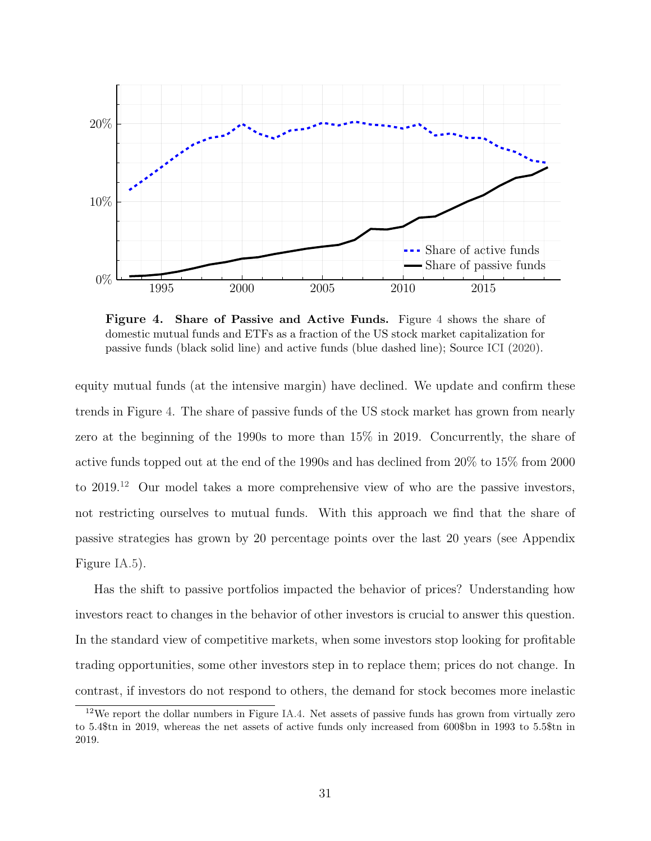<span id="page-31-0"></span>

Figure 4. Share of Passive and Active Funds. Figure [4](#page-31-0) shows the share of domestic mutual funds and ETFs as a fraction of the US stock market capitalization for passive funds (black solid line) and active funds (blue dashed line); Source [ICI](#page-42-0) [\(2020\)](#page-42-0).

equity mutual funds (at the intensive margin) have declined. We update and confirm these trends in Figure [4.](#page-31-0) The share of passive funds of the US stock market has grown from nearly zero at the beginning of the 1990s to more than 15% in 2019. Concurrently, the share of active funds topped out at the end of the 1990s and has declined from 20% to 15% from 2000 to 2019.<sup>[12](#page-31-1)</sup> Our model takes a more comprehensive view of who are the passive investors, not restricting ourselves to mutual funds. With this approach we find that the share of passive strategies has grown by 20 percentage points over the last 20 years (see Appendix Figure [IA.5\)](#page-58-0).

Has the shift to passive portfolios impacted the behavior of prices? Understanding how investors react to changes in the behavior of other investors is crucial to answer this question. In the standard view of competitive markets, when some investors stop looking for profitable trading opportunities, some other investors step in to replace them; prices do not change. In contrast, if investors do not respond to others, the demand for stock becomes more inelastic

<span id="page-31-1"></span><sup>12</sup>We report the dollar numbers in Figure [IA.4.](#page-58-1) Net assets of passive funds has grown from virtually zero to 5.4\$tn in 2019, whereas the net assets of active funds only increased from 600\$bn in 1993 to 5.5\$tn in 2019.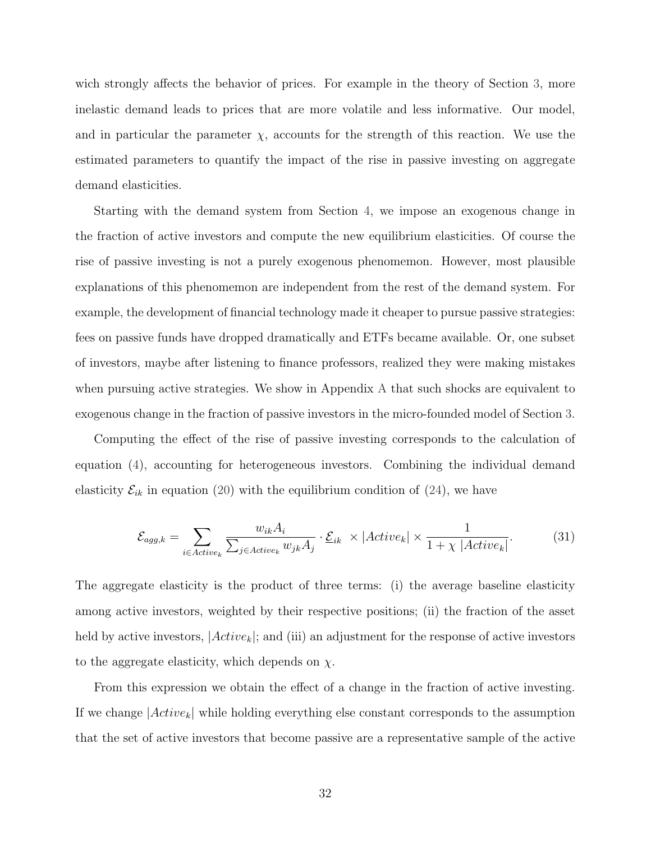wich strongly affects the behavior of prices. For example in the theory of Section [3,](#page-13-0) more inelastic demand leads to prices that are more volatile and less informative. Our model, and in particular the parameter  $\chi$ , accounts for the strength of this reaction. We use the estimated parameters to quantify the impact of the rise in passive investing on aggregate demand elasticities.

Starting with the demand system from Section [4,](#page-18-0) we impose an exogenous change in the fraction of active investors and compute the new equilibrium elasticities. Of course the rise of passive investing is not a purely exogenous phenomemon. However, most plausible explanations of this phenomemon are independent from the rest of the demand system. For example, the development of financial technology made it cheaper to pursue passive strategies: fees on passive funds have dropped dramatically and ETFs became available. Or, one subset of investors, maybe after listening to finance professors, realized they were making mistakes when pursuing active strategies. We show in Appendix [A](#page-45-0) that such shocks are equivalent to exogenous change in the fraction of passive investors in the micro-founded model of Section [3.](#page-13-0)

Computing the effect of the rise of passive investing corresponds to the calculation of equation [\(4\)](#page-12-0), accounting for heterogeneous investors. Combining the individual demand elasticity  $\mathcal{E}_{ik}$  in equation [\(20\)](#page-19-2) with the equilibrium condition of [\(24\)](#page-20-2), we have

<span id="page-32-0"></span>
$$
\mathcal{E}_{agg,k} = \sum_{i \in Active_k} \frac{w_{ik} A_i}{\sum_{j \in Active_k} w_{jk} A_j} \cdot \underline{\mathcal{E}}_{ik} \times |Active_k| \times \frac{1}{1 + \chi |Active_k|}. \tag{31}
$$

The aggregate elasticity is the product of three terms: (i) the average baseline elasticity among active investors, weighted by their respective positions; (ii) the fraction of the asset held by active investors,  $|Active_k|$ ; and (iii) an adjustment for the response of active investors to the aggregate elasticity, which depends on  $\chi$ .

From this expression we obtain the effect of a change in the fraction of active investing. If we change  $|Active_k|$  while holding everything else constant corresponds to the assumption that the set of active investors that become passive are a representative sample of the active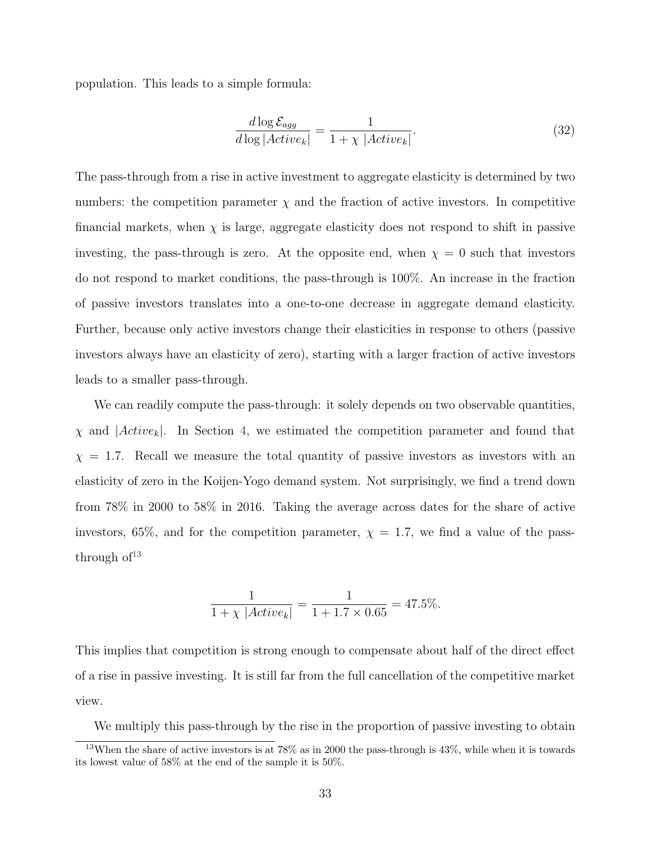population. This leads to a simple formula:

$$
\frac{d \log \mathcal{E}_{agg}}{d \log |Active_k|} = \frac{1}{1 + \chi |Active_k|}.
$$
\n(32)

The pass-through from a rise in active investment to aggregate elasticity is determined by two numbers: the competition parameter  $\chi$  and the fraction of active investors. In competitive financial markets, when  $\chi$  is large, aggregate elasticity does not respond to shift in passive investing, the pass-through is zero. At the opposite end, when  $\chi = 0$  such that investors do not respond to market conditions, the pass-through is 100%. An increase in the fraction of passive investors translates into a one-to-one decrease in aggregate demand elasticity. Further, because only active investors change their elasticities in response to others (passive investors always have an elasticity of zero), starting with a larger fraction of active investors leads to a smaller pass-through.

We can readily compute the pass-through: it solely depends on two observable quantities,  $\chi$  and  $|Active_k|$ . In Section [4,](#page-18-0) we estimated the competition parameter and found that  $\chi = 1.7$ . Recall we measure the total quantity of passive investors as investors with an elasticity of zero in the Koijen-Yogo demand system. Not surprisingly, we find a trend down from 78% in 2000 to 58% in 2016. Taking the average across dates for the share of active investors, 65%, and for the competition parameter,  $\chi = 1.7$ , we find a value of the passthrough  $of<sup>13</sup>$  $of<sup>13</sup>$  $of<sup>13</sup>$ 

$$
\frac{1}{1 + \chi |Active_k|} = \frac{1}{1 + 1.7 \times 0.65} = 47.5\%.
$$

This implies that competition is strong enough to compensate about half of the direct effect of a rise in passive investing. It is still far from the full cancellation of the competitive market view.

<span id="page-33-0"></span>We multiply this pass-through by the rise in the proportion of passive investing to obtain

<sup>&</sup>lt;sup>13</sup>When the share of active investors is at  $78\%$  as in 2000 the pass-through is  $43\%$ , while when it is towards its lowest value of 58% at the end of the sample it is 50%.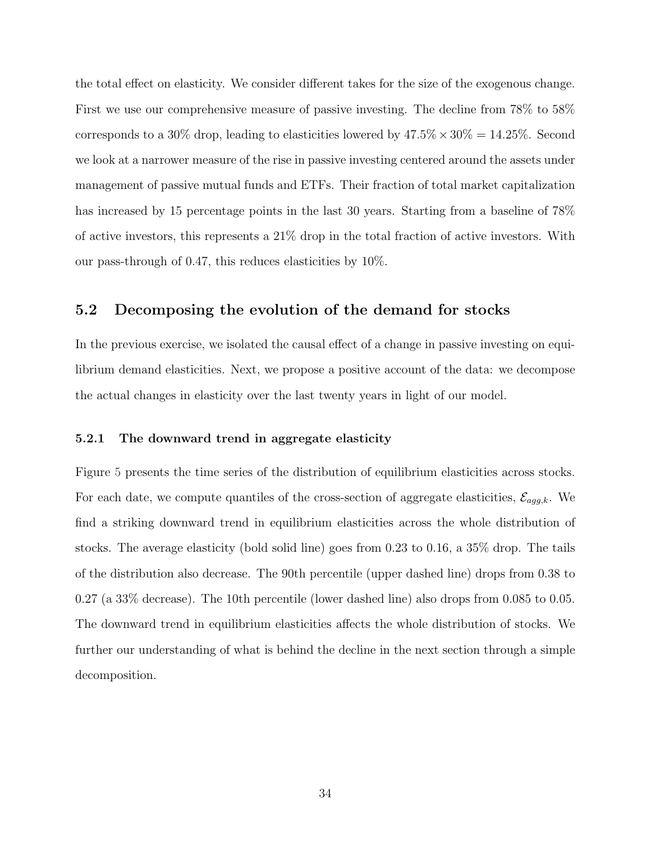the total effect on elasticity. We consider different takes for the size of the exogenous change. First we use our comprehensive measure of passive investing. The decline from 78% to 58% corresponds to a 30% drop, leading to elasticities lowered by  $47.5\% \times 30\% = 14.25\%$ . Second we look at a narrower measure of the rise in passive investing centered around the assets under management of passive mutual funds and ETFs. Their fraction of total market capitalization has increased by 15 percentage points in the last 30 years. Starting from a baseline of 78% of active investors, this represents a 21% drop in the total fraction of active investors. With our pass-through of 0.47, this reduces elasticities by 10%.

#### 5.2 Decomposing the evolution of the demand for stocks

In the previous exercise, we isolated the causal effect of a change in passive investing on equilibrium demand elasticities. Next, we propose a positive account of the data: we decompose the actual changes in elasticity over the last twenty years in light of our model.

#### 5.2.1 The downward trend in aggregate elasticity

Figure [5](#page-35-0) presents the time series of the distribution of equilibrium elasticities across stocks. For each date, we compute quantiles of the cross-section of aggregate elasticities,  $\mathcal{E}_{agg,k}$ . We find a striking downward trend in equilibrium elasticities across the whole distribution of stocks. The average elasticity (bold solid line) goes from 0.23 to 0.16, a 35% drop. The tails of the distribution also decrease. The 90th percentile (upper dashed line) drops from 0.38 to 0.27 (a 33% decrease). The 10th percentile (lower dashed line) also drops from 0.085 to 0.05. The downward trend in equilibrium elasticities affects the whole distribution of stocks. We further our understanding of what is behind the decline in the next section through a simple decomposition.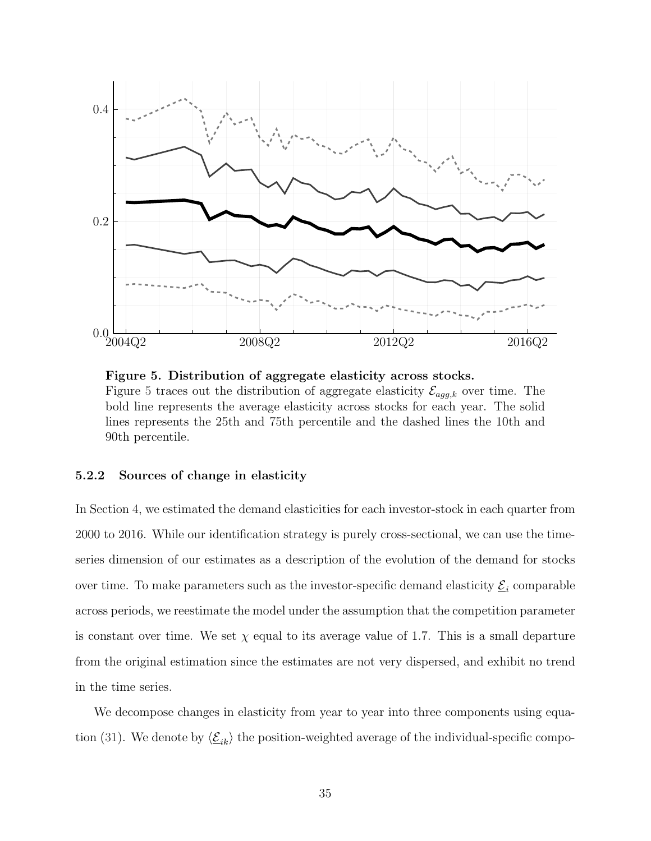<span id="page-35-0"></span>

Figure 5. Distribution of aggregate elasticity across stocks. Figure [5](#page-35-0) traces out the distribution of aggregate elasticity  $\mathcal{E}_{agg,k}$  over time. The bold line represents the average elasticity across stocks for each year. The solid lines represents the 25th and 75th percentile and the dashed lines the 10th and 90th percentile.

#### 5.2.2 Sources of change in elasticity

In Section [4,](#page-18-0) we estimated the demand elasticities for each investor-stock in each quarter from 2000 to 2016. While our identification strategy is purely cross-sectional, we can use the timeseries dimension of our estimates as a description of the evolution of the demand for stocks over time. To make parameters such as the investor-specific demand elasticity  $\underline{\mathcal{E}}_i$  comparable across periods, we reestimate the model under the assumption that the competition parameter is constant over time. We set  $\chi$  equal to its average value of 1.7. This is a small departure from the original estimation since the estimates are not very dispersed, and exhibit no trend in the time series.

We decompose changes in elasticity from year to year into three components using equa-tion [\(31\)](#page-32-0). We denote by  $\langle \underline{\mathcal{E}}_{ik} \rangle$  the position-weighted average of the individual-specific compo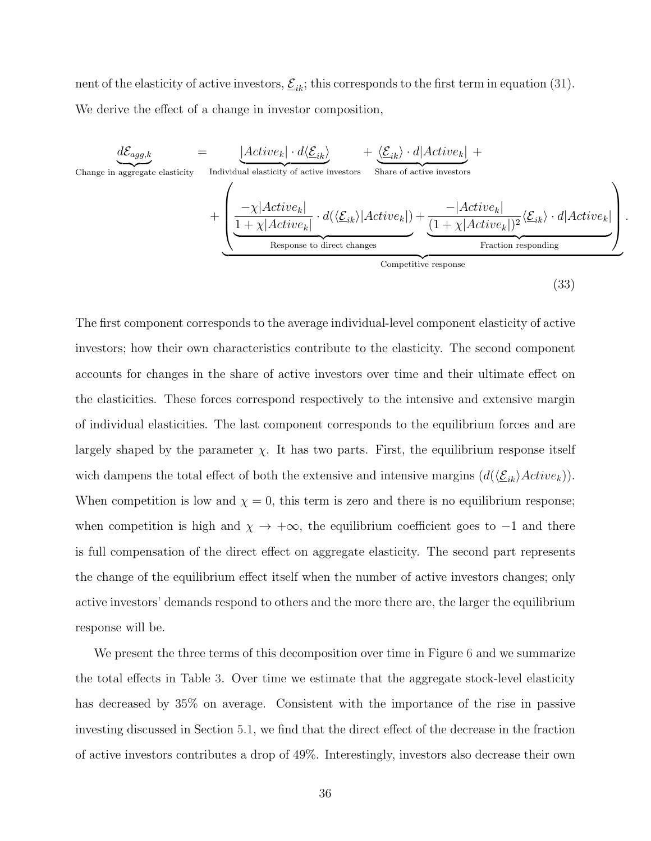nent of the elasticity of active investors,  $\underline{\mathcal{E}}_{ik}$ ; this corresponds to the first term in equation [\(31\)](#page-32-0). We derive the effect of a change in investor composition,

$$
\underbrace{d\mathcal{E}_{agg,k}}_{\text{Change in aggregate elasticity}} = \underbrace{\underbrace{|Active_k| \cdot d\langle \underline{\mathcal{E}}_{ik}\rangle}_{\text{Individual elasticity of active investors}} + \underbrace{\langle \underline{\mathcal{E}}_{ik}\rangle \cdot d|Active_k|}_{\text{Share of active investors}} + \underbrace{\langle \underline{\mathcal{E}}_{ik}\rangle \cdot d|Active_k|}_{\text{Hctive}_k} + \underbrace{\langle \underline{\mathcal{E}}_{ik}\rangle \cdot d|Active_k|}_{\text{Response to direct changes}} + \underbrace{\langle \underline{\mathcal{E}}_{ik}\rangle \cdot d|Active_k|}_{\text{Function responding}}
$$

<span id="page-36-0"></span>(33)

.

The first component corresponds to the average individual-level component elasticity of active investors; how their own characteristics contribute to the elasticity. The second component accounts for changes in the share of active investors over time and their ultimate effect on the elasticities. These forces correspond respectively to the intensive and extensive margin of individual elasticities. The last component corresponds to the equilibrium forces and are largely shaped by the parameter  $\chi$ . It has two parts. First, the equilibrium response itself wich dampens the total effect of both the extensive and intensive margins  $(d(\langle \underline{\mathcal{E}}_{ik}\rangle Active_k)).$ When competition is low and  $\chi = 0$ , this term is zero and there is no equilibrium response; when competition is high and  $\chi \to +\infty$ , the equilibrium coefficient goes to -1 and there is full compensation of the direct effect on aggregate elasticity. The second part represents the change of the equilibrium effect itself when the number of active investors changes; only active investors' demands respond to others and the more there are, the larger the equilibrium response will be.

We present the three terms of this decomposition over time in Figure [6](#page-37-0) and we summarize the total effects in Table [3.](#page-38-0) Over time we estimate that the aggregate stock-level elasticity has decreased by 35% on average. Consistent with the importance of the rise in passive investing discussed in Section [5.1,](#page-30-0) we find that the direct effect of the decrease in the fraction of active investors contributes a drop of 49%. Interestingly, investors also decrease their own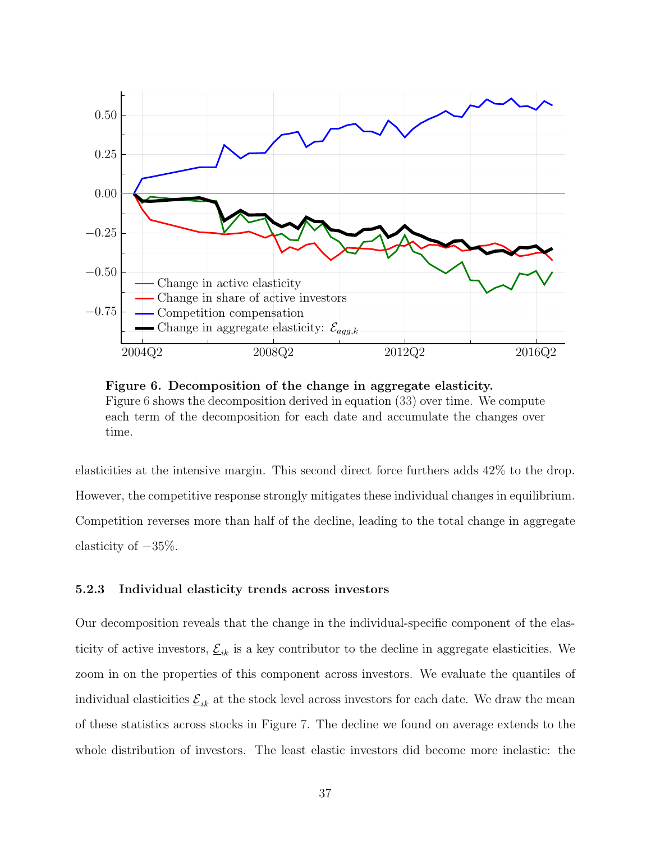<span id="page-37-0"></span>

Figure 6. Decomposition of the change in aggregate elasticity. Figure [6](#page-37-0) shows the decomposition derived in equation [\(33\)](#page-36-0) over time. We compute each term of the decomposition for each date and accumulate the changes over time.

elasticities at the intensive margin. This second direct force furthers adds 42% to the drop. However, the competitive response strongly mitigates these individual changes in equilibrium. Competition reverses more than half of the decline, leading to the total change in aggregate elasticity of −35%.

#### 5.2.3 Individual elasticity trends across investors

Our decomposition reveals that the change in the individual-specific component of the elasticity of active investors,  $\underline{\mathcal{E}}_{ik}$  is a key contributor to the decline in aggregate elasticities. We zoom in on the properties of this component across investors. We evaluate the quantiles of individual elasticities  $\underline{\mathcal{E}}_{ik}$  at the stock level across investors for each date. We draw the mean of these statistics across stocks in Figure [7.](#page-38-1) The decline we found on average extends to the whole distribution of investors. The least elastic investors did become more inelastic: the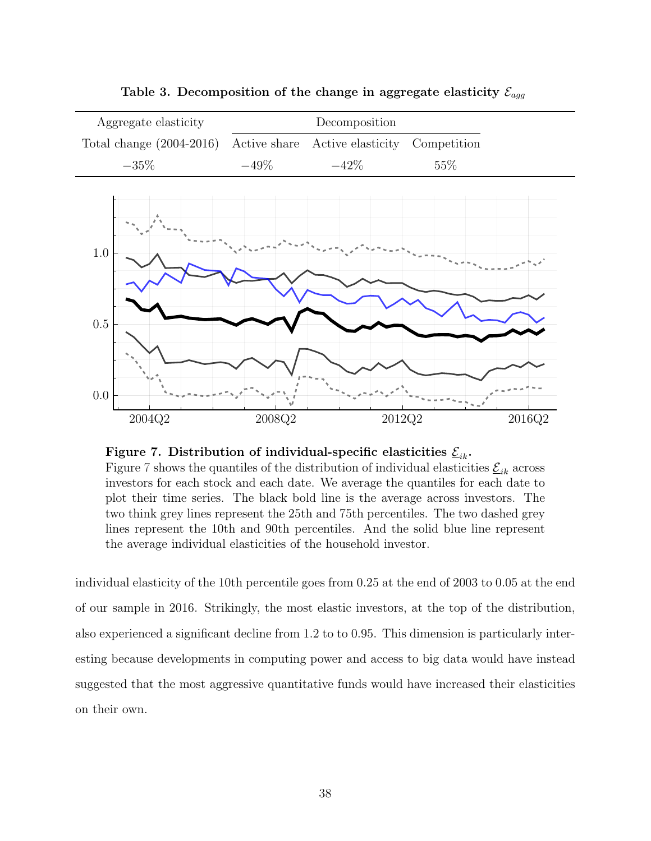<span id="page-38-1"></span><span id="page-38-0"></span>

Table 3. Decomposition of the change in aggregate elasticity  $\mathcal{E}_{agg}$ 



Figure [7](#page-38-1) shows the quantiles of the distribution of individual elasticities  $\underline{\mathcal{E}}_{ik}$  across investors for each stock and each date. We average the quantiles for each date to plot their time series. The black bold line is the average across investors. The two think grey lines represent the 25th and 75th percentiles. The two dashed grey lines represent the 10th and 90th percentiles. And the solid blue line represent the average individual elasticities of the household investor.

individual elasticity of the 10th percentile goes from 0.25 at the end of 2003 to 0.05 at the end of our sample in 2016. Strikingly, the most elastic investors, at the top of the distribution, also experienced a significant decline from 1.2 to to 0.95. This dimension is particularly interesting because developments in computing power and access to big data would have instead suggested that the most aggressive quantitative funds would have increased their elasticities on their own.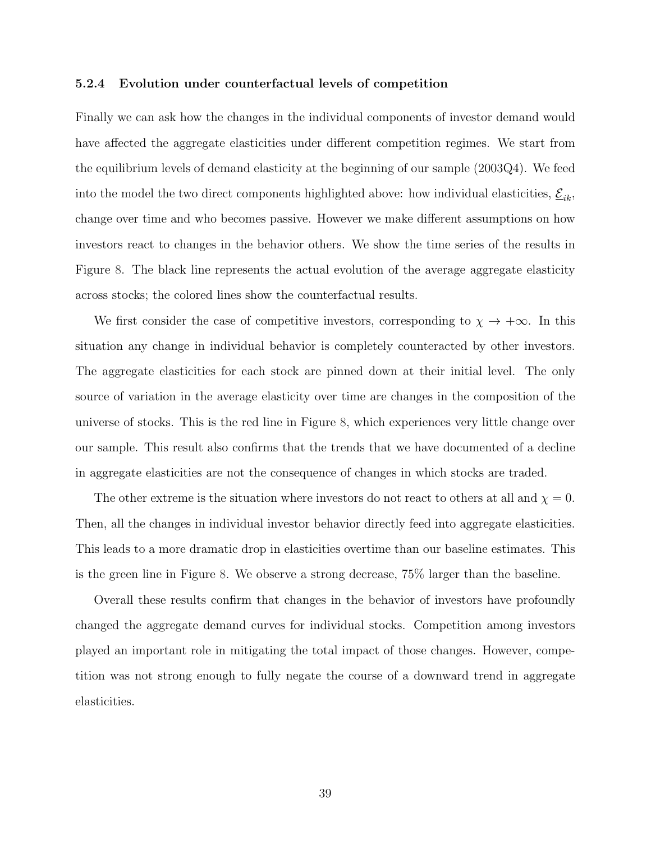#### 5.2.4 Evolution under counterfactual levels of competition

Finally we can ask how the changes in the individual components of investor demand would have affected the aggregate elasticities under different competition regimes. We start from the equilibrium levels of demand elasticity at the beginning of our sample (2003Q4). We feed into the model the two direct components highlighted above: how individual elasticities,  $\underline{\mathcal{E}}_{ik},$ change over time and who becomes passive. However we make different assumptions on how investors react to changes in the behavior others. We show the time series of the results in Figure [8.](#page-40-0) The black line represents the actual evolution of the average aggregate elasticity across stocks; the colored lines show the counterfactual results.

We first consider the case of competitive investors, corresponding to  $\chi \to +\infty$ . In this situation any change in individual behavior is completely counteracted by other investors. The aggregate elasticities for each stock are pinned down at their initial level. The only source of variation in the average elasticity over time are changes in the composition of the universe of stocks. This is the red line in Figure [8,](#page-40-0) which experiences very little change over our sample. This result also confirms that the trends that we have documented of a decline in aggregate elasticities are not the consequence of changes in which stocks are traded.

The other extreme is the situation where investors do not react to others at all and  $\chi = 0$ . Then, all the changes in individual investor behavior directly feed into aggregate elasticities. This leads to a more dramatic drop in elasticities overtime than our baseline estimates. This is the green line in Figure [8.](#page-40-0) We observe a strong decrease, 75% larger than the baseline.

Overall these results confirm that changes in the behavior of investors have profoundly changed the aggregate demand curves for individual stocks. Competition among investors played an important role in mitigating the total impact of those changes. However, competition was not strong enough to fully negate the course of a downward trend in aggregate elasticities.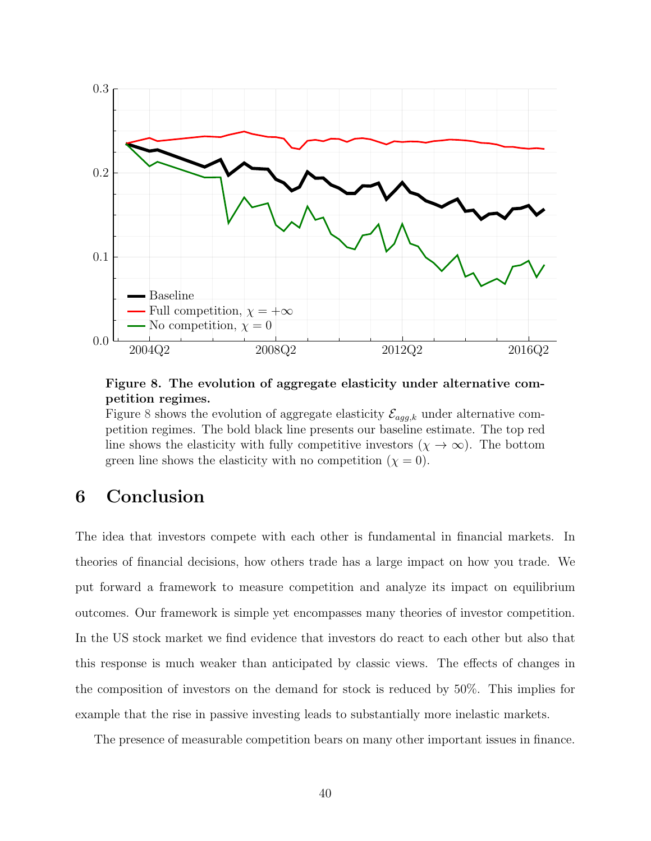<span id="page-40-0"></span>

Figure 8. The evolution of aggregate elasticity under alternative competition regimes.

Figure [8](#page-40-0) shows the evolution of aggregate elasticity  $\mathcal{E}_{agg,k}$  under alternative competition regimes. The bold black line presents our baseline estimate. The top red line shows the elasticity with fully competitive investors  $(\chi \to \infty)$ . The bottom green line shows the elasticity with no competition  $(\chi = 0)$ .

## 6 Conclusion

The idea that investors compete with each other is fundamental in financial markets. In theories of financial decisions, how others trade has a large impact on how you trade. We put forward a framework to measure competition and analyze its impact on equilibrium outcomes. Our framework is simple yet encompasses many theories of investor competition. In the US stock market we find evidence that investors do react to each other but also that this response is much weaker than anticipated by classic views. The effects of changes in the composition of investors on the demand for stock is reduced by 50%. This implies for example that the rise in passive investing leads to substantially more inelastic markets.

The presence of measurable competition bears on many other important issues in finance.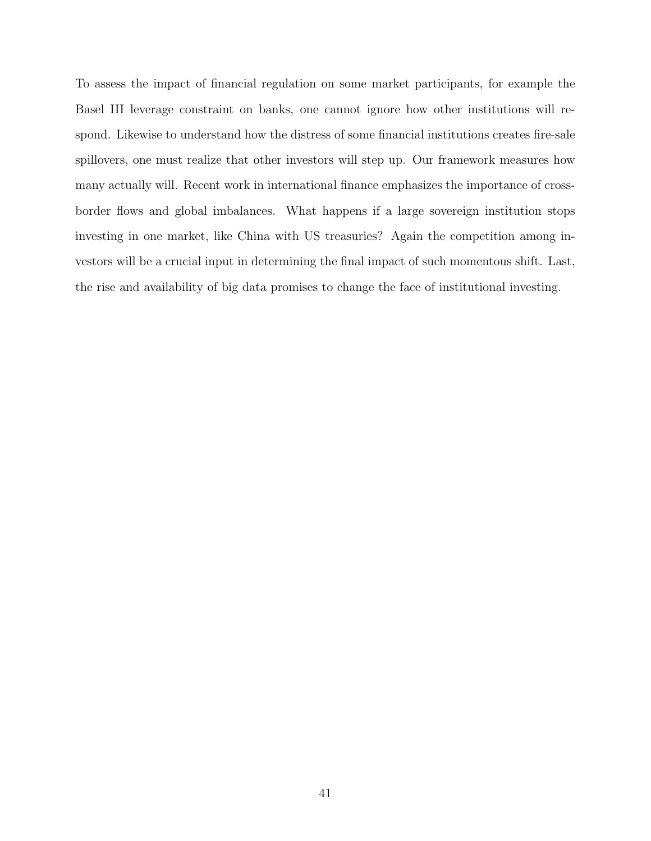To assess the impact of financial regulation on some market participants, for example the Basel III leverage constraint on banks, one cannot ignore how other institutions will respond. Likewise to understand how the distress of some financial institutions creates fire-sale spillovers, one must realize that other investors will step up. Our framework measures how many actually will. Recent work in international finance emphasizes the importance of crossborder flows and global imbalances. What happens if a large sovereign institution stops investing in one market, like China with US treasuries? Again the competition among investors will be a crucial input in determining the final impact of such momentous shift. Last, the rise and availability of big data promises to change the face of institutional investing.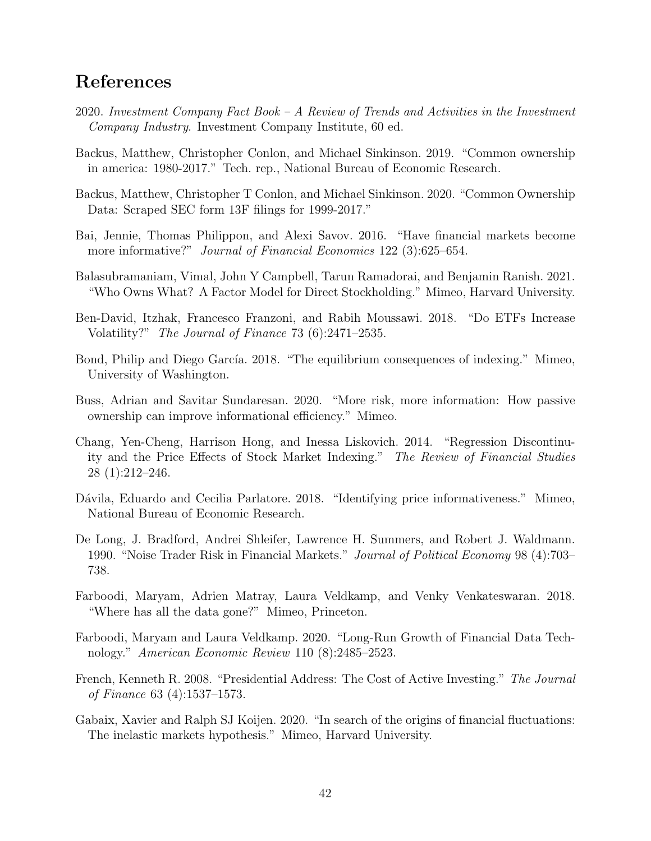## References

- <span id="page-42-0"></span>2020. Investment Company Fact Book – A Review of Trends and Activities in the Investment Company Industry. Investment Company Institute, 60 ed.
- <span id="page-42-13"></span>Backus, Matthew, Christopher Conlon, and Michael Sinkinson. 2019. "Common ownership in america: 1980-2017." Tech. rep., National Bureau of Economic Research.
- <span id="page-42-14"></span>Backus, Matthew, Christopher T Conlon, and Michael Sinkinson. 2020. "Common Ownership Data: Scraped SEC form 13F filings for 1999-2017."
- <span id="page-42-10"></span>Bai, Jennie, Thomas Philippon, and Alexi Savov. 2016. "Have financial markets become more informative?" Journal of Financial Economics 122 (3):625–654.
- <span id="page-42-4"></span>Balasubramaniam, Vimal, John Y Campbell, Tarun Ramadorai, and Benjamin Ranish. 2021. "Who Owns What? A Factor Model for Direct Stockholding." Mimeo, Harvard University.
- <span id="page-42-9"></span>Ben-David, Itzhak, Francesco Franzoni, and Rabih Moussawi. 2018. "Do ETFs Increase Volatility?" The Journal of Finance 73 (6):2471–2535.
- <span id="page-42-1"></span>Bond, Philip and Diego García. 2018. "The equilibrium consequences of indexing." Mimeo, University of Washington.
- <span id="page-42-2"></span>Buss, Adrian and Savitar Sundaresan. 2020. "More risk, more information: How passive ownership can improve informational efficiency." Mimeo.
- <span id="page-42-8"></span>Chang, Yen-Cheng, Harrison Hong, and Inessa Liskovich. 2014. "Regression Discontinuity and the Price Effects of Stock Market Indexing." The Review of Financial Studies 28 (1):212–246.
- <span id="page-42-11"></span>Dávila, Eduardo and Cecilia Parlatore. 2018. "Identifying price informativeness." Mimeo, National Bureau of Economic Research.
- <span id="page-42-6"></span>De Long, J. Bradford, Andrei Shleifer, Lawrence H. Summers, and Robert J. Waldmann. 1990. "Noise Trader Risk in Financial Markets." Journal of Political Economy 98 (4):703– 738.
- <span id="page-42-12"></span>Farboodi, Maryam, Adrien Matray, Laura Veldkamp, and Venky Venkateswaran. 2018. "Where has all the data gone?" Mimeo, Princeton.
- <span id="page-42-3"></span>Farboodi, Maryam and Laura Veldkamp. 2020. "Long-Run Growth of Financial Data Technology." American Economic Review 110 (8):2485–2523.
- <span id="page-42-7"></span>French, Kenneth R. 2008. "Presidential Address: The Cost of Active Investing." The Journal of Finance 63 (4):1537–1573.
- <span id="page-42-5"></span>Gabaix, Xavier and Ralph SJ Koijen. 2020. "In search of the origins of financial fluctuations: The inelastic markets hypothesis." Mimeo, Harvard University.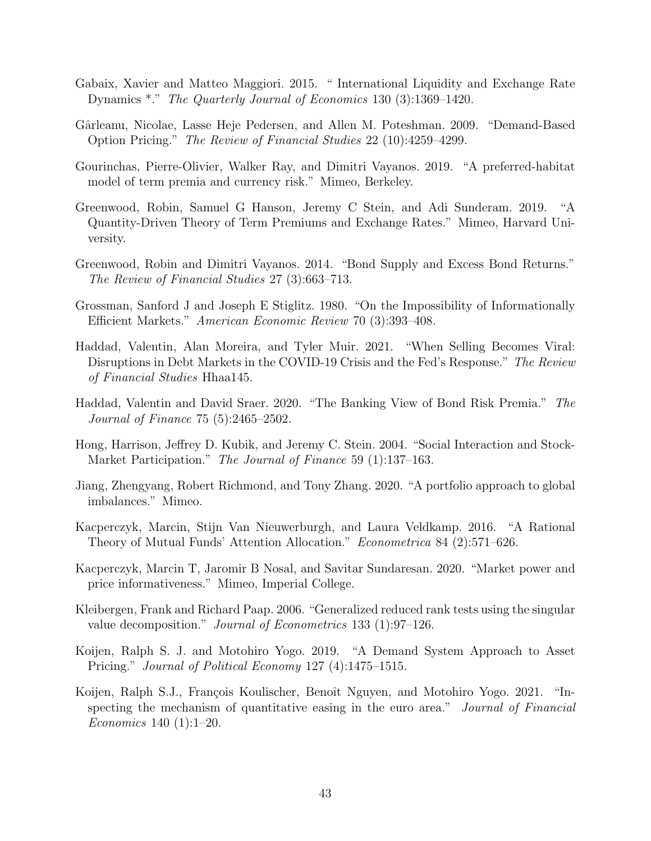- <span id="page-43-9"></span>Gabaix, Xavier and Matteo Maggiori. 2015. " International Liquidity and Exchange Rate Dynamics \*." The Quarterly Journal of Economics 130 (3):1369–1420.
- <span id="page-43-8"></span>Gˆarleanu, Nicolae, Lasse Heje Pedersen, and Allen M. Poteshman. 2009. "Demand-Based Option Pricing." The Review of Financial Studies 22 (10):4259–4299.
- <span id="page-43-11"></span>Gourinchas, Pierre-Olivier, Walker Ray, and Dimitri Vayanos. 2019. "A preferred-habitat model of term premia and currency risk." Mimeo, Berkeley.
- <span id="page-43-10"></span>Greenwood, Robin, Samuel G Hanson, Jeremy C Stein, and Adi Sunderam. 2019. "A Quantity-Driven Theory of Term Premiums and Exchange Rates." Mimeo, Harvard University.
- <span id="page-43-6"></span>Greenwood, Robin and Dimitri Vayanos. 2014. "Bond Supply and Excess Bond Returns." The Review of Financial Studies 27 (3):663–713.
- <span id="page-43-0"></span>Grossman, Sanford J and Joseph E Stiglitz. 1980. "On the Impossibility of Informationally Efficient Markets." American Economic Review 70 (3):393–408.
- <span id="page-43-12"></span>Haddad, Valentin, Alan Moreira, and Tyler Muir. 2021. "When Selling Becomes Viral: Disruptions in Debt Markets in the COVID-19 Crisis and the Fed's Response." The Review of Financial Studies Hhaa145.
- <span id="page-43-7"></span>Haddad, Valentin and David Sraer. 2020. "The Banking View of Bond Risk Premia." The Journal of Finance 75 (5):2465–2502.
- <span id="page-43-13"></span>Hong, Harrison, Jeffrey D. Kubik, and Jeremy C. Stein. 2004. "Social Interaction and Stock-Market Participation." The Journal of Finance 59 (1):137–163.
- <span id="page-43-5"></span>Jiang, Zhengyang, Robert Richmond, and Tony Zhang. 2020. "A portfolio approach to global imbalances." Mimeo.
- <span id="page-43-3"></span>Kacperczyk, Marcin, Stijn Van Nieuwerburgh, and Laura Veldkamp. 2016. "A Rational Theory of Mutual Funds' Attention Allocation." Econometrica 84 (2):571–626.
- <span id="page-43-2"></span>Kacperczyk, Marcin T, Jaromir B Nosal, and Savitar Sundaresan. 2020. "Market power and price informativeness." Mimeo, Imperial College.
- <span id="page-43-14"></span>Kleibergen, Frank and Richard Paap. 2006. "Generalized reduced rank tests using the singular value decomposition." Journal of Econometrics 133 (1):97–126.
- <span id="page-43-1"></span>Koijen, Ralph S. J. and Motohiro Yogo. 2019. "A Demand System Approach to Asset Pricing." Journal of Political Economy 127 (4):1475–1515.
- <span id="page-43-4"></span>Koijen, Ralph S.J., François Koulischer, Benoît Nguyen, and Motohiro Yogo. 2021. "Inspecting the mechanism of quantitative easing in the euro area." Journal of Financial Economics 140 (1):1–20.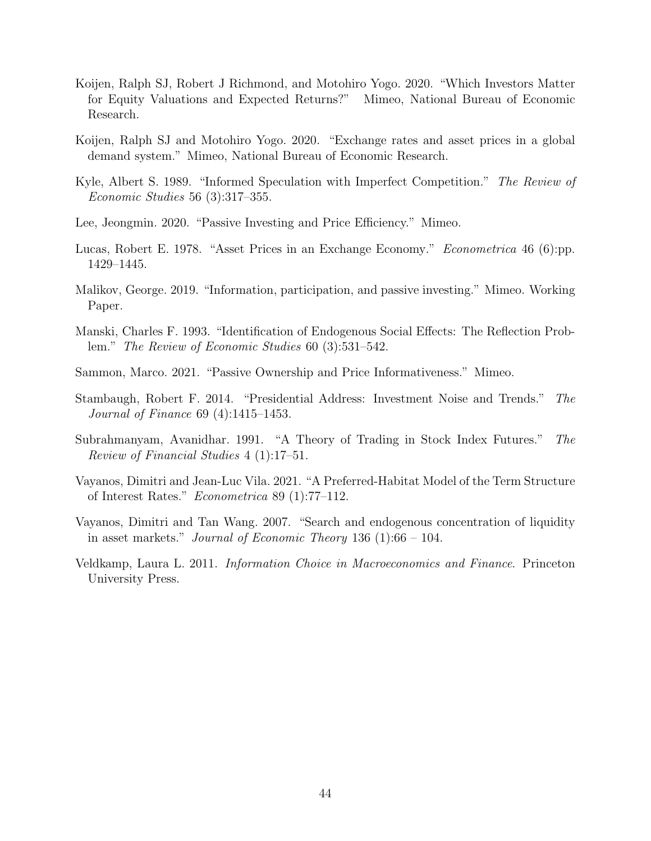- <span id="page-44-7"></span>Koijen, Ralph SJ, Robert J Richmond, and Motohiro Yogo. 2020. "Which Investors Matter for Equity Valuations and Expected Returns?" Mimeo, National Bureau of Economic Research.
- <span id="page-44-6"></span>Koijen, Ralph SJ and Motohiro Yogo. 2020. "Exchange rates and asset prices in a global demand system." Mimeo, National Bureau of Economic Research.
- <span id="page-44-0"></span>Kyle, Albert S. 1989. "Informed Speculation with Imperfect Competition." The Review of Economic Studies 56 (3):317–355.
- <span id="page-44-5"></span>Lee, Jeongmin. 2020. "Passive Investing and Price Efficiency." Mimeo.
- <span id="page-44-12"></span>Lucas, Robert E. 1978. "Asset Prices in an Exchange Economy." Econometrica 46 (6):pp. 1429–1445.
- <span id="page-44-4"></span>Malikov, George. 2019. "Information, participation, and passive investing." Mimeo. Working Paper.
- <span id="page-44-2"></span>Manski, Charles F. 1993. "Identification of Endogenous Social Effects: The Reflection Problem." The Review of Economic Studies 60 (3):531–542.
- <span id="page-44-10"></span>Sammon, Marco. 2021. "Passive Ownership and Price Informativeness." Mimeo.
- <span id="page-44-9"></span>Stambaugh, Robert F. 2014. "Presidential Address: Investment Noise and Trends." The Journal of Finance 69 (4):1415–1453.
- <span id="page-44-3"></span>Subrahmanyam, Avanidhar. 1991. "A Theory of Trading in Stock Index Futures." The Review of Financial Studies 4 (1):17–51.
- <span id="page-44-8"></span>Vayanos, Dimitri and Jean-Luc Vila. 2021. "A Preferred-Habitat Model of the Term Structure of Interest Rates." Econometrica 89 (1):77–112.
- <span id="page-44-11"></span>Vayanos, Dimitri and Tan Wang. 2007. "Search and endogenous concentration of liquidity in asset markets." Journal of Economic Theory 136  $(1)$ :66 – 104.
- <span id="page-44-1"></span>Veldkamp, Laura L. 2011. Information Choice in Macroeconomics and Finance. Princeton University Press.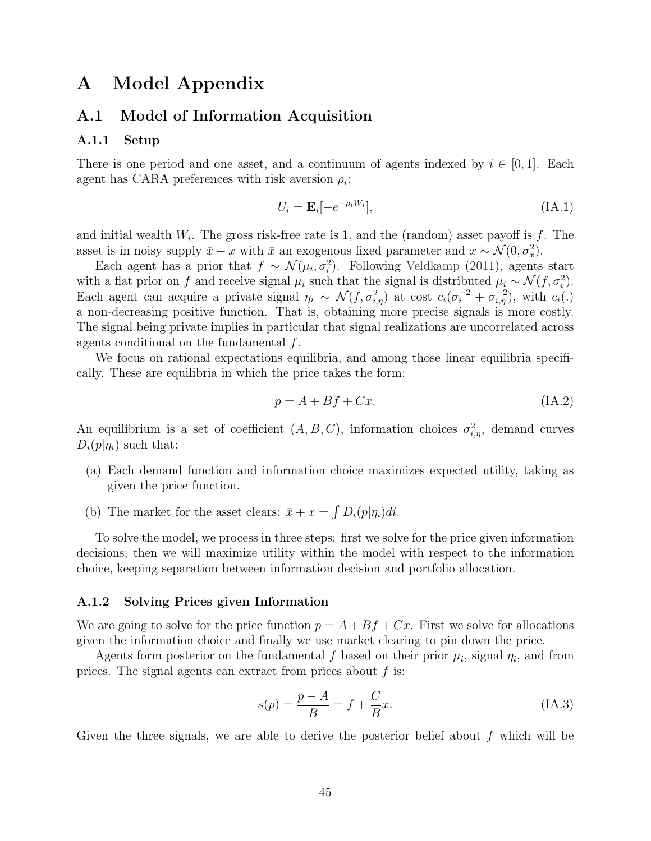## <span id="page-45-0"></span>A Model Appendix

#### A.1 Model of Information Acquisition

#### A.1.1 Setup

There is one period and one asset, and a continuum of agents indexed by  $i \in [0,1]$ . Each agent has CARA preferences with risk aversion  $\rho_i$ :

$$
U_i = \mathbf{E}_i[-e^{-\rho_i W_i}],\tag{IA.1}
$$

and initial wealth  $W_i$ . The gross risk-free rate is 1, and the (random) asset payoff is f. The asset is in noisy supply  $\bar{x} + x$  with  $\bar{x}$  an exogenous fixed parameter and  $x \sim \mathcal{N}(0, \sigma_x^2)$ .

Each agent has a prior that  $f \sim \mathcal{N}(\mu_i, \sigma_i^2)$ . Following [Veldkamp](#page-44-1) [\(2011\)](#page-44-1), agents start with a flat prior on f and receive signal  $\mu_i$  such that the signal is distributed  $\mu_i \sim \mathcal{N}(f, \sigma_i^2)$ . Each agent can acquire a private signal  $\eta_i \sim \mathcal{N}(f, \sigma_{i,\eta}^2)$  at cost  $c_i(\sigma_i^{-2} + \sigma_{i,\eta}^{-2})$ , with  $c_i(.)$ a non-decreasing positive function. That is, obtaining more precise signals is more costly. The signal being private implies in particular that signal realizations are uncorrelated across agents conditional on the fundamental f.

We focus on rational expectations equilibria, and among those linear equilibria specifically. These are equilibria in which the price takes the form:

$$
p = A + Bf + Cx.\tag{IA.2}
$$

An equilibrium is a set of coefficient  $(A, B, C)$ , information choices  $\sigma_{i,\eta}^2$ , demand curves  $D_i(p|\eta_i)$  such that:

- (a) Each demand function and information choice maximizes expected utility, taking as given the price function.
- (b) The market for the asset clears:  $\bar{x} + x = \int D_i(p|\eta_i)di$ .

To solve the model, we process in three steps: first we solve for the price given information decisions; then we will maximize utility within the model with respect to the information choice, keeping separation between information decision and portfolio allocation.

#### A.1.2 Solving Prices given Information

We are going to solve for the price function  $p = A + Bf + Cx$ . First we solve for allocations given the information choice and finally we use market clearing to pin down the price.

Agents form posterior on the fundamental f based on their prior  $\mu_i$ , signal  $\eta_i$ , and from prices. The signal agents can extract from prices about  $f$  is:

$$
s(p) = \frac{p - A}{B} = f + \frac{C}{B}x.
$$
 (IA.3)

Given the three signals, we are able to derive the posterior belief about  $f$  which will be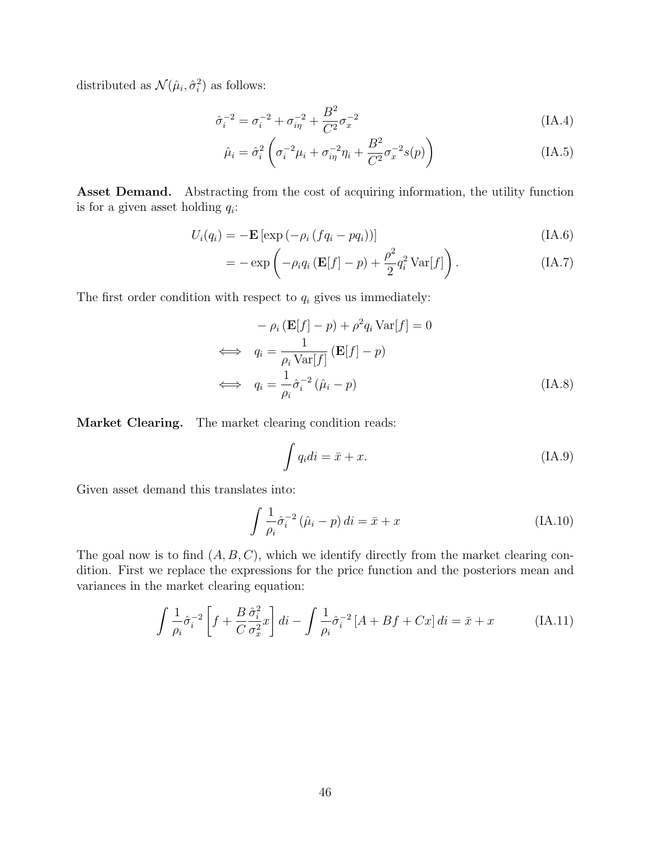distributed as  $\mathcal{N}(\hat{\mu}_i, \hat{\sigma}_i^2)$  as follows:

$$
\hat{\sigma}_i^{-2} = \sigma_i^{-2} + \sigma_{i\eta}^{-2} + \frac{B^2}{C^2} \sigma_x^{-2}
$$
\n(A.4)

$$
\hat{\mu}_i = \hat{\sigma}_i^2 \left( \sigma_i^{-2} \mu_i + \sigma_{i\eta}^{-2} \eta_i + \frac{B^2}{C^2} \sigma_x^{-2} s(p) \right)
$$
\n(IA.5)

Asset Demand. Abstracting from the cost of acquiring information, the utility function is for a given asset holding  $q_i$ :

$$
U_i(q_i) = -\mathbf{E} \left[ \exp \left( -\rho_i \left( f q_i - p q_i \right) \right) \right] \tag{IA.6}
$$

$$
= -\exp\left(-\rho_i q_i \left(\mathbf{E}[f] - p\right) + \frac{\rho^2}{2} q_i^2 \operatorname{Var}[f]\right). \tag{IA.7}
$$

The first order condition with respect to  $q_i$  gives us immediately:

$$
- \rho_i (\mathbf{E}[f] - p) + \rho^2 q_i \text{Var}[f] = 0
$$
  
\n
$$
\iff q_i = \frac{1}{\rho_i \text{Var}[f]} (\mathbf{E}[f] - p)
$$
  
\n
$$
\iff q_i = \frac{1}{\rho_i} \hat{\sigma}_i^{-2} (\hat{\mu}_i - p)
$$
(IA.8)

Market Clearing. The market clearing condition reads:

$$
\int q_i di = \bar{x} + x. \tag{IA.9}
$$

Given asset demand this translates into:

$$
\int \frac{1}{\rho_i} \hat{\sigma}_i^{-2} (\hat{\mu}_i - p) di = \bar{x} + x \tag{IA.10}
$$

The goal now is to find  $(A, B, C)$ , which we identify directly from the market clearing condition. First we replace the expressions for the price function and the posteriors mean and variances in the market clearing equation:

$$
\int \frac{1}{\rho_i} \hat{\sigma}_i^{-2} \left[ f + \frac{B}{C} \frac{\hat{\sigma}_i^2}{\sigma_x^2} x \right] di - \int \frac{1}{\rho_i} \hat{\sigma}_i^{-2} \left[ A + Bf + Cx \right] di = \bar{x} + x \tag{IA.11}
$$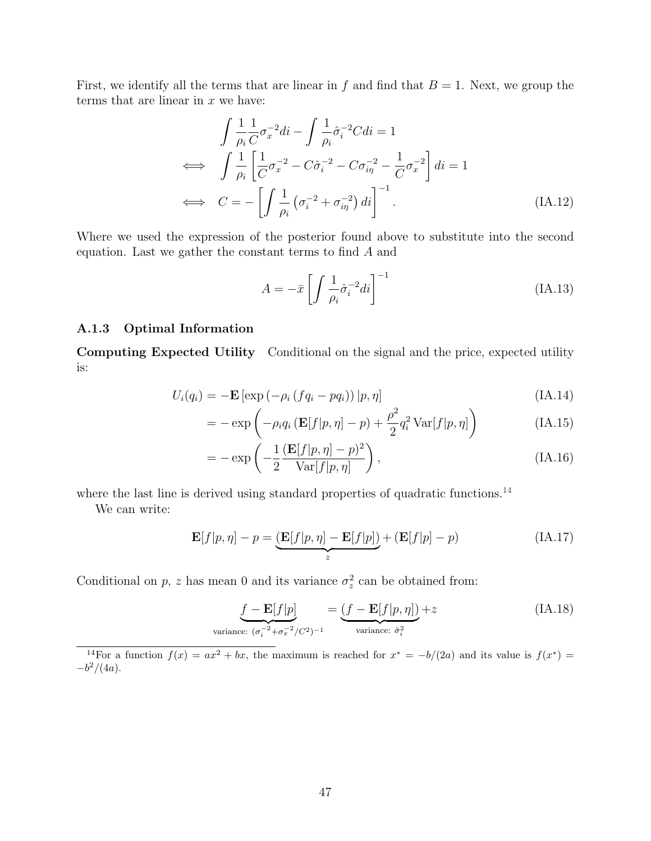First, we identify all the terms that are linear in f and find that  $B = 1$ . Next, we group the terms that are linear in  $x$  we have:

$$
\int \frac{1}{\rho_i} \frac{1}{C} \sigma_x^{-2} di - \int \frac{1}{\rho_i} \hat{\sigma}_i^{-2} C di = 1
$$
  
\n
$$
\iff \int \frac{1}{\rho_i} \left[ \frac{1}{C} \sigma_x^{-2} - C \hat{\sigma}_i^{-2} - C \sigma_{i\eta}^{-2} - \frac{1}{C} \sigma_x^{-2} \right] di = 1
$$
  
\n
$$
\iff C = -\left[ \int \frac{1}{\rho_i} \left( \sigma_i^{-2} + \sigma_{i\eta}^{-2} \right) di \right]^{-1}.
$$
\n(A.12)

Where we used the expression of the posterior found above to substitute into the second equation. Last we gather the constant terms to find A and

$$
A = -\bar{x} \left[ \int \frac{1}{\rho_i} \hat{\sigma}_i^{-2} di \right]^{-1} \tag{IA.13}
$$

#### <span id="page-47-0"></span>A.1.3 Optimal Information

Computing Expected Utility Conditional on the signal and the price, expected utility is:

$$
U_i(q_i) = -\mathbf{E} \left[ \exp\left(-\rho_i \left(fq_i - pq_i\right)\right) | p, \eta \right] \tag{IA.14}
$$

$$
= -\exp\left(-\rho_i q_i \left(\mathbf{E}[f|p,\eta] - p\right) + \frac{\rho^2}{2} q_i^2 \operatorname{Var}[f|p,\eta]\right) \tag{IA.15}
$$

$$
= -\exp\left(-\frac{1}{2}\frac{(\mathbf{E}[f|p,\eta]-p)^2}{\text{Var}[f|p,\eta]}\right),\tag{IA.16}
$$

where the last line is derived using standard properties of quadratic functions.<sup>[14](#page-47-1)</sup>

We can write:

$$
\mathbf{E}[f|p,\eta] - p = \underbrace{\left(\mathbf{E}[f|p,\eta] - \mathbf{E}[f|p]\right)}_{z} + \left(\mathbf{E}[f|p] - p\right)
$$
\n(IA.17)

Conditional on p, z has mean 0 and its variance  $\sigma_z^2$  can be obtained from:

<span id="page-47-2"></span>
$$
\underbrace{f - \mathbf{E}[f|p]}_{\text{variance: } (\sigma_i^{-2} + \sigma_x^{-2}/C^2)^{-1}} = \underbrace{(f - \mathbf{E}[f|p, \eta])}_{\text{variance: } \hat{\sigma}_i^2} + z
$$
\n(IA.18)

<span id="page-47-1"></span><sup>14</sup>For a function  $f(x) = ax^2 + bx$ , the maximum is reached for  $x^* = -b/(2a)$  and its value is  $f(x^*) =$  $-b^2/(4a)$ .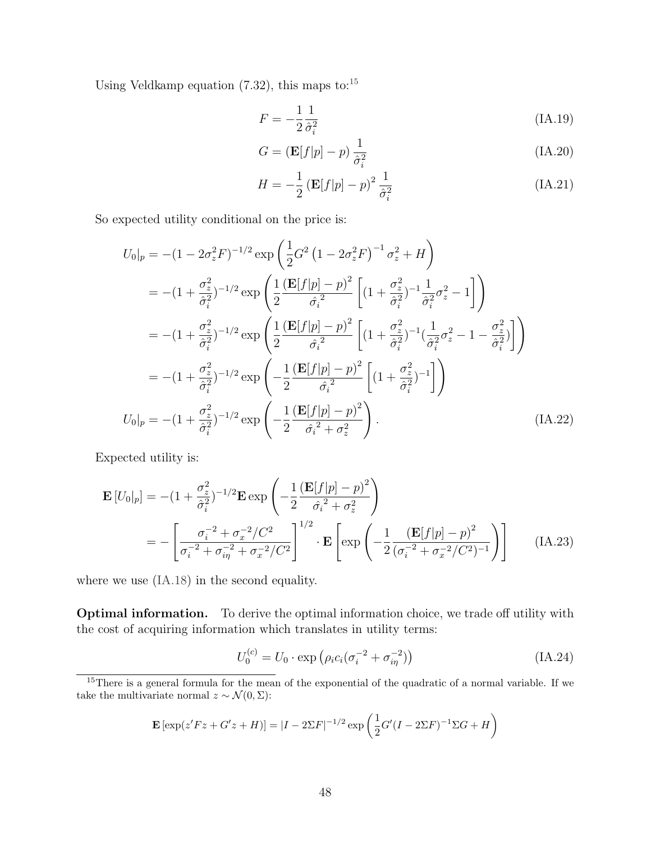Using Veldkamp equation  $(7.32)$ , this maps to:<sup>[15](#page-48-0)</sup>

$$
F = -\frac{1}{2}\frac{1}{\hat{\sigma}_i^2} \tag{IA.19}
$$

$$
G = (\mathbf{E}[f|p] - p)\frac{1}{\hat{\sigma}_i^2}
$$
 (IA.20)

$$
H = -\frac{1}{2} \left( \mathbf{E}[f|p] - p \right)^2 \frac{1}{\hat{\sigma}_i^2}
$$
 (IA.21)

So expected utility conditional on the price is:

$$
U_{0}|_{p} = -(1 - 2\sigma_{z}^{2}F)^{-1/2} \exp\left(\frac{1}{2}G^{2}(1 - 2\sigma_{z}^{2}F)^{-1}\sigma_{z}^{2} + H\right)
$$
  
\n
$$
= -(1 + \frac{\sigma_{z}^{2}}{\hat{\sigma}_{i}^{2}})^{-1/2} \exp\left(\frac{1}{2}\frac{(\mathbf{E}[f|p] - p)^{2}}{\hat{\sigma}_{i}^{2}}\left[(1 + \frac{\sigma_{z}^{2}}{\hat{\sigma}_{i}^{2}})^{-1}\frac{1}{\hat{\sigma}_{i}^{2}}\sigma_{z}^{2} - 1\right]\right)
$$
  
\n
$$
= -(1 + \frac{\sigma_{z}^{2}}{\hat{\sigma}_{i}^{2}})^{-1/2} \exp\left(\frac{1}{2}\frac{(\mathbf{E}[f|p] - p)^{2}}{\hat{\sigma}_{i}^{2}}\left[(1 + \frac{\sigma_{z}^{2}}{\hat{\sigma}_{i}^{2}})^{-1}(\frac{1}{\hat{\sigma}_{i}^{2}}\sigma_{z}^{2} - 1 - \frac{\sigma_{z}^{2}}{\hat{\sigma}_{i}^{2}})\right]\right)
$$
  
\n
$$
= -(1 + \frac{\sigma_{z}^{2}}{\hat{\sigma}_{i}^{2}})^{-1/2} \exp\left(-\frac{1}{2}\frac{(\mathbf{E}[f|p] - p)^{2}}{\hat{\sigma}_{i}^{2}}\left[(1 + \frac{\sigma_{z}^{2}}{\hat{\sigma}_{i}^{2}})^{-1}\right]\right)
$$
  
\n
$$
U_{0}|_{p} = -(1 + \frac{\sigma_{z}^{2}}{\hat{\sigma}_{i}^{2}})^{-1/2} \exp\left(-\frac{1}{2}\frac{(\mathbf{E}[f|p] - p)^{2}}{\hat{\sigma}_{i}^{2} + \sigma_{z}^{2}}\right).
$$
 (IA.22)

Expected utility is:

$$
\mathbf{E}\left[U_{0}|_{p}\right] = -(1 + \frac{\sigma_{z}^{2}}{\hat{\sigma}_{i}^{2}})^{-1/2}\mathbf{E}\exp\left(-\frac{1}{2}\frac{\left(\mathbf{E}[f|p] - p\right)^{2}}{\hat{\sigma}_{i}^{2} + \sigma_{z}^{2}}\right)
$$
\n
$$
= -\left[\frac{\sigma_{i}^{-2} + \sigma_{x}^{-2}/C^{2}}{\sigma_{i}^{-2} + \sigma_{i\eta}^{-2} + \sigma_{x}^{-2}/C^{2}}\right]^{1/2} \cdot \mathbf{E}\left[\exp\left(-\frac{1}{2}\frac{\left(\mathbf{E}[f|p] - p\right)^{2}}{(\sigma_{i}^{-2} + \sigma_{x}^{-2}/C^{2})^{-1}}\right)\right]
$$
(IA.23)

where we use  $(IA.18)$  in the second equality.

Optimal information. To derive the optimal information choice, we trade off utility with the cost of acquiring information which translates in utility terms:

$$
U_0^{(c)} = U_0 \cdot \exp\left(\rho_i c_i (\sigma_i^{-2} + \sigma_{i\eta}^{-2})\right)
$$
 (IA.24)

$$
\mathbf{E} [\exp(z'Fz + G'z + H)] = |I - 2\Sigma F|^{-1/2} \exp\left(\frac{1}{2}G'(I - 2\Sigma F)^{-1}\Sigma G + H\right)
$$

<span id="page-48-0"></span><sup>&</sup>lt;sup>15</sup>There is a general formula for the mean of the exponential of the quadratic of a normal variable. If we take the multivariate normal  $z \sim \mathcal{N}(0, \Sigma)$ :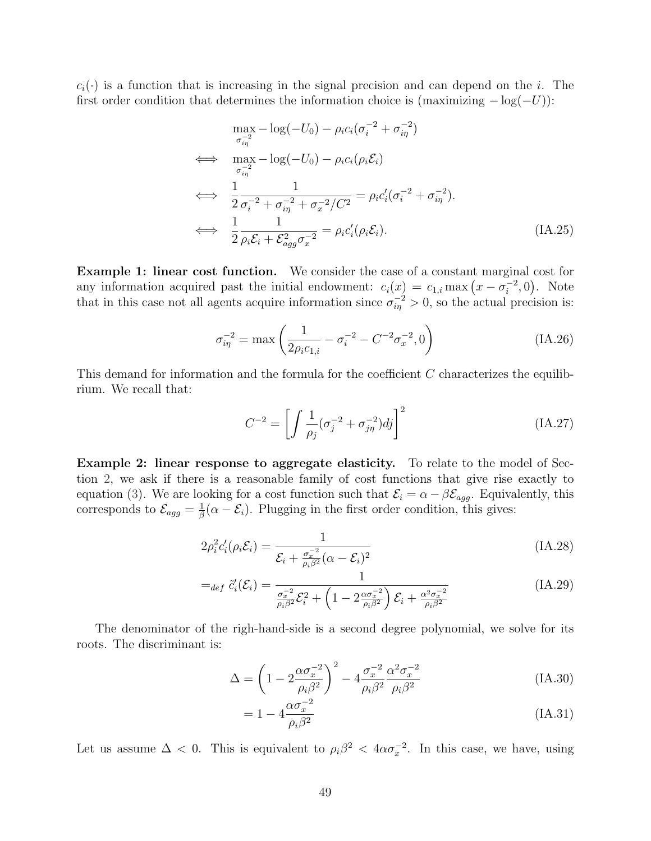$c_i(\cdot)$  is a function that is increasing in the signal precision and can depend on the i. The first order condition that determines the information choice is (maximizing  $-\log(-U)$ ):

$$
\max_{\sigma_{i\eta}^{-2}} -\log(-U_0) - \rho_i c_i (\sigma_i^{-2} + \sigma_{i\eta}^{-2})
$$
\n
$$
\iff \max_{\sigma_{i\eta}^{-2}} -\log(-U_0) - \rho_i c_i (\rho_i \mathcal{E}_i)
$$
\n
$$
\iff \frac{1}{2} \frac{1}{\sigma_i^{-2} + \sigma_{i\eta}^{-2} + \sigma_x^{-2}/C^2} = \rho_i c_i' (\sigma_i^{-2} + \sigma_{i\eta}^{-2}).
$$
\n
$$
\iff \frac{1}{2} \frac{1}{\rho_i \mathcal{E}_i + \mathcal{E}_{agg}^2 \sigma_x^{-2}} = \rho_i c_i' (\rho_i \mathcal{E}_i).
$$
\n(IA.25)

Example 1: linear cost function. We consider the case of a constant marginal cost for any information acquired past the initial endowment:  $c_i(x) = c_{1,i} \max(x - \sigma_i^{-2})$  $\binom{-2}{i}$ , 0). Note that in this case not all agents acquire information since  $\sigma_{i\eta}^{-2} > 0$ , so the actual precision is:

<span id="page-49-0"></span>
$$
\sigma_{i\eta}^{-2} = \max\left(\frac{1}{2\rho_i c_{1,i}} - \sigma_i^{-2} - C^{-2} \sigma_x^{-2}, 0\right)
$$
 (IA.26)

This demand for information and the formula for the coefficient C characterizes the equilibrium. We recall that:

$$
C^{-2} = \left[ \int \frac{1}{\rho_j} (\sigma_j^{-2} + \sigma_{j\eta}^{-2}) d_j \right]^2
$$
 (IA.27)

Example 2: linear response to aggregate elasticity. To relate to the model of Section [2,](#page-8-0) we ask if there is a reasonable family of cost functions that give rise exactly to equation [\(3\)](#page-10-0). We are looking for a cost function such that  $\mathcal{E}_i = \alpha - \beta \mathcal{E}_{agg}$ . Equivalently, this corresponds to  $\mathcal{E}_{agg} = \frac{1}{\beta}$  $\frac{1}{\beta}(\alpha - \mathcal{E}_i)$ . Plugging in the first order condition, this gives:

$$
2\rho_i^2 c_i'(\rho_i \mathcal{E}_i) = \frac{1}{\mathcal{E}_i + \frac{\sigma_x^{-2}}{\rho_i \beta^2} (\alpha - \mathcal{E}_i)^2}
$$
(IA.28)

$$
=_{def} \tilde{c}'_i(\mathcal{E}_i) = \frac{1}{\frac{\sigma_x^{-2}}{\rho_i \beta^2} \mathcal{E}_i^2 + \left(1 - 2 \frac{\alpha \sigma_x^{-2}}{\rho_i \beta^2}\right) \mathcal{E}_i + \frac{\alpha^2 \sigma_x^{-2}}{\rho_i \beta^2}}
$$
(IA.29)

The denominator of the righ-hand-side is a second degree polynomial, we solve for its roots. The discriminant is:

$$
\Delta = \left(1 - 2\frac{\alpha \sigma_x^{-2}}{\rho_i \beta^2}\right)^2 - 4\frac{\sigma_x^{-2}}{\rho_i \beta^2} \frac{\alpha^2 \sigma_x^{-2}}{\rho_i \beta^2}
$$
(IA.30)

$$
= 1 - 4 \frac{\alpha \sigma_x^{-2}}{\rho_i \beta^2} \tag{IA.31}
$$

Let us assume  $\Delta < 0$ . This is equivalent to  $\rho_i \beta^2 < 4 \alpha \sigma_x^{-2}$ . In this case, we have, using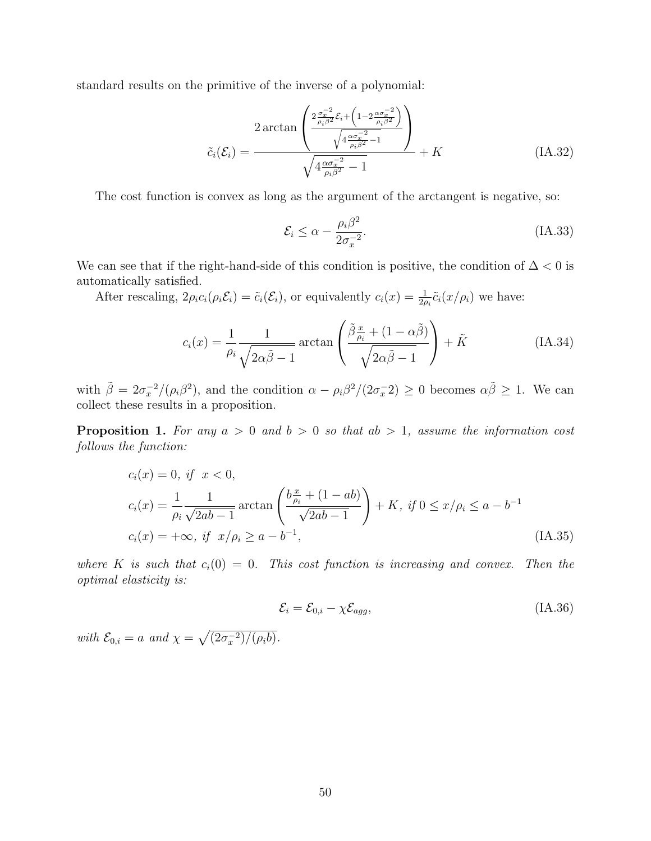standard results on the primitive of the inverse of a polynomial:

$$
\tilde{c}_{i}(\mathcal{E}_{i}) = \frac{2 \arctan\left(\frac{2 \frac{\sigma_{x}^{-2}}{\rho_{i}\beta^{2}} \mathcal{E}_{i} + \left(1 - 2 \frac{\alpha \sigma_{x}^{-2}}{\rho_{i}\beta^{2}}\right)}{\sqrt{4 \frac{\alpha \sigma_{x}^{-2}}{\rho_{i}\beta^{2}} - 1}}\right)}{\sqrt{4 \frac{\alpha \sigma_{x}^{-2}}{\rho_{i}\beta^{2}} - 1}} + K
$$
\n(IA.32)

The cost function is convex as long as the argument of the arctangent is negative, so:

$$
\mathcal{E}_i \le \alpha - \frac{\rho_i \beta^2}{2\sigma_x^{-2}}.\tag{IA.33}
$$

We can see that if the right-hand-side of this condition is positive, the condition of  $\Delta < 0$  is automatically satisfied.

After rescaling,  $2\rho_i c_i(\rho_i \mathcal{E}_i) = \tilde{c}_i(\mathcal{E}_i)$ , or equivalently  $c_i(x) = \frac{1}{2\rho_i} \tilde{c}_i(x/\rho_i)$  we have:

$$
c_i(x) = \frac{1}{\rho_i} \frac{1}{\sqrt{2\alpha \tilde{\beta} - 1}} \arctan\left(\frac{\tilde{\beta} \frac{x}{\rho_i} + (1 - \alpha \tilde{\beta})}{\sqrt{2\alpha \tilde{\beta} - 1}}\right) + \tilde{K}
$$
 (IA.34)

with  $\tilde{\beta} = 2\sigma_x^{-2}/(\rho_i \beta^2)$ , and the condition  $\alpha - \rho_i \beta^2/(2\sigma_x^{-2}) \ge 0$  becomes  $\alpha \tilde{\beta} \ge 1$ . We can collect these results in a proposition.

**Proposition 1.** For any  $a > 0$  and  $b > 0$  so that  $ab > 1$ , assume the information cost follows the function:

$$
c_i(x) = 0, \text{ if } x < 0,
$$
  
\n
$$
c_i(x) = \frac{1}{\rho_i} \frac{1}{\sqrt{2ab - 1}} \arctan\left(\frac{b\frac{x}{\rho_i} + (1 - ab)}{\sqrt{2ab - 1}}\right) + K, \text{ if } 0 \le x/\rho_i \le a - b^{-1}
$$
  
\n
$$
c_i(x) = +\infty, \text{ if } x/\rho_i \ge a - b^{-1}, \tag{IA.35}
$$

where K is such that  $c_i(0) = 0$ . This cost function is increasing and convex. Then the optimal elasticity is:

$$
\mathcal{E}_i = \mathcal{E}_{0,i} - \chi \mathcal{E}_{agg},\tag{IA.36}
$$

with  $\mathcal{E}_{0,i} = a$  and  $\chi = \sqrt{\frac{2\sigma_x^{-2}}{\rho_i b}}$ .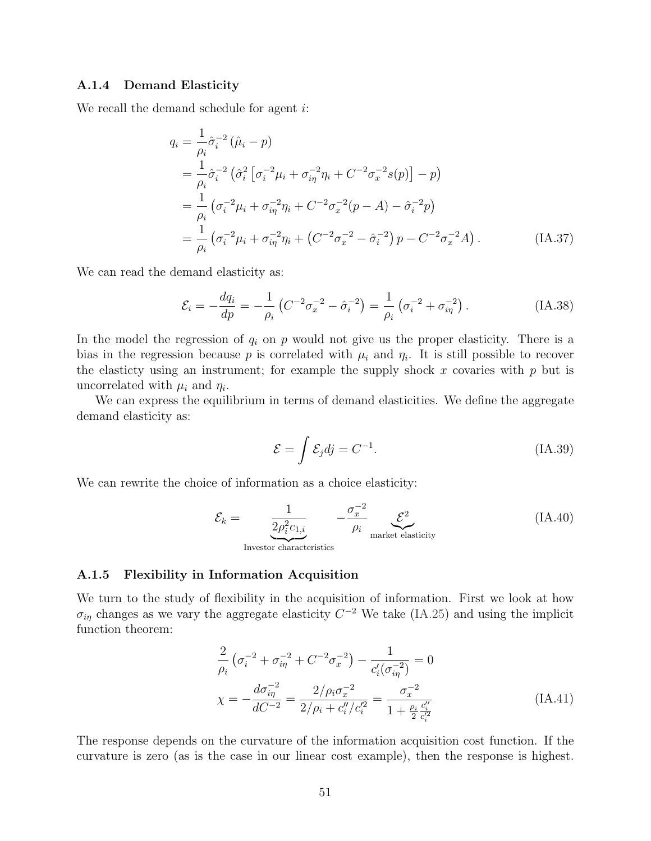#### A.1.4 Demand Elasticity

We recall the demand schedule for agent *i*:

$$
q_{i} = \frac{1}{\rho_{i}} \hat{\sigma}_{i}^{-2} (\hat{\mu}_{i} - p)
$$
  
\n
$$
= \frac{1}{\rho_{i}} \hat{\sigma}_{i}^{-2} (\hat{\sigma}_{i}^{2} [\sigma_{i}^{-2} \mu_{i} + \sigma_{i\eta}^{-2} \eta_{i} + C^{-2} \sigma_{x}^{-2} s(p)] - p)
$$
  
\n
$$
= \frac{1}{\rho_{i}} (\sigma_{i}^{-2} \mu_{i} + \sigma_{i\eta}^{-2} \eta_{i} + C^{-2} \sigma_{x}^{-2} (p - A) - \hat{\sigma}_{i}^{-2} p)
$$
  
\n
$$
= \frac{1}{\rho_{i}} (\sigma_{i}^{-2} \mu_{i} + \sigma_{i\eta}^{-2} \eta_{i} + (C^{-2} \sigma_{x}^{-2} - \hat{\sigma}_{i}^{-2}) p - C^{-2} \sigma_{x}^{-2} A).
$$
 (IA.37)

We can read the demand elasticity as:

$$
\mathcal{E}_{i} = -\frac{dq_{i}}{dp} = -\frac{1}{\rho_{i}} \left( C^{-2} \sigma_{x}^{-2} - \hat{\sigma}_{i}^{-2} \right) = \frac{1}{\rho_{i}} \left( \sigma_{i}^{-2} + \sigma_{i\eta}^{-2} \right). \tag{IA.38}
$$

In the model the regression of  $q_i$  on p would not give us the proper elasticity. There is a bias in the regression because p is correlated with  $\mu_i$  and  $\eta_i$ . It is still possible to recover the elasticty using an instrument; for example the supply shock  $x$  covaries with  $p$  but is uncorrelated with  $\mu_i$  and  $\eta_i$ .

We can express the equilibrium in terms of demand elasticities. We define the aggregate demand elasticity as:

$$
\mathcal{E} = \int \mathcal{E}_j dj = C^{-1}.
$$
 (IA.39)

We can rewrite the choice of information as a choice elasticity:

$$
\mathcal{E}_k = \underbrace{\frac{1}{2\rho_i^2 c_{1,i}}}_{\text{Investor characteristics}} -\underbrace{\frac{\sigma_x^{-2}}{\rho_i}}_{\text{market elasticity}} \mathcal{E}^2 \tag{IA.40}
$$

#### <span id="page-51-0"></span>A.1.5 Flexibility in Information Acquisition

We turn to the study of flexibility in the acquisition of information. First we look at how  $\sigma_{i\eta}$  changes as we vary the aggregate elasticity  $C^{-2}$  We take [\(IA.25\)](#page-49-0) and using the implicit function theorem:

$$
\frac{2}{\rho_i} \left( \sigma_i^{-2} + \sigma_{i\eta}^{-2} + C^{-2} \sigma_x^{-2} \right) - \frac{1}{c_i' (\sigma_{i\eta}^{-2})} = 0
$$
\n
$$
\chi = -\frac{d\sigma_{i\eta}^{-2}}{dC^{-2}} = \frac{2/\rho_i \sigma_x^{-2}}{2/\rho_i + c_i''/c_i'^2} = \frac{\sigma_x^{-2}}{1 + \frac{\rho_i}{2} \frac{c_i''}{c_i'^2}}
$$
\n(IA.41)

The response depends on the curvature of the information acquisition cost function. If the curvature is zero (as is the case in our linear cost example), then the response is highest.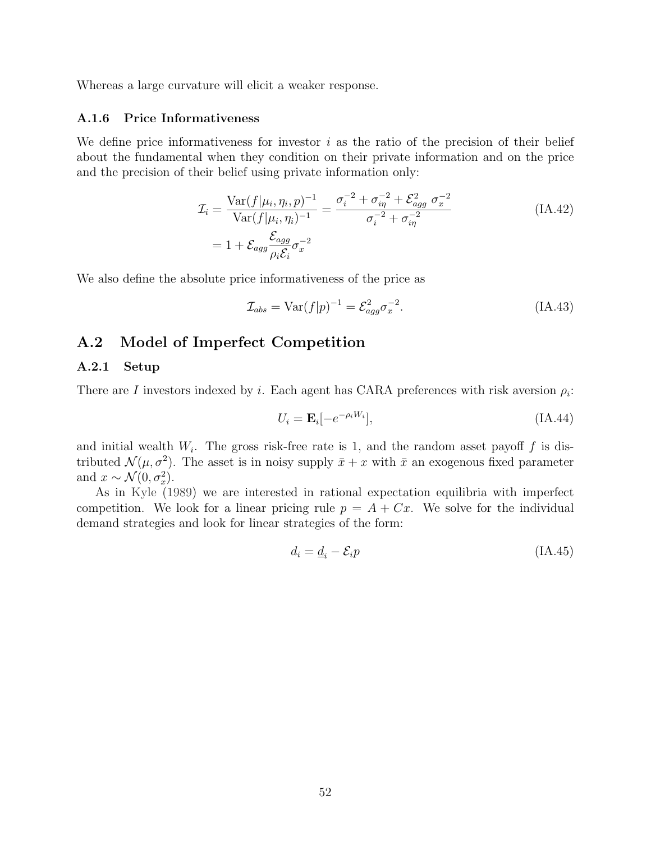Whereas a large curvature will elicit a weaker response.

#### <span id="page-52-1"></span>A.1.6 Price Informativeness

We define price informativeness for investor  $i$  as the ratio of the precision of their belief about the fundamental when they condition on their private information and on the price and the precision of their belief using private information only:

$$
\mathcal{I}_{i} = \frac{\text{Var}(f|\mu_{i}, \eta_{i}, p)^{-1}}{\text{Var}(f|\mu_{i}, \eta_{i})^{-1}} = \frac{\sigma_{i}^{-2} + \sigma_{i\eta}^{-2} + \mathcal{E}_{agg}^{2} \sigma_{x}^{-2}}{\sigma_{i}^{-2} + \sigma_{i\eta}^{-2}}
$$
\n
$$
= 1 + \mathcal{E}_{agg} \frac{\mathcal{E}_{agg}}{\rho_{i} \mathcal{E}_{i}} \sigma_{x}^{-2}
$$
\n(IA.42)

We also define the absolute price informativeness of the price as

$$
\mathcal{I}_{abs} = \text{Var}(f|p)^{-1} = \mathcal{E}_{agg}^2 \sigma_x^{-2}.
$$
\n(IA.43)

#### <span id="page-52-0"></span>A.2 Model of Imperfect Competition

#### A.2.1 Setup

There are I investors indexed by i. Each agent has CARA preferences with risk aversion  $\rho_i$ :

$$
U_i = \mathbf{E}_i[-e^{-\rho_i W_i}],\tag{IA.44}
$$

and initial wealth  $W_i$ . The gross risk-free rate is 1, and the random asset payoff f is distributed  $\mathcal{N}(\mu, \sigma^2)$ . The asset is in noisy supply  $\bar{x}+x$  with  $\bar{x}$  an exogenous fixed parameter and  $x \sim \mathcal{N}(0, \sigma_x^2)$ .

As in [Kyle](#page-44-0) [\(1989\)](#page-44-0) we are interested in rational expectation equilibria with imperfect competition. We look for a linear pricing rule  $p = A + Cx$ . We solve for the individual demand strategies and look for linear strategies of the form:

$$
d_i = \underline{d}_i - \mathcal{E}_i p \tag{IA.45}
$$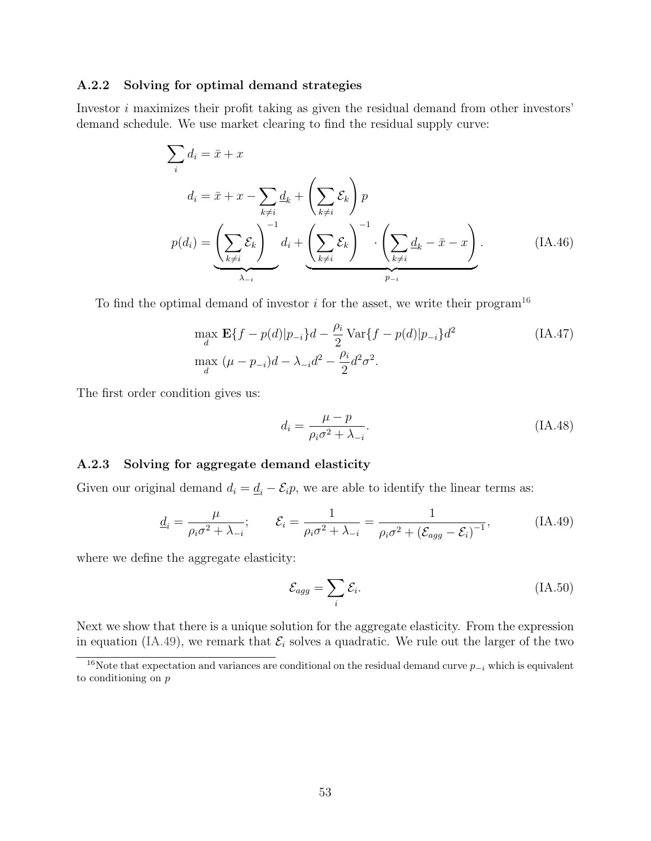#### A.2.2 Solving for optimal demand strategies

Investor i maximizes their profit taking as given the residual demand from other investors' demand schedule. We use market clearing to find the residual supply curve:

$$
\sum_{i} d_{i} = \bar{x} + x
$$
\n
$$
d_{i} = \bar{x} + x - \sum_{k \neq i} d_{k} + \left(\sum_{k \neq i} \mathcal{E}_{k}\right) p
$$
\n
$$
p(d_{i}) = \underbrace{\left(\sum_{k \neq i} \mathcal{E}_{k}\right)^{-1}}_{\lambda_{-i}} d_{i} + \underbrace{\left(\sum_{k \neq i} \mathcal{E}_{k}\right)^{-1} \cdot \left(\sum_{k \neq i} d_{k} - \bar{x} - x\right)}_{p_{-i}}.
$$
\n(IA.46)

To find the optimal demand of investor  $i$  for the asset, we write their program<sup>[16](#page-53-0)</sup>

$$
\max_{d} \mathbf{E}\{f - p(d)|p_{-i}\}d - \frac{\rho_i}{2} \text{Var}\{f - p(d)|p_{-i}\}d^2
$$
\n
$$
\max_{d} (\mu - p_{-i})d - \lambda_{-i}d^2 - \frac{\rho_i}{2}d^2\sigma^2.
$$
\n(IA.47)

The first order condition gives us:

$$
d_i = \frac{\mu - p}{\rho_i \sigma^2 + \lambda_{-i}}.\tag{IA.48}
$$

#### A.2.3 Solving for aggregate demand elasticity

Given our original demand  $d_i = \underline{d}_i - \mathcal{E}_i p$ , we are able to identify the linear terms as:

$$
\underline{d}_i = \frac{\mu}{\rho_i \sigma^2 + \lambda_{-i}}; \qquad \mathcal{E}_i = \frac{1}{\rho_i \sigma^2 + \lambda_{-i}} = \frac{1}{\rho_i \sigma^2 + (\mathcal{E}_{agg} - \mathcal{E}_i)^{-1}},
$$
(IA.49)

where we define the aggregate elasticity:

<span id="page-53-1"></span>
$$
\mathcal{E}_{agg} = \sum_{i} \mathcal{E}_{i}.\tag{IA.50}
$$

Next we show that there is a unique solution for the aggregate elasticity. From the expression in equation [\(IA.49\)](#page-53-1), we remark that  $\mathcal{E}_i$  solves a quadratic. We rule out the larger of the two

<span id="page-53-0"></span><sup>&</sup>lt;sup>16</sup>Note that expectation and variances are conditional on the residual demand curve  $p_{-i}$  which is equivalent to conditioning on p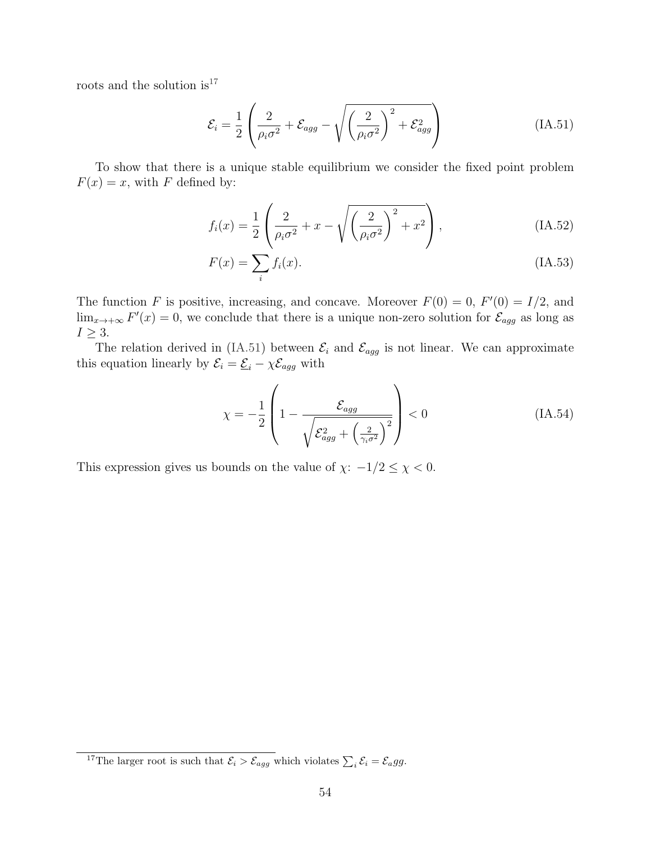roots and the solution  $\rm is^{17}$  $\rm is^{17}$  $\rm is^{17}$ 

<span id="page-54-1"></span>
$$
\mathcal{E}_{i} = \frac{1}{2} \left( \frac{2}{\rho_{i} \sigma^{2}} + \mathcal{E}_{agg} - \sqrt{\left(\frac{2}{\rho_{i} \sigma^{2}}\right)^{2} + \mathcal{E}_{agg}^{2}} \right)
$$
 (IA.51)

To show that there is a unique stable equilibrium we consider the fixed point problem  $F(x) = x$ , with F defined by:

$$
f_i(x) = \frac{1}{2} \left( \frac{2}{\rho_i \sigma^2} + x - \sqrt{\left( \frac{2}{\rho_i \sigma^2} \right)^2 + x^2} \right),
$$
 (IA.52)

$$
F(x) = \sum_{i} f_i(x). \tag{IA.53}
$$

The function F is positive, increasing, and concave. Moreover  $F(0) = 0$ ,  $F'(0) = I/2$ , and  $\lim_{x\to+\infty} F'(x) = 0$ , we conclude that there is a unique non-zero solution for  $\mathcal{E}_{agg}$  as long as  $I \geq 3$ .

The relation derived in [\(IA.51\)](#page-54-1) between  $\mathcal{E}_i$  and  $\mathcal{E}_{agg}$  is not linear. We can approximate this equation linearly by  $\mathcal{E}_i = \underline{\mathcal{E}}_i - \chi \mathcal{E}_{agg}$  with

$$
\chi = -\frac{1}{2} \left( 1 - \frac{\mathcal{E}_{agg}}{\sqrt{\mathcal{E}_{agg}^2 + \left(\frac{2}{\gamma_i \sigma^2}\right)^2}} \right) < 0 \tag{IA.54}
$$

This expression gives us bounds on the value of  $\chi: -1/2 \leq \chi < 0$ .

<span id="page-54-0"></span><sup>&</sup>lt;sup>17</sup>The larger root is such that  $\mathcal{E}_i > \mathcal{E}_{agg}$  which violates  $\sum_i \mathcal{E}_i = \mathcal{E}_a gg$ .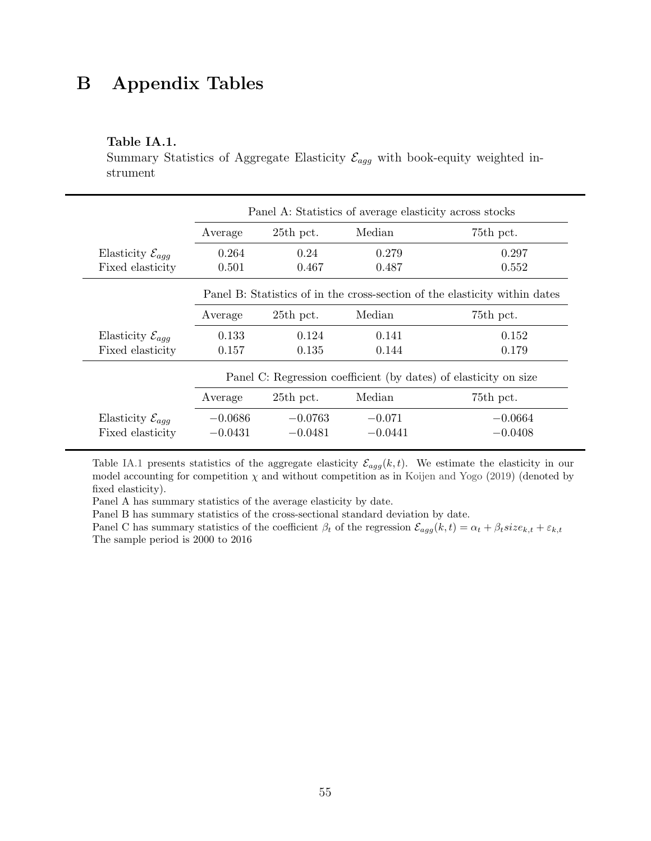## B Appendix Tables

#### <span id="page-55-0"></span>Table IA.1.

Summary Statistics of Aggregate Elasticity  $\mathcal{E}_{agg}$  with book-equity weighted instrument

|                                | Panel A: Statistics of average elasticity across stocks                    |           |           |           |  |  |
|--------------------------------|----------------------------------------------------------------------------|-----------|-----------|-----------|--|--|
|                                | Average                                                                    | 25th pct. | Median    | 75th pct. |  |  |
| Elasticity $\mathcal{E}_{aqq}$ | 0.264                                                                      | 0.24      | 0.279     | 0.297     |  |  |
| Fixed elasticity               | 0.501                                                                      | 0.467     | 0.487     | 0.552     |  |  |
|                                | Panel B: Statistics of in the cross-section of the elasticity within dates |           |           |           |  |  |
|                                | Average                                                                    | 25th pct. | Median    | 75th pct. |  |  |
| Elasticity $\mathcal{E}_{agg}$ | 0.133                                                                      | 0.124     | 0.141     | 0.152     |  |  |
| Fixed elasticity               | 0.157                                                                      | 0.135     | 0.144     | 0.179     |  |  |
|                                | Panel C: Regression coefficient (by dates) of elasticity on size           |           |           |           |  |  |
|                                | Average                                                                    | 25th pct. | Median    | 75th pct. |  |  |
| Elasticity $\mathcal{E}_{agg}$ | $-0.0686$                                                                  | $-0.0763$ | $-0.071$  | $-0.0664$ |  |  |
| Fixed elasticity               | $-0.0431$                                                                  | $-0.0481$ | $-0.0441$ | $-0.0408$ |  |  |

Table [IA.1](#page-55-0) presents statistics of the aggregate elasticity  $\mathcal{E}_{agg}(k, t)$ . We estimate the elasticity in our model accounting for competition  $\chi$  and without competition as in [Koijen and Yogo](#page-43-1) [\(2019\)](#page-43-1) (denoted by fixed elasticity).

Panel A has summary statistics of the average elasticity by date.

Panel B has summary statistics of the cross-sectional standard deviation by date.

Panel C has summary statistics of the coefficient  $\beta_t$  of the regression  $\mathcal{E}_{agg}(k, t) = \alpha_t + \beta_t size_{k,t} + \varepsilon_{k,t}$ The sample period is 2000 to 2016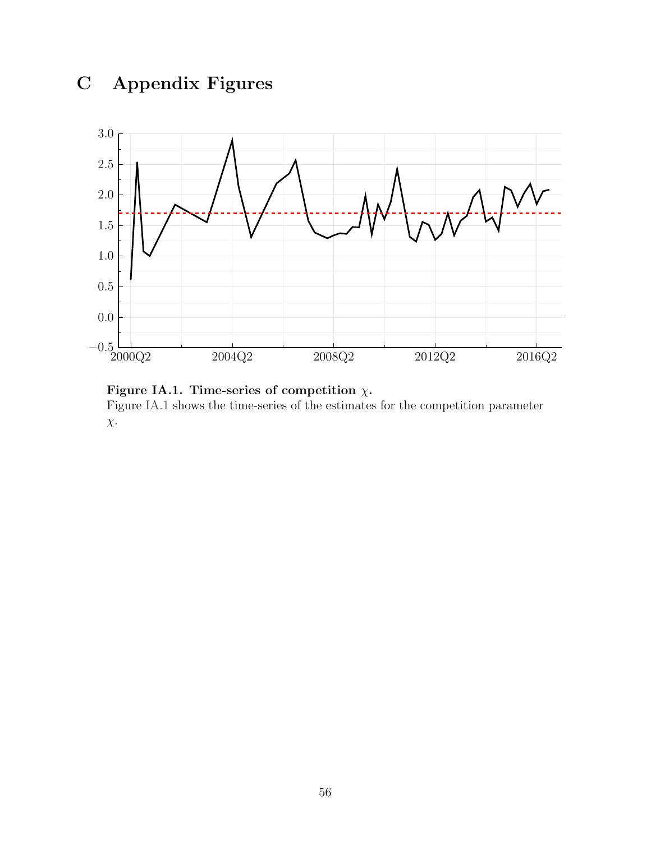# C Appendix Figures

<span id="page-56-0"></span>

Figure IA.1. Time-series of competition  $\chi$ . Figure [IA.1](#page-56-0) shows the time-series of the estimates for the competition parameter

 $\chi$ .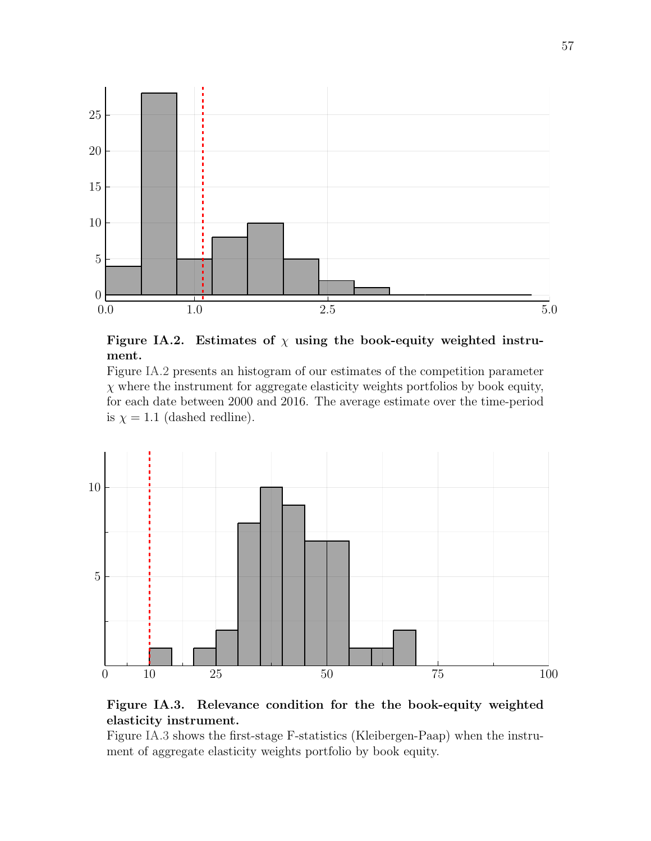<span id="page-57-1"></span>

Figure IA.2. Estimates of  $\chi$  using the book-equity weighted instrument.

Figure [IA.2](#page-57-1) presents an histogram of our estimates of the competition parameter  $\chi$  where the instrument for aggregate elasticity weights portfolios by book equity, for each date between 2000 and 2016. The average estimate over the time-period is  $\chi = 1.1$  (dashed redline).

<span id="page-57-0"></span>

#### Figure IA.3. Relevance condition for the the book-equity weighted elasticity instrument.

Figure [IA.3](#page-57-0) shows the first-stage F-statistics (Kleibergen-Paap) when the instrument of aggregate elasticity weights portfolio by book equity.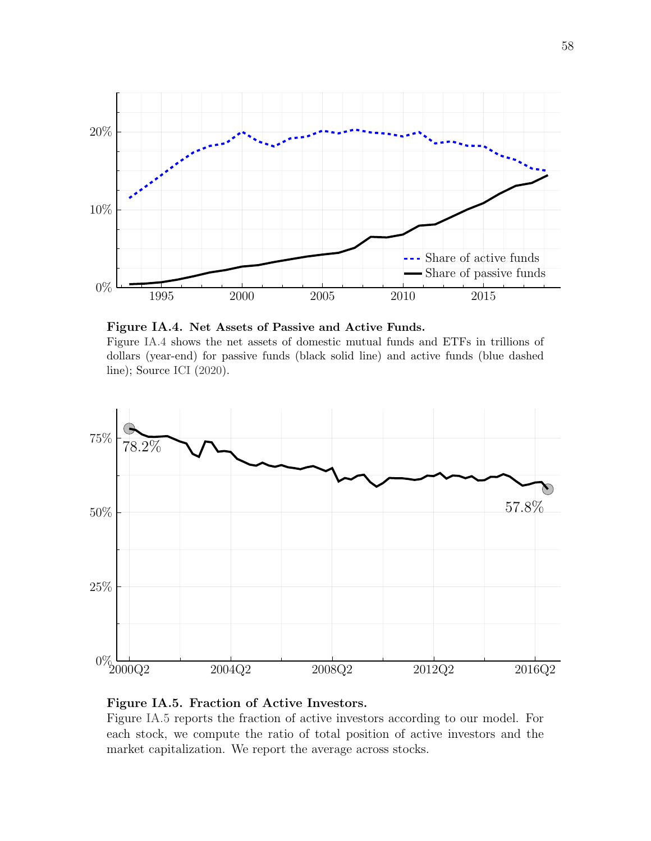<span id="page-58-1"></span>



<span id="page-58-0"></span>

#### Figure IA.5. Fraction of Active Investors.

Figure [IA.5](#page-58-0) reports the fraction of active investors according to our model. For each stock, we compute the ratio of total position of active investors and the market capitalization. We report the average across stocks.